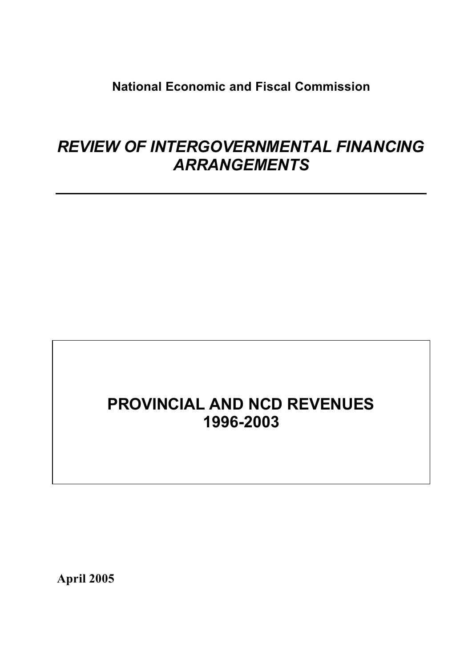**National Economic and Fiscal Commission**

# *REVIEW OF INTERGOVERNMENTAL FINANCING ARRANGEMENTS*

# **PROVINCIAL AND NCD REVENUES 1996-2003**

**April 2005**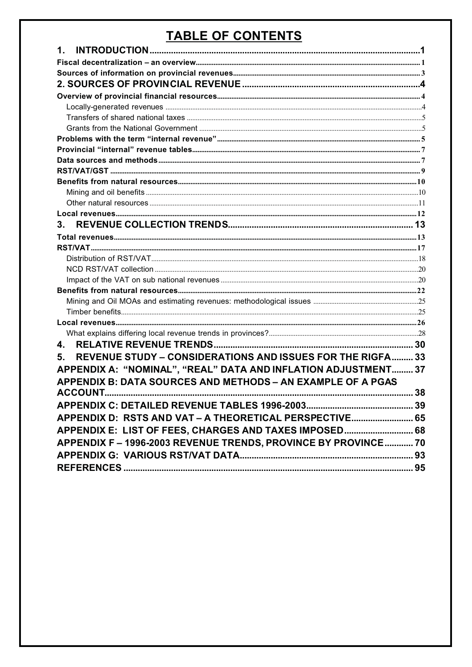# **TABLE OF CONTENTS**

| 1.                                                                 |  |
|--------------------------------------------------------------------|--|
|                                                                    |  |
|                                                                    |  |
|                                                                    |  |
|                                                                    |  |
|                                                                    |  |
|                                                                    |  |
|                                                                    |  |
|                                                                    |  |
|                                                                    |  |
|                                                                    |  |
|                                                                    |  |
|                                                                    |  |
|                                                                    |  |
|                                                                    |  |
|                                                                    |  |
| 3.                                                                 |  |
|                                                                    |  |
|                                                                    |  |
|                                                                    |  |
|                                                                    |  |
|                                                                    |  |
|                                                                    |  |
|                                                                    |  |
|                                                                    |  |
|                                                                    |  |
|                                                                    |  |
| 4.                                                                 |  |
| REVENUE STUDY - CONSIDERATIONS AND ISSUES FOR THE RIGFA 33<br>5.   |  |
| APPENDIX A: "NOMINAL", "REAL" DATA AND INFLATION ADJUSTMENT 37     |  |
| <b>APPENDIX B: DATA SOURCES AND METHODS - AN EXAMPLE OF A PGAS</b> |  |
|                                                                    |  |
|                                                                    |  |
|                                                                    |  |
| APPENDIX D: RSTS AND VAT - A THEORETICAL PERSPECTIVE 65            |  |
| APPENDIX E: LIST OF FEES, CHARGES AND TAXES IMPOSED 68             |  |
| APPENDIX F-1996-2003 REVENUE TRENDS, PROVINCE BY PROVINCE 70       |  |
|                                                                    |  |
|                                                                    |  |
|                                                                    |  |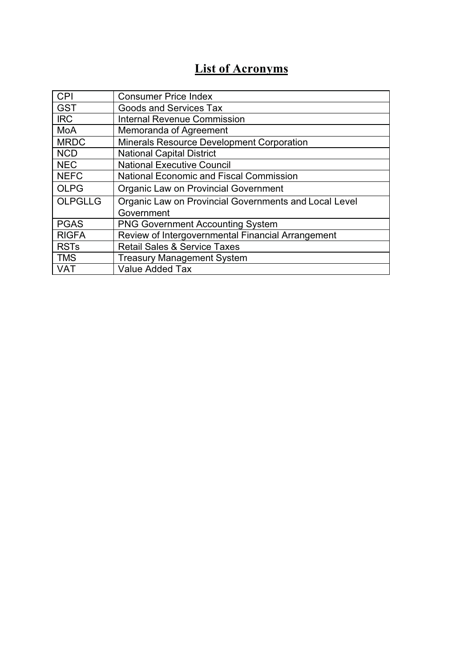# **List of Acronyms**

| <b>CPI</b>             | <b>Consumer Price Index</b>                           |
|------------------------|-------------------------------------------------------|
| <b>GST</b>             | <b>Goods and Services Tax</b>                         |
| <b>IRC</b>             | <b>Internal Revenue Commission</b>                    |
| <b>MoA</b>             | Memoranda of Agreement                                |
| <b>MRDC</b>            | <b>Minerals Resource Development Corporation</b>      |
| <b>NCD</b>             | <b>National Capital District</b>                      |
| <b>NEC</b>             | <b>National Executive Council</b>                     |
| <b>NEFC</b>            | <b>National Economic and Fiscal Commission</b>        |
| <b>OLPG</b>            | Organic Law on Provincial Government                  |
| <b>OLPGLLG</b>         | Organic Law on Provincial Governments and Local Level |
|                        | Government                                            |
| <b>PGAS</b>            | <b>PNG Government Accounting System</b>               |
| <b>RIGFA</b>           | Review of Intergovernmental Financial Arrangement     |
| <b>RST<sub>s</sub></b> | <b>Retail Sales &amp; Service Taxes</b>               |
| <b>TMS</b>             | <b>Treasury Management System</b>                     |
| <b>VAT</b>             | <b>Value Added Tax</b>                                |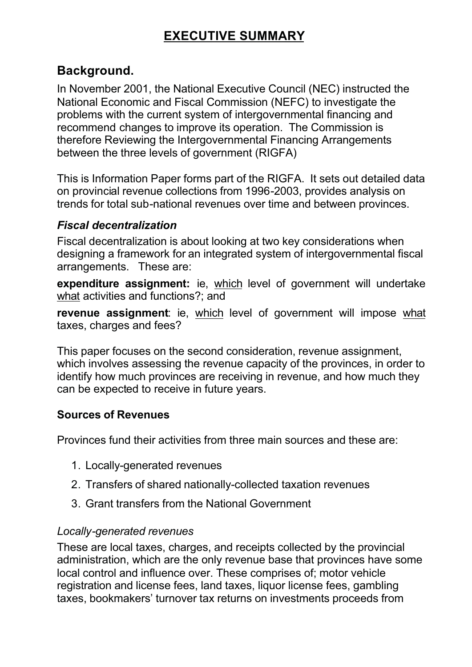# **EXECUTIVE SUMMARY**

### **Background.**

In November 2001, the National Executive Council (NEC) instructed the National Economic and Fiscal Commission (NEFC) to investigate the problems with the current system of intergovernmental financing and recommend changes to improve its operation. The Commission is therefore Reviewing the Intergovernmental Financing Arrangements between the three levels of government (RIGFA)

This is Information Paper forms part of the RIGFA. It sets out detailed data on provincial revenue collections from 1996-2003, provides analysis on trends for total sub-national revenues over time and between provinces.

#### *Fiscal decentralization*

Fiscal decentralization is about looking at two key considerations when designing a framework for an integrated system of intergovernmental fiscal arrangements. These are:

**expenditure assignment:** ie, which level of government will undertake what activities and functions?; and

**revenue assignment**: ie, which level of government will impose what taxes, charges and fees?

This paper focuses on the second consideration, revenue assignment, which involves assessing the revenue capacity of the provinces, in order to identify how much provinces are receiving in revenue, and how much they can be expected to receive in future years.

#### **Sources of Revenues**

Provinces fund their activities from three main sources and these are:

- 1. Locally-generated revenues
- 2. Transfers of shared nationally-collected taxation revenues
- 3. Grant transfers from the National Government

#### *Locally-generated revenues*

These are local taxes, charges, and receipts collected by the provincial administration, which are the only revenue base that provinces have some local control and influence over. These comprises of; motor vehicle registration and license fees, land taxes, liquor license fees, gambling taxes, bookmakers' turnover tax returns on investments proceeds from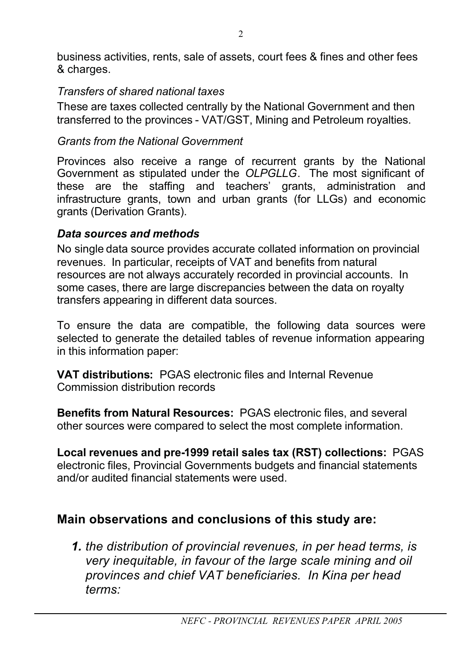business activities, rents, sale of assets, court fees & fines and other fees & charges.

### *Transfers of shared national taxes*

These are taxes collected centrally by the National Government and then transferred to the provinces - VAT/GST, Mining and Petroleum royalties.

### *Grants from the National Government*

Provinces also receive a range of recurrent grants by the National Government as stipulated under the *OLPGLLG*. The most significant of these are the staffing and teachers' grants, administration and infrastructure grants, town and urban grants (for LLGs) and economic grants (Derivation Grants).

### *Data sources and methods*

No single data source provides accurate collated information on provincial revenues. In particular, receipts of VAT and benefits from natural resources are not always accurately recorded in provincial accounts. In some cases, there are large discrepancies between the data on royalty transfers appearing in different data sources.

To ensure the data are compatible, the following data sources were selected to generate the detailed tables of revenue information appearing in this information paper:

**VAT distributions:** PGAS electronic files and Internal Revenue Commission distribution records

**Benefits from Natural Resources:** PGAS electronic files, and several other sources were compared to select the most complete information.

**Local revenues and pre-1999 retail sales tax (RST) collections:** PGAS electronic files, Provincial Governments budgets and financial statements and/or audited financial statements were used.

# **Main observations and conclusions of this study are:**

*1. the distribution of provincial revenues, in per head terms, is very inequitable, in favour of the large scale mining and oil provinces and chief VAT beneficiaries. In Kina per head terms:*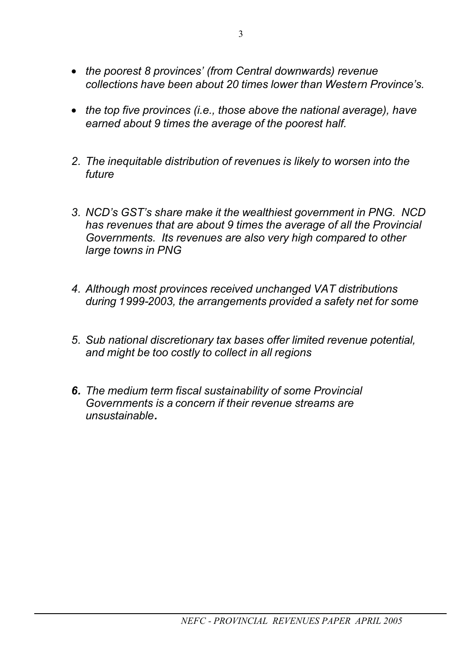- *the poorest 8 provinces' (from Central downwards) revenue collections have been about 20 times lower than Western Province's.*
- *the top five provinces (i.e., those above the national average), have earned about 9 times the average of the poorest half.*
- *2. The inequitable distribution of revenues is likely to worsen into the future*
- *3. NCD's GST's share make it the wealthiest government in PNG. NCD has revenues that are about 9 times the average of all the Provincial Governments. Its revenues are also very high compared to other large towns in PNG*
- *4. Although most provinces received unchanged VAT distributions during 1999-2003, the arrangements provided a safety net for some*
- *5. Sub national discretionary tax bases offer limited revenue potential, and might be too costly to collect in all regions*
- *6. The medium term fiscal sustainability of some Provincial Governments is a concern if their revenue streams are unsustainable.*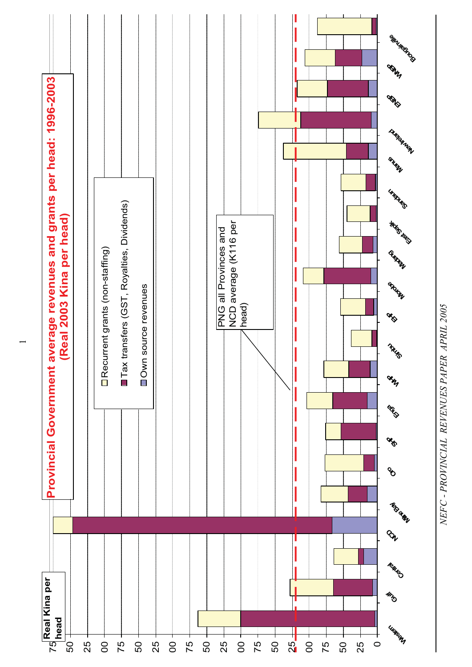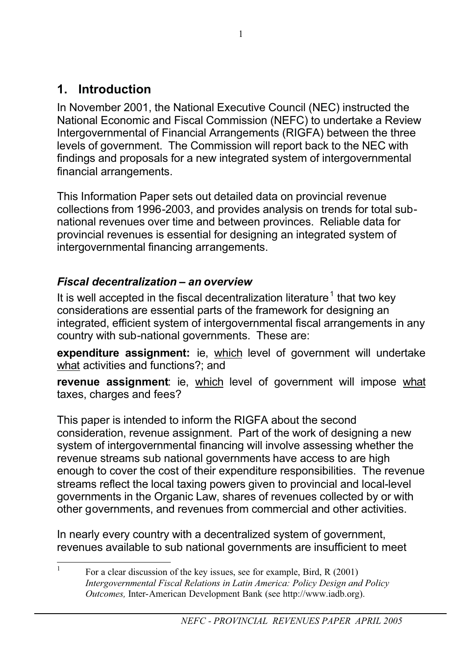# **1. Introduction**

In November 2001, the National Executive Council (NEC) instructed the National Economic and Fiscal Commission (NEFC) to undertake a Review Intergovernmental of Financial Arrangements (RIGFA) between the three levels of government. The Commission will report back to the NEC with findings and proposals for a new integrated system of intergovernmental financial arrangements.

This Information Paper sets out detailed data on provincial revenue collections from 1996-2003, and provides analysis on trends for total subnational revenues over time and between provinces. Reliable data for provincial revenues is essential for designing an integrated system of intergovernmental financing arrangements.

# *Fiscal decentralization – an overview*

It is well accepted in the fiscal decentralization literature<sup>1</sup> that two key considerations are essential parts of the framework for designing an integrated, efficient system of intergovernmental fiscal arrangements in any country with sub-national governments. These are:

**expenditure assignment:** ie, which level of government will undertake what activities and functions?; and

**revenue assignment**: ie, which level of government will impose what taxes, charges and fees?

This paper is intended to inform the RIGFA about the second consideration, revenue assignment. Part of the work of designing a new system of intergovernmental financing will involve assessing whether the revenue streams sub national governments have access to are high enough to cover the cost of their expenditure responsibilities. The revenue streams reflect the local taxing powers given to provincial and local-level governments in the Organic Law, shares of revenues collected by or with other governments, and revenues from commercial and other activities.

In nearly every country with a decentralized system of government, revenues available to sub national governments are insufficient to meet

<sup>&</sup>lt;sup>1</sup> For a clear discussion of the key issues, see for example, Bird, R (2001) *Intergovernmental Fiscal Relations in Latin America: Policy Design and Policy Outcomes,* Inter-American Development Bank (see http://www.iadb.org).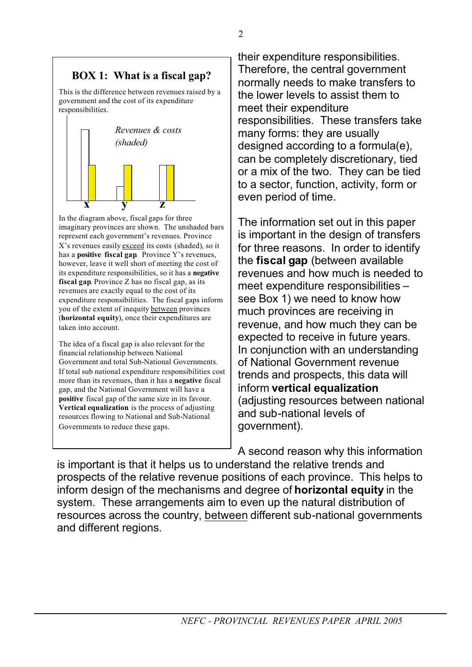### **BOX 1: What is a fiscal gap?**

This is the difference between revenues raised by a government and the cost of its expenditure responsibilities.



In the diagram above, fiscal gaps for three imaginary provinces are shown. The unshaded bars represent each government's revenues. Province X's revenues easily exceed its costs (shaded), so it has a **positive fiscal gap**. Province Y's revenues, however, leave it well short of meeting the cost of its expenditure responsibilities, so it has a **negative fiscal gap**. Province Z has no fiscal gap, as its revenues are exactly equal to the cost of its expenditure responsibilities. The fiscal gaps inform you of the extent of inequity between provinces (**horizontal equity**), once their expenditures are taken into account.

The idea of a fiscal gap is also relevant for the financial relationship between National Government and total Sub-National Governments. If total sub national expenditure responsibilities cost more than its revenues, than it has a **negative** fiscal gap, and the National Government will have a **positive** fiscal gap of the same size in its favour. **Vertical equalization** is the process of adjusting resources flowing to National and Sub-National Governments to reduce these gaps.

their expenditure responsibilities. Therefore, the central government normally needs to make transfers to the lower levels to assist them to meet their expenditure responsibilities. These transfers take many forms: they are usually designed according to a formula(e), can be completely discretionary, tied or a mix of the two. They can be tied to a sector, function, activity, form or even period of time.

The information set out in this paper is important in the design of transfers for three reasons. In order to identify the **fiscal gap** (between available revenues and how much is needed to meet expenditure responsibilities – see Box 1) we need to know how much provinces are receiving in revenue, and how much they can be expected to receive in future years. In conjunction with an understanding of National Government revenue trends and prospects, this data will inform **vertical equalization** (adjusting resources between national and sub-national levels of government).

A second reason why this information is important is that it helps us to understand the relative trends and prospects of the relative revenue positions of each province. This helps to inform design of the mechanisms and degree of **horizontal equity** in the system. These arrangements aim to even up the natural distribution of resources across the country, between different sub-national governments and different regions.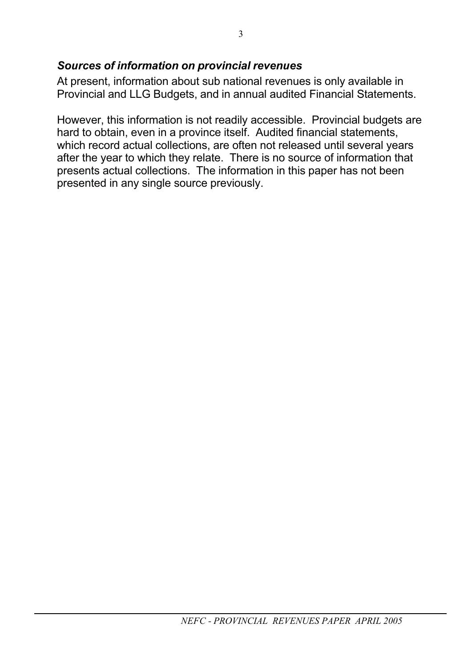### *Sources of information on provincial revenues*

At present, information about sub national revenues is only available in Provincial and LLG Budgets, and in annual audited Financial Statements.

However, this information is not readily accessible. Provincial budgets are hard to obtain, even in a province itself. Audited financial statements, which record actual collections, are often not released until several years after the year to which they relate. There is no source of information that presents actual collections. The information in this paper has not been presented in any single source previously.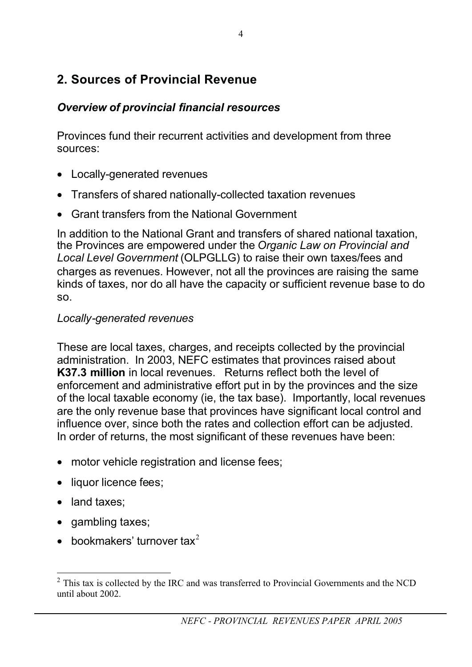# **2. Sources of Provincial Revenue**

### *Overview of provincial financial resources*

Provinces fund their recurrent activities and development from three sources:

- Locally-generated revenues
- Transfers of shared nationally-collected taxation revenues
- Grant transfers from the National Government

In addition to the National Grant and transfers of shared national taxation, the Provinces are empowered under the *Organic Law on Provincial and Local Level Government* (OLPGLLG) to raise their own taxes/fees and charges as revenues. However, not all the provinces are raising the same kinds of taxes, nor do all have the capacity or sufficient revenue base to do so.

### *Locally-generated revenues*

These are local taxes, charges, and receipts collected by the provincial administration. In 2003, NEFC estimates that provinces raised about **K37.3 million** in local revenues. Returns reflect both the level of enforcement and administrative effort put in by the provinces and the size of the local taxable economy (ie, the tax base). Importantly, local revenues are the only revenue base that provinces have significant local control and influence over, since both the rates and collection effort can be adjusted. In order of returns, the most significant of these revenues have been:

- motor vehicle registration and license fees;
- liquor licence fees:
- land taxes:
- gambling taxes;
- bookmakers' turnover  $tax^2$

 $2$  This tax is collected by the IRC and was transferred to Provincial Governments and the NCD until about 2002.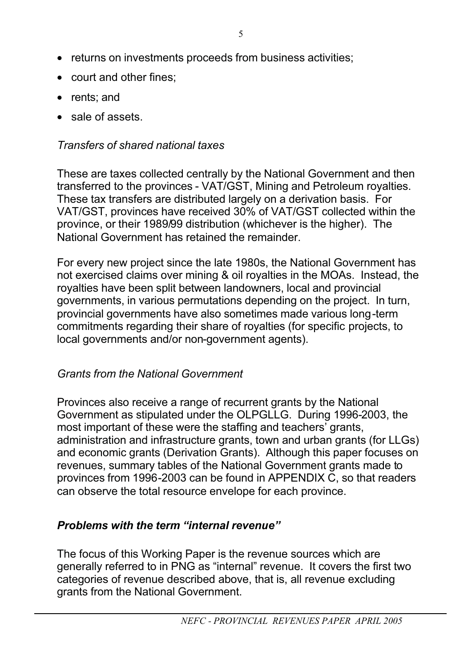- returns on investments proceeds from business activities;
- court and other fines:
- rents; and
- sale of assets.

### *Transfers of shared national taxes*

These are taxes collected centrally by the National Government and then transferred to the provinces - VAT/GST, Mining and Petroleum royalties. These tax transfers are distributed largely on a derivation basis. For VAT/GST, provinces have received 30% of VAT/GST collected within the province, or their 1989/99 distribution (whichever is the higher). The National Government has retained the remainder.

For every new project since the late 1980s, the National Government has not exercised claims over mining & oil royalties in the MOAs. Instead, the royalties have been split between landowners, local and provincial governments, in various permutations depending on the project. In turn, provincial governments have also sometimes made various long-term commitments regarding their share of royalties (for specific projects, to local governments and/or non-government agents).

### *Grants from the National Government*

Provinces also receive a range of recurrent grants by the National Government as stipulated under the OLPGLLG. During 1996-2003, the most important of these were the staffing and teachers' grants, administration and infrastructure grants, town and urban grants (for LLGs) and economic grants (Derivation Grants). Although this paper focuses on revenues, summary tables of the National Government grants made to provinces from 1996-2003 can be found in APPENDIX C, so that readers can observe the total resource envelope for each province.

### *Problems with the term "internal revenue"*

The focus of this Working Paper is the revenue sources which are generally referred to in PNG as "internal" revenue. It covers the first two categories of revenue described above, that is, all revenue excluding grants from the National Government.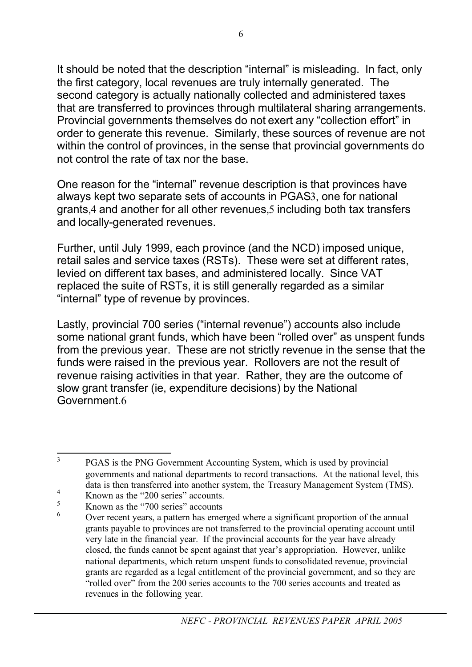It should be noted that the description "internal" is misleading. In fact, only the first category, local revenues are truly internally generated. The second category is actually nationally collected and administered taxes that are transferred to provinces through multilateral sharing arrangements. Provincial governments themselves do not exert any "collection effort" in order to generate this revenue. Similarly, these sources of revenue are not within the control of provinces, in the sense that provincial governments do not control the rate of tax nor the base.

One reason for the "internal" revenue description is that provinces have always kept two separate sets of accounts in PGAS3, one for national grants,4 and another for all other revenues,5 including both tax transfers and locally-generated revenues.

Further, until July 1999, each province (and the NCD) imposed unique, retail sales and service taxes (RSTs). These were set at different rates, levied on different tax bases, and administered locally. Since VAT replaced the suite of RSTs, it is still generally regarded as a similar "internal" type of revenue by provinces.

Lastly, provincial 700 series ("internal revenue") accounts also include some national grant funds, which have been "rolled over" as unspent funds from the previous year. These are not strictly revenue in the sense that the funds were raised in the previous year. Rollovers are not the result of revenue raising activities in that year. Rather, they are the outcome of slow grant transfer (ie, expenditure decisions) by the National Government.6

<sup>&</sup>lt;sup>3</sup> PGAS is the PNG Government Accounting System, which is used by provincial governments and national departments to record transactions. At the national level, this data is then transferred into another system, the Treasury Management System (TMS).

 $\frac{4}{5}$  Known as the "200 series" accounts.

 $\frac{5}{6}$  Known as the "700 series" accounts

<sup>6</sup> Over recent years, a pattern has emerged where a significant proportion of the annual grants payable to provinces are not transferred to the provincial operating account until very late in the financial year. If the provincial accounts for the year have already closed, the funds cannot be spent against that year's appropriation. However, unlike national departments, which return unspent funds to consolidated revenue, provincial grants are regarded as a legal entitlement of the provincial government, and so they are "rolled over" from the 200 series accounts to the 700 series accounts and treated as revenues in the following year.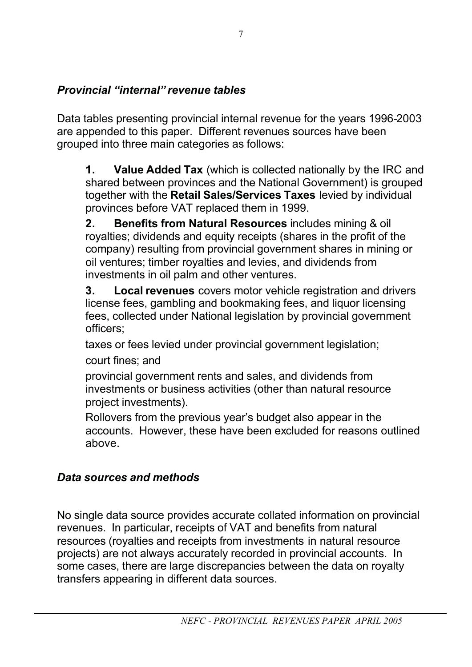## *Provincial "internal" revenue tables*

Data tables presenting provincial internal revenue for the years 1996-2003 are appended to this paper. Different revenues sources have been grouped into three main categories as follows:

**1. Value Added Tax** (which is collected nationally by the IRC and shared between provinces and the National Government) is grouped together with the **Retail Sales/Services Taxes** levied by individual provinces before VAT replaced them in 1999.

**2. Benefits from Natural Resources** includes mining & oil royalties; dividends and equity receipts (shares in the profit of the company) resulting from provincial government shares in mining or oil ventures; timber royalties and levies, and dividends from investments in oil palm and other ventures.

**3. Local revenues** covers motor vehicle registration and drivers license fees, gambling and bookmaking fees, and liquor licensing fees, collected under National legislation by provincial government officers;

taxes or fees levied under provincial government legislation;

court fines; and

provincial government rents and sales, and dividends from investments or business activities (other than natural resource project investments).

Rollovers from the previous year's budget also appear in the accounts. However, these have been excluded for reasons outlined above.

# *Data sources and methods*

No single data source provides accurate collated information on provincial revenues. In particular, receipts of VAT and benefits from natural resources (royalties and receipts from investments in natural resource projects) are not always accurately recorded in provincial accounts. In some cases, there are large discrepancies between the data on royalty transfers appearing in different data sources.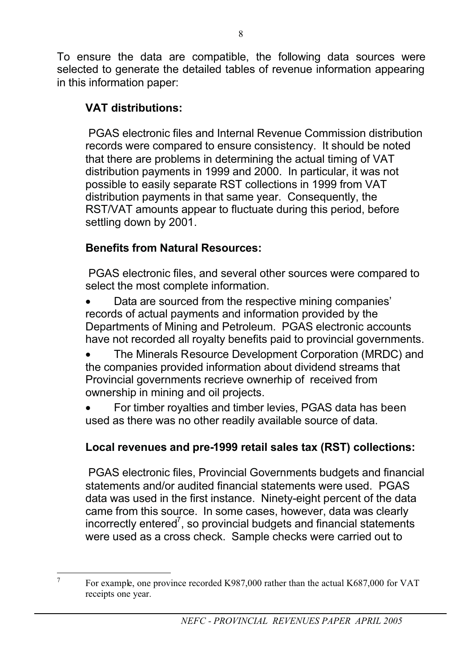To ensure the data are compatible, the following data sources were selected to generate the detailed tables of revenue information appearing in this information paper:

### **VAT distributions:**

PGAS electronic files and Internal Revenue Commission distribution records were compared to ensure consistency. It should be noted that there are problems in determining the actual timing of VAT distribution payments in 1999 and 2000. In particular, it was not possible to easily separate RST collections in 1999 from VAT distribution payments in that same year. Consequently, the RST/VAT amounts appear to fluctuate during this period, before settling down by 2001.

### **Benefits from Natural Resources:**

PGAS electronic files, and several other sources were compared to select the most complete information.

Data are sourced from the respective mining companies' records of actual payments and information provided by the Departments of Mining and Petroleum. PGAS electronic accounts have not recorded all royalty benefits paid to provincial governments.

• The Minerals Resource Development Corporation (MRDC) and the companies provided information about dividend streams that Provincial governments recrieve ownerhip of received from ownership in mining and oil projects.

• For timber royalties and timber levies, PGAS data has been used as there was no other readily available source of data.

## **Local revenues and pre-1999 retail sales tax (RST) collections:**

 PGAS electronic files, Provincial Governments budgets and financial statements and/or audited financial statements were used. PGAS data was used in the first instance. Ninety-eight percent of the data came from this source. In some cases, however, data was clearly incorrectly entered<sup>7</sup>, so provincial budgets and financial statements were used as a cross check. Sample checks were carried out to

<sup>&</sup>lt;sup>7</sup> For example, one province recorded K987,000 rather than the actual K687,000 for VAT receipts one year.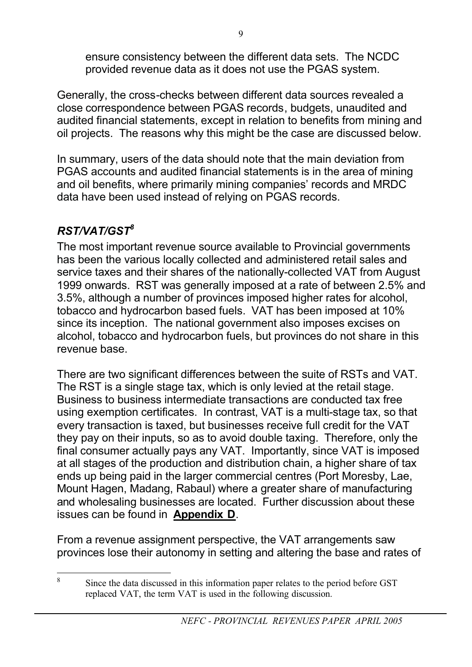ensure consistency between the different data sets. The NCDC provided revenue data as it does not use the PGAS system.

Generally, the cross-checks between different data sources revealed a close correspondence between PGAS records, budgets, unaudited and audited financial statements, except in relation to benefits from mining and oil projects. The reasons why this might be the case are discussed below.

In summary, users of the data should note that the main deviation from PGAS accounts and audited financial statements is in the area of mining and oil benefits, where primarily mining companies' records and MRDC data have been used instead of relying on PGAS records.

# *RST/VAT/GST8*

The most important revenue source available to Provincial governments has been the various locally collected and administered retail sales and service taxes and their shares of the nationally-collected VAT from August 1999 onwards. RST was generally imposed at a rate of between 2.5% and 3.5%, although a number of provinces imposed higher rates for alcohol, tobacco and hydrocarbon based fuels. VAT has been imposed at 10% since its inception. The national government also imposes excises on alcohol, tobacco and hydrocarbon fuels, but provinces do not share in this revenue base.

There are two significant differences between the suite of RSTs and VAT. The RST is a single stage tax, which is only levied at the retail stage. Business to business intermediate transactions are conducted tax free using exemption certificates. In contrast, VAT is a multi-stage tax, so that every transaction is taxed, but businesses receive full credit for the VAT they pay on their inputs, so as to avoid double taxing. Therefore, only the final consumer actually pays any VAT. Importantly, since VAT is imposed at all stages of the production and distribution chain, a higher share of tax ends up being paid in the larger commercial centres (Port Moresby, Lae, Mount Hagen, Madang, Rabaul) where a greater share of manufacturing and wholesaling businesses are located. Further discussion about these issues can be found in **Appendix D**.

From a revenue assignment perspective, the VAT arrangements saw provinces lose their autonomy in setting and altering the base and rates of

<sup>8</sup> Since the data discussed in this information paper relates to the period before GST replaced VAT, the term VAT is used in the following discussion.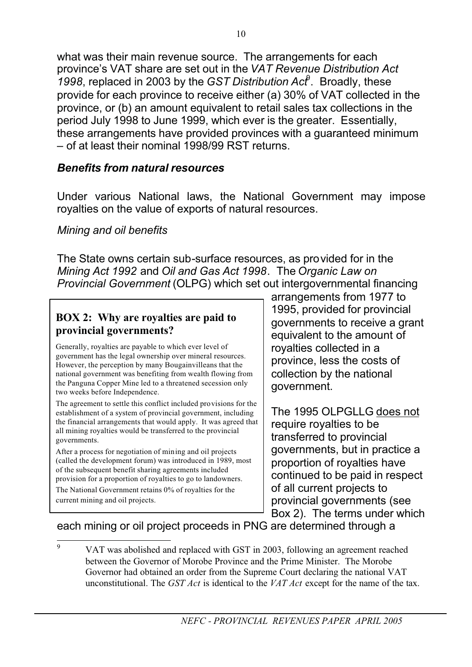what was their main revenue source. The arrangements for each province's VAT share are set out in the *VAT Revenue Distribution Act 1998*, replaced in 2003 by the *GST Distribution Act*<sup>9</sup> . Broadly, these provide for each province to receive either (a) 30% of VAT collected in the province, or (b) an amount equivalent to retail sales tax collections in the period July 1998 to June 1999, which ever is the greater. Essentially, these arrangements have provided provinces with a guaranteed minimum – of at least their nominal 1998/99 RST returns.

#### *Benefits from natural resources*

Under various National laws, the National Government may impose royalties on the value of exports of natural resources.

### *Mining and oil benefits*

The State owns certain sub-surface resources, as provided for in the *Mining Act 1992* and *Oil and Gas Act 1998*. The *Organic Law on Provincial Government* (OLPG) which set out intergovernmental financing

#### **BOX 2: Why are royalties are paid to provincial governments?**

Generally, royalties are payable to which ever level of government has the legal ownership over mineral resources. However, the perception by many Bougainvilleans that the national government was benefiting from wealth flowing from the Panguna Copper Mine led to a threatened secession only two weeks before Independence.

The agreement to settle this conflict included provisions for the establishment of a system of provincial government, including the financial arrangements that would apply. It was agreed that all mining royalties would be transferred to the provincial governments.

After a process for negotiation of mining and oil projects (called the development forum) was introduced in 1989, most of the subsequent benefit sharing agreements included provision for a proportion of royalties to go to landowners.

The National Government retains 0% of royalties for the current mining and oil projects.

arrangements from 1977 to 1995, provided for provincial governments to receive a grant equivalent to the amount of royalties collected in a province, less the costs of collection by the national government.

The 1995 OLPGLLG does not require royalties to be transferred to provincial governments, but in practice a proportion of royalties have continued to be paid in respect of all current projects to provincial governments (see Box 2). The terms under which

each mining or oil project proceeds in PNG are determined through a

<sup>&</sup>lt;sup>9</sup> VAT was abolished and replaced with GST in 2003, following an agreement reached between the Governor of Morobe Province and the Prime Minister. The Morobe Governor had obtained an order from the Supreme Court declaring the national VAT unconstitutional. The *GST Act* is identical to the *VAT Act* except for the name of the tax.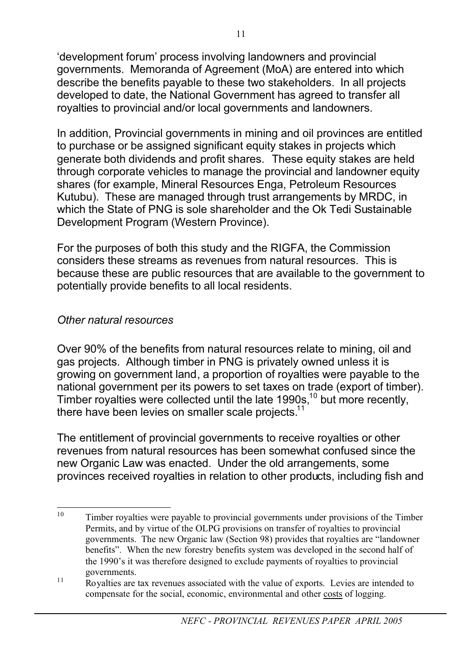'development forum' process involving landowners and provincial governments. Memoranda of Agreement (MoA) are entered into which describe the benefits payable to these two stakeholders. In all projects developed to date, the National Government has agreed to transfer all royalties to provincial and/or local governments and landowners.

In addition, Provincial governments in mining and oil provinces are entitled to purchase or be assigned significant equity stakes in projects which generate both dividends and profit shares. These equity stakes are held through corporate vehicles to manage the provincial and landowner equity shares (for example, Mineral Resources Enga, Petroleum Resources Kutubu). These are managed through trust arrangements by MRDC, in which the State of PNG is sole shareholder and the Ok Tedi Sustainable Development Program (Western Province).

For the purposes of both this study and the RIGFA, the Commission considers these streams as revenues from natural resources. This is because these are public resources that are available to the government to potentially provide benefits to all local residents.

### *Other natural resources*

Over 90% of the benefits from natural resources relate to mining, oil and gas projects. Although timber in PNG is privately owned unless it is growing on government land, a proportion of royalties were payable to the national government per its powers to set taxes on trade (export of timber). Timber royalties were collected until the late 1990s,<sup>10</sup> but more recently, there have been levies on smaller scale projects.<sup>11</sup>

The entitlement of provincial governments to receive royalties or other revenues from natural resources has been somewhat confused since the new Organic Law was enacted. Under the old arrangements, some provinces received royalties in relation to other products, including fish and

<sup>&</sup>lt;sup>10</sup> Timber royalties were payable to provincial governments under provisions of the Timber Permits, and by virtue of the OLPG provisions on transfer of royalties to provincial governments. The new Organic law (Section 98) provides that royalties are "landowner benefits". When the new forestry benefits system was developed in the second half of the 1990's it was therefore designed to exclude payments of royalties to provincial governments.

 $\frac{11}{11}$  Royalties are tax revenues associated with the value of exports. Levies are intended to compensate for the social, economic, environmental and other costs of logging.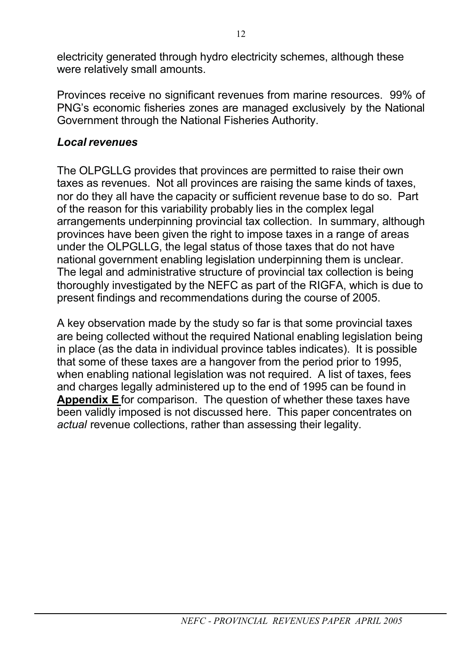electricity generated through hydro electricity schemes, although these were relatively small amounts.

Provinces receive no significant revenues from marine resources. 99% of PNG's economic fisheries zones are managed exclusively by the National Government through the National Fisheries Authority.

### *Local revenues*

The OLPGLLG provides that provinces are permitted to raise their own taxes as revenues. Not all provinces are raising the same kinds of taxes, nor do they all have the capacity or sufficient revenue base to do so. Part of the reason for this variability probably lies in the complex legal arrangements underpinning provincial tax collection. In summary, although provinces have been given the right to impose taxes in a range of areas under the OLPGLLG, the legal status of those taxes that do not have national government enabling legislation underpinning them is unclear. The legal and administrative structure of provincial tax collection is being thoroughly investigated by the NEFC as part of the RIGFA, which is due to present findings and recommendations during the course of 2005.

A key observation made by the study so far is that some provincial taxes are being collected without the required National enabling legislation being in place (as the data in individual province tables indicates). It is possible that some of these taxes are a hangover from the period prior to 1995, when enabling national legislation was not required. A list of taxes, fees and charges legally administered up to the end of 1995 can be found in **Appendix E** for comparison. The question of whether these taxes have been validly imposed is not discussed here. This paper concentrates on *actual* revenue collections, rather than assessing their legality.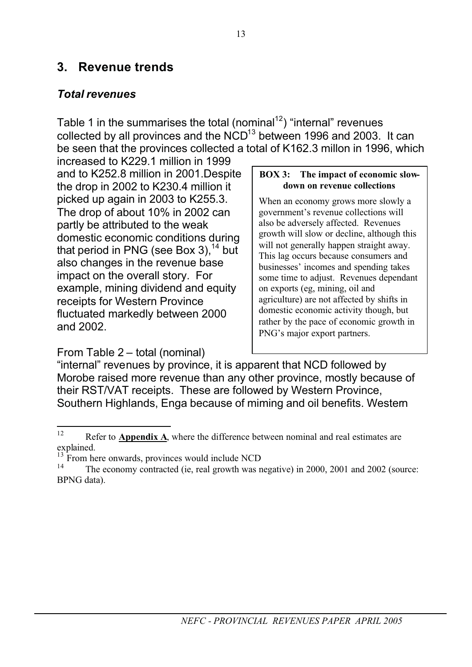### **3. Revenue trends**

### *Total revenues*

Table 1 in the summarises the total (nominal<sup>12</sup>) "internal" revenues collected by all provinces and the  $NCD^{13}$  between 1996 and 2003. It can be seen that the provinces collected a total of K162.3 millon in 1996, which

increased to K229.1 million in 1999 and to K252.8 million in 2001.Despite the drop in 2002 to K230.4 million it picked up again in 2003 to K255.3. The drop of about 10% in 2002 can partly be attributed to the weak domestic economic conditions during that period in PNG (see Box 3),  $14$  but also changes in the revenue base impact on the overall story. For example, mining dividend and equity receipts for Western Province fluctuated markedly between 2000 and 2002.

#### From Table 2 – total (nominal)

#### **BOX 3: The impact of economic slowdown on revenue collections**

When an economy grows more slowly a government's revenue collections will also be adversely affected. Revenues growth will slow or decline, although this will not generally happen straight away. This lag occurs because consumers and businesses' incomes and spending takes some time to adjust. Revenues dependant on exports (eg, mining, oil and agriculture) are not affected by shifts in domestic economic activity though, but rather by the pace of economic growth in PNG's major export partners.

"internal" revenues by province, it is apparent that NCD followed by Morobe raised more revenue than any other province, mostly because of their RST/VAT receipts. These are followed by Western Province, Southern Highlands, Enga because of miming and oil benefits. Western

<sup>&</sup>lt;sup>12</sup> Refer to **Appendix A**, where the difference between nominal and real estimates are explained.

 $^{13}$  From here onwards, provinces would include NCD  $^{14}$ 

The economy contracted (ie, real growth was negative) in 2000, 2001 and 2002 (source: BPNG data).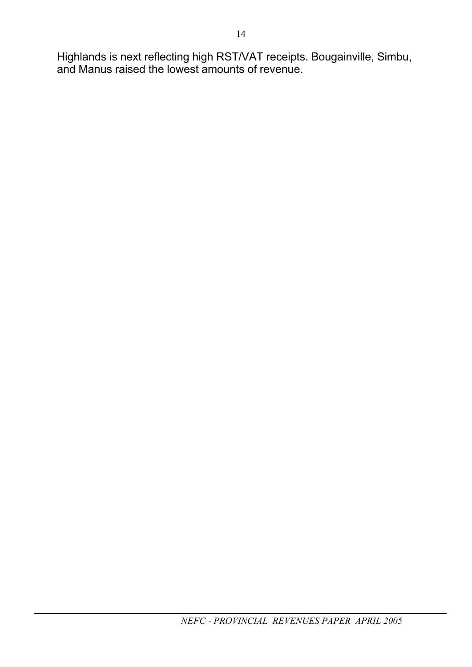Highlands is next reflecting high RST/VAT receipts. Bougainville, Simbu, and Manus raised the lowest amounts of revenue.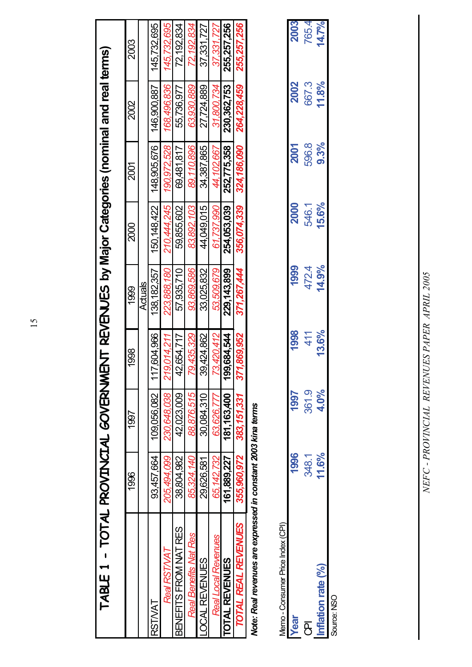| TABLE 1 - TOTAL PROVINCIAL GOVERNMENT REVENUES by Major Categories (nominal and real terms) |                 |             |                      |                |             |             |             |             |
|---------------------------------------------------------------------------------------------|-----------------|-------------|----------------------|----------------|-------------|-------------|-------------|-------------|
|                                                                                             | 1996            | 1997        | 1998                 | <b>1999</b>    | 2000        | 2001        | 2002        | 2003        |
|                                                                                             |                 |             |                      | <b>Actuals</b> |             |             |             |             |
| RSTVAT                                                                                      | 93,457,664      | 109,056,082 | 117,604,966          | 138, 182, 357  | 150,148,422 | 148,905,676 | 146,900,887 | 145,732,695 |
| Real RST/VAT                                                                                | 205,494,099     | 230.648.038 | 219.014.211          | 223.888.180    | 210,444,245 | 190,972,528 | 168.496.836 | 145,732,695 |
| BENEFITS FROM NAT RES                                                                       | 38,804,982      | 42,023,009  | 654,717<br>4<br>4    | 57,935,710     | 59,855,602  | 69,481,817  | 55,736,977  | 72,192,834  |
| Real Benefits Nat Res                                                                       | 85,324,140      | 88,876,515  | 435,329<br><u>ღ</u>  | 93.869.586     | 83.892.103  | 89.110.896  | 63.930.889  | 72,192,834  |
| <b>DCAL REVENUES</b>                                                                        | 29,626,581      | 30,084,310  | 39,424,862           | 33,025,832     | 44,049,015  | 34.387.865  | 27,724,889  | 37,331,727  |
| Real Local Revenues                                                                         | 65,142,732      | 63.626.777  | 420,412<br>73.       | 53,509,679     | 61,737,990  | 44.102.667  | 31,800,734  | 37,331,727  |
| <b>OTAL REVENUES</b>                                                                        | 161,889,227     | 181,163,400 | '684.544<br><u>ඉ</u> | 229,143,899    | 254,053,039 | 252,775,358 | 230,362,753 | 255,257,256 |
| TOTAL REAL REVENUES                                                                         | 355.960.972     | 383,151,331 | .869.952<br>371.     | 371.267.444    | 356.074.339 | 324.186.090 | 264.228.459 | 255.257.256 |
| $\overline{\phantom{a}}$                                                                    | $\sim$ coops in |             |                      |                |             |             |             |             |

Note: Real revenues are expressed in constant 2003 kina terms *Note: Real revenues are expressed in constant 2003 kina terms*

| Memo - Consumer Price Index (CPI |             |       |      |       |       |       |       |       |
|----------------------------------|-------------|-------|------|-------|-------|-------|-------|-------|
| <b>AGO-</b>                      | 1996        | 1997  | 1998 | 1999  | 2000  | 2001  | 2002  | 2003  |
| ٦,                               | 348.1       | 361.9 | 41   | 472.4 | 546.1 | 596.8 | 667.3 | 765.4 |
| on rate (%)                      | $\tilde{c}$ | 4.0%  |      | 14.9% | 15.6% | 9.3%  | 11.8% | 4.7%  |
| Source: NSO                      |             |       |      |       |       |       |       |       |

NEFC - PROVINCIAL REVENUES PAPER APRIL 2005 *NEFC - PROVINCIAL REVENUES PAPER APRIL 2005*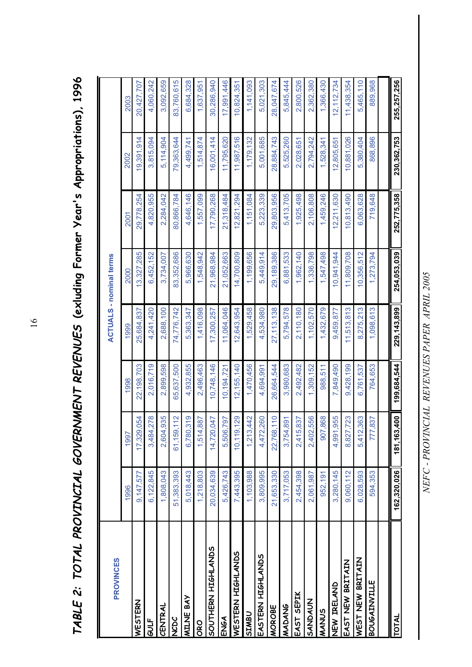| J<br>٢<br>ť                         |             |
|-------------------------------------|-------------|
| $\frac{1}{2}$                       |             |
| ドレー・ド くこ                            | ī<br>l      |
| <br> <br>                           | I           |
| -<br>-<br>-<br>-<br>-<br>-<br><br>- | l           |
| ーーし<br>I                            | ı<br>I      |
| ;<br>(<br>ĺ                         | Į<br>l      |
| ζ<br> <br> <br>                     | ı<br>)<br>ı |

| <b>PROVINCES</b>    |             |                       |             |               | <b>ACTUALS - nominal terms</b> |                        |             |             |
|---------------------|-------------|-----------------------|-------------|---------------|--------------------------------|------------------------|-------------|-------------|
|                     | 1996        | 1997                  | 998         | 1999          | 2000                           | 2001                   | 2002        | 2003        |
| WESTERN             | 9,147,577   | 054<br>17,329,        | 22,198,703  | 25,684,837    | 3,327,285                      | 29,778,254             | 19,391,914  | 20,427,707  |
| GULF                | 6,122,845   | 278<br>3,484,         | 2,016,719   | 4,241,420     | 6,452,152                      | 4,820,955              | 3,815,094   | 4,060,242   |
| CENTRAL             | 1,808,043   | 935<br>2,604          | 2,899,598   | 2,688,100     | 3,734,007                      | 2,284,042              | 5,114,904   | 3,092,659   |
| NCDC                | 51,383,393  | 61, 159, 112          | 65,637,500  | 74,776,742    | 83,352,686                     | 80,866,784             | 79,363,644  | 83,760,615  |
| <b>MILNE BAY</b>    | 5,018,443   | 319<br>6,780,         | 4,932,855   | 5,363,347     | 5,966,630                      | 4,646,146              | 4,499,741   | 6,684,328   |
| ORO                 | 1,218,803   | ,887<br>1,514,        | 2,496,463   | 1,416,098     | 1,548,942                      | 1,557,099              | 1,514,874   | 1,637,951   |
| SOUTHERN HIGHLANDS  | 20,034,639  | <b>CRO</b><br>14,720, | 0,748,146   | 17,300,257    | 21,968,984                     | 17,790,268             | 16,001,414  | 30,286,940  |
| ENGA                | 5,426,743   | 797<br>5,506,         | 0,194,721   | 11,064,046    | 21,052,663                     | 21,318,484             | 11,795,620  | 17,991,446  |
| WESTERN HIGHLANDS   | 7,443,395   | 129<br>10, 119,       | 2,155,140   | 12,643,954    | 4,700,809                      | 12,821,294             | 11,987,516  | 10,824,351  |
| SIMBU               | 1,103,988   | 442<br>1,213,         | 1,470,456   | 1,529,458     | 1,199,656                      | 1,151,084              | 1,179,132   | 1,141,093   |
| EASTERN HIGHLANDS   | 3,809,995   | 260<br>4,472.         | 4.694.991   | 4,534,980     | 5.449.914                      | 5,223,339              | 5.001.685   | 5,021,303   |
| <b>MOROBE</b>       | 21.653.330  | 110<br>22,768         | 26,664,544  | 27,113,138    | 29,189,386                     | 29,803,956             | 28.884.743  | 28,047,674  |
| MADANG              | 3,717,053   | 891<br>3,754,         | 3,980,683   | 5,794,578     | 6,881,533                      | 413,705<br><u>َم</u> ا | 5,525,260   | 5,845,444   |
| EAST SEPIK          | 2,454,398   | 837<br>2,415,         | 2,492,482   | 2,110,180     | 1,962,140                      | 1,925,498              | 2,028,651   | 2,800,526   |
| SANDAUN             | 2,061,987   | 556<br>2,402,         | 1,309,152   | 1,102,570     | 1,336,798                      | 2,106,808              | 2,794,242   | 2,362,380   |
| MANUS               | 952,191     | 868<br>907,           | 988,511     | ,432,679      | 1,547,498                      | 1,459,246              | 1,528,341   | 1,366,430   |
| NEW IRELAND         | 3,280,145   | 955<br>4,991          | ,849,490    | 9,459,877     | 0,941,944                      | 2,211,630              | 2,805,651   | 12,112,734  |
| EAST NEW BRITAIN    | 9,060,112   | 723<br>8,827          | 9,428,199   | 11,513,813    | 11,809,708                     | 10,813,490             | 10,881,026  | 11,438,354  |
| WEST NEW BRITAIN    | 6,028,593   | ,363<br>5,412,        | 6,761,537   | 8,275,213     | 10,356,512                     | 6,063,628              | 5,380,404   | 5,465,110   |
| <b>BOUGAINVILLE</b> | 594,353     | 837<br>777            | 764,653     | 1,098,613     | ,273,794                       | 719,648                | 868,896     | 889,968     |
|                     |             |                       |             |               |                                |                        |             |             |
| <b>TOTAL</b>        | 162,320,026 | 1,400<br>181,163      | 199,684,544 | 229, 143, 899 | 254,053,039                    | 252,775,358            | 230,362,753 | 255,257,256 |

TABLE 2: TOTAL PROVINCIAL GOVERNMENT REVENUES (exluding Former Year's Appropriations), 1996 *TABLE 2: TOTAL PROVINCIAL GOVERNMENT REVENUES* **(exluding Former Year's Appropriations), 1996**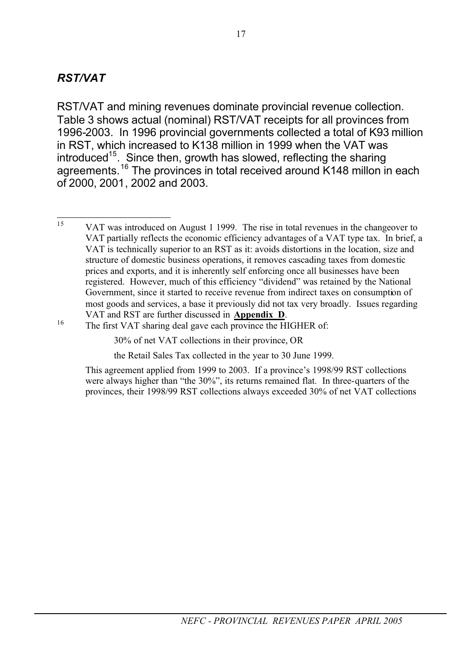### *RST/VAT*

RST/VAT and mining revenues dominate provincial revenue collection. Table 3 shows actual (nominal) RST/VAT receipts for all provinces from 1996-2003. In 1996 provincial governments collected a total of K93 million in RST, which increased to K138 million in 1999 when the VAT was introduced<sup>15</sup>. Since then, growth has slowed, reflecting the sharing agreements.16 The provinces in total received around K148 millon in each of 2000, 2001, 2002 and 2003.

the Retail Sales Tax collected in the year to 30 June 1999.

This agreement applied from 1999 to 2003. If a province's 1998/99 RST collections were always higher than "the 30%", its returns remained flat. In three-quarters of the provinces, their 1998/99 RST collections always exceeded 30% of net VAT collections

<sup>&</sup>lt;sup>15</sup> VAT was introduced on August 1 1999. The rise in total revenues in the changeover to VAT partially reflects the economic efficiency advantages of a VAT type tax. In brief, a VAT is technically superior to an RST as it: avoids distortions in the location, size and structure of domestic business operations, it removes cascading taxes from domestic prices and exports, and it is inherently self enforcing once all businesses have been registered. However, much of this efficiency "dividend" was retained by the National Government, since it started to receive revenue from indirect taxes on consumption of most goods and services, a base it previously did not tax very broadly. Issues regarding VAT and RST are further discussed in **Appendix D**.<br><sup>16</sup> The first VAT sharing deal gave each province the HIGHER of:

<sup>30%</sup> of net VAT collections in their province, OR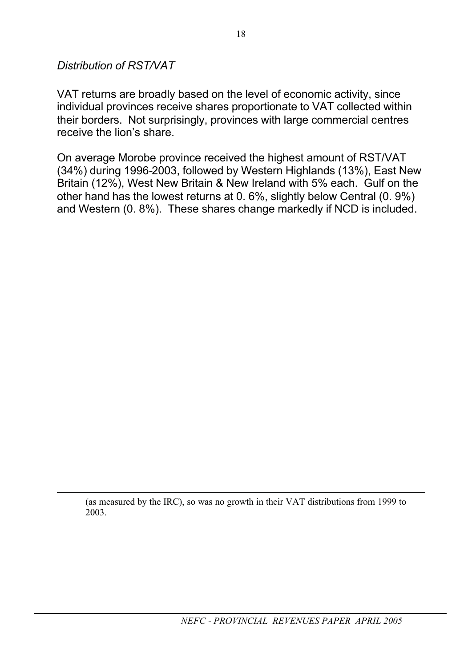*Distribution of RST/VAT*

VAT returns are broadly based on the level of economic activity, since individual provinces receive shares proportionate to VAT collected within their borders. Not surprisingly, provinces with large commercial centres receive the lion's share.

On average Morobe province received the highest amount of RST/VAT (34%) during 1996-2003, followed by Western Highlands (13%), East New Britain (12%), West New Britain & New Ireland with 5% each. Gulf on the other hand has the lowest returns at 0. 6%, slightly below Central (0. 9%) and Western (0. 8%). These shares change markedly if NCD is included.

(as measured by the IRC), so was no growth in their VAT distributions from 1999 to 2003.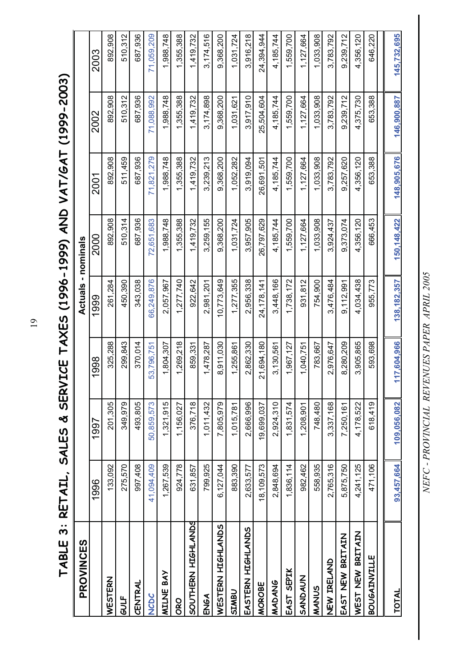**TABLE 3: RETAIL, SALES & SERVICE TAXES (1996-1999) AND VAT/GAT (1999-2003)**  TABLE 3: RETAIL, SALES & SERVICE TAXES (1996-1999) AND VAT/GAT (1999-2003)

| <b>PROVINCES</b>    |            |             |            | Actuals - nominals |               |             |             |             |
|---------------------|------------|-------------|------------|--------------------|---------------|-------------|-------------|-------------|
|                     | 1996       | 1997        | 1998       | 1999               | 2000          | 2001        | 2002        | 2003        |
| WESTERN             | 133,092    | 201,305     | 325,288    | 261,284            | 892,908       | 892,908     | 892,908     | 892,908     |
| GULF                | 275,570    | 349,979     | 299,843    | 450,390            | 510,314       | 511,459     | 510,312     | 510,312     |
| CENTRAL             | 907,408    | 493,805     | 370.014    | 343,038            | 687,936       | 687,936     | 687,936     | 687,936     |
| <b>NCDC</b>         | 41,094,409 | 50,859,573  | 53,796,751 | 66,249,876         | 72,651,683    | 71,821,279  | 71,088,992  | 71,059,209  |
| <b>MILNE BAY</b>    | 1,267,539  | 1,321,915   | 1,804,307  | 2,057,967          | 1,988,748     | 1,988,748   | 1,988,748   | 1,988,748   |
| ORO                 | 924,778    | 1,156,027   | 1,269,218  | 1,277,740          | 1,355,388     | 1,355,388   | 1,355,388   | 1,355,388   |
| SOUTHERN HIGHLANDS  | 631,857    | 376,718     | 859,331    | 922,642            | 1,419,732     | 1,419,732   | 1,419,732   | 1,419,732   |
| ENGA                | 799,925    | 1,011,432   | 1,478,287  | 2,981,201          | 3,259,155     | 3,239,213   | 3,174,898   | 3,174,516   |
| WESTERN HIGHLANDS   | 6,127,044  | 7,805,979   | 8,911,030  | 10,773,649         | 9,368,200     | 9,368,200   | 9,368,200   | 9,368,200   |
| SIMBU               | 883,390    | 1,015,781   | 1,255,861  | 1,277,355          | 1,031,724     | 1,052,282   | 1,031,621   | 1,031,724   |
| EASTERN HIGHLANDS   | 2,633,577  | 2,666,996   | 2,862,330  | 2,956,338          | 3,957,905     | 3,919,094   | 3,917,910   | 3,916,218   |
| MOROBE              | 8,109,573  | 19,699,037  | 21,694,180 | 24,178,141         | 26,797,629    | 26,691,501  | 25,504,604  | 24,394,944  |
| MADANG              | 2,848,694  | 2,924,310   | 3,130,561  | 3,448,166          | 4,185,744     | 4,185,744   | 4,185,744   | 4,185,744   |
| EAST SEPIK          | 1,836,114  | 1,831,574   | 1,967,127  | 1,738,172          | 1,559,700     | 1,559,700   | 1,559,700   | 1,559,700   |
| SANDAUN             | 982,462    | 1,208,901   | 1,040,751  | 931,812            | 1,127,664     | 1,127,664   | 1,127,664   | 1,127,664   |
| MANUS               | 558,935    | 748,480     | 783,667    | 754,900            | 1,033,908     | 1,033,908   | 1,033,908   | 1,033,908   |
| NEW IRELAND         | 2,765,316  | 3,337,168   | 2,976,647  | 3,476,484          | 3,924,437     | 3,783,792   | 3,783,792   | 3,783,792   |
| EAST NEW BRITAIN    | 5,875,750  | 7,250,161   | 8,280,209  | 9,112,991          | 9,373,074     | 9,257,620   | 9,239,712   | 9.239.712   |
| WEST NEW BRITAIN    | 4,241,125  | 4,178,522   | 3,905,865  | 4,034,438          | 4,356,120     | 4,356,120   | 4,375,730   | 4,356,120   |
| <b>BOUGAINVILLE</b> | 471,106    | 618,419     | 593,698    | 955,773            | 666,453       | 653,388     | 653,388     | 646,220     |
|                     |            |             |            |                    |               |             |             |             |
| <b>TOTAL</b>        | 93,457,664 | 109,056,082 | 17,604,966 | 138, 182, 357      | 150, 148, 422 | 148,905,676 | 146,900,887 | 145,732,695 |

NEFC - PROVINCIAL REVENUES PAPER APRIL 2005 *NEFC - PROVINCIAL REVENUES PAPER APRIL 2005*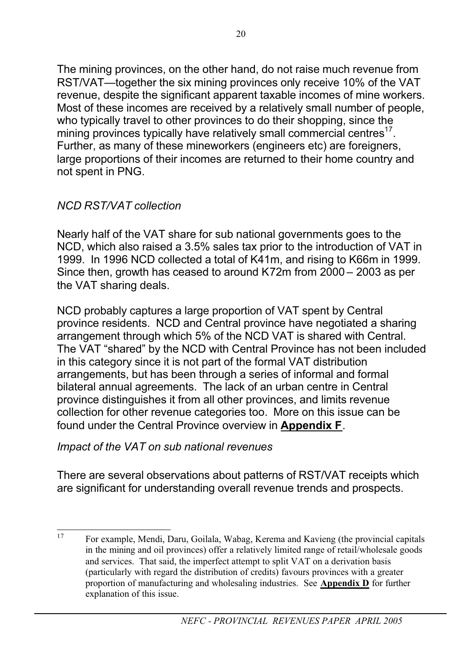The mining provinces, on the other hand, do not raise much revenue from RST/VAT—together the six mining provinces only receive 10% of the VAT revenue, despite the significant apparent taxable incomes of mine workers. Most of these incomes are received by a relatively small number of people, who typically travel to other provinces to do their shopping, since the mining provinces typically have relatively small commercial centres $^{17}$ . Further, as many of these mineworkers (engineers etc) are foreigners, large proportions of their incomes are returned to their home country and not spent in PNG.

### *NCD RST/VAT collection*

Nearly half of the VAT share for sub national governments goes to the NCD, which also raised a 3.5% sales tax prior to the introduction of VAT in 1999. In 1996 NCD collected a total of K41m, and rising to K66m in 1999. Since then, growth has ceased to around K72m from 2000 – 2003 as per the VAT sharing deals.

NCD probably captures a large proportion of VAT spent by Central province residents. NCD and Central province have negotiated a sharing arrangement through which 5% of the NCD VAT is shared with Central. The VAT "shared" by the NCD with Central Province has not been included in this category since it is not part of the formal VAT distribution arrangements, but has been through a series of informal and formal bilateral annual agreements. The lack of an urban centre in Central province distinguishes it from all other provinces, and limits revenue collection for other revenue categories too. More on this issue can be found under the Central Province overview in **Appendix F**.

*Impact of the VAT on sub national revenues*

There are several observations about patterns of RST/VAT receipts which are significant for understanding overall revenue trends and prospects.

<sup>17</sup> For example, Mendi, Daru, Goilala, Wabag, Kerema and Kavieng (the provincial capitals in the mining and oil provinces) offer a relatively limited range of retail/wholesale goods and services. That said, the imperfect attempt to split VAT on a derivation basis (particularly with regard the distribution of credits) favours provinces with a greater proportion of manufacturing and wholesaling industries. See **Appendix D** for further explanation of this issue.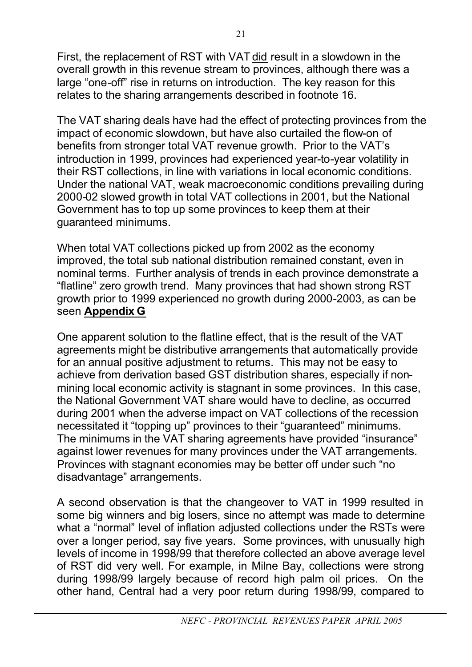First, the replacement of RST with VAT did result in a slowdown in the overall growth in this revenue stream to provinces, although there was a large "one-off" rise in returns on introduction. The key reason for this relates to the sharing arrangements described in footnote 16.

The VAT sharing deals have had the effect of protecting provinces from the impact of economic slowdown, but have also curtailed the flow-on of benefits from stronger total VAT revenue growth. Prior to the VAT's introduction in 1999, provinces had experienced year-to-year volatility in their RST collections, in line with variations in local economic conditions. Under the national VAT, weak macroeconomic conditions prevailing during 2000-02 slowed growth in total VAT collections in 2001, but the National Government has to top up some provinces to keep them at their guaranteed minimums.

When total VAT collections picked up from 2002 as the economy improved, the total sub national distribution remained constant, even in nominal terms. Further analysis of trends in each province demonstrate a "flatline" zero growth trend. Many provinces that had shown strong RST growth prior to 1999 experienced no growth during 2000-2003, as can be seen **Appendix G**

One apparent solution to the flatline effect, that is the result of the VAT agreements might be distributive arrangements that automatically provide for an annual positive adjustment to returns. This may not be easy to achieve from derivation based GST distribution shares, especially if nonmining local economic activity is stagnant in some provinces. In this case, the National Government VAT share would have to decline, as occurred during 2001 when the adverse impact on VAT collections of the recession necessitated it "topping up" provinces to their "guaranteed" minimums. The minimums in the VAT sharing agreements have provided "insurance" against lower revenues for many provinces under the VAT arrangements. Provinces with stagnant economies may be better off under such "no disadvantage" arrangements.

A second observation is that the changeover to VAT in 1999 resulted in some big winners and big losers, since no attempt was made to determine what a "normal" level of inflation adiusted collections under the RSTs were over a longer period, say five years. Some provinces, with unusually high levels of income in 1998/99 that therefore collected an above average level of RST did very well. For example, in Milne Bay, collections were strong during 1998/99 largely because of record high palm oil prices. On the other hand, Central had a very poor return during 1998/99, compared to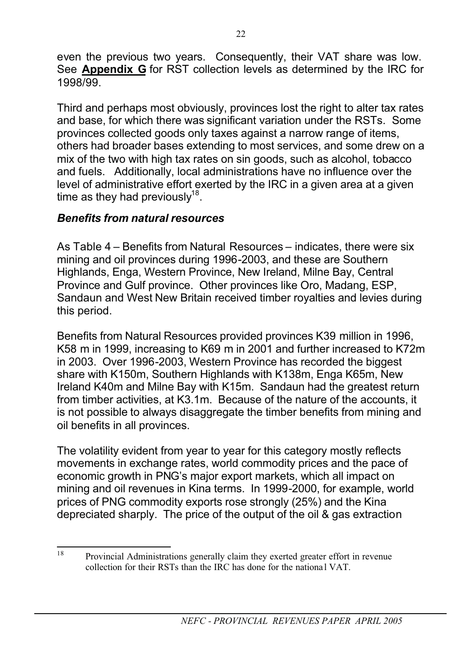even the previous two years. Consequently, their VAT share was low. See **Appendix G** for RST collection levels as determined by the IRC for 1998/99.

Third and perhaps most obviously, provinces lost the right to alter tax rates and base, for which there was significant variation under the RSTs. Some provinces collected goods only taxes against a narrow range of items, others had broader bases extending to most services, and some drew on a mix of the two with high tax rates on sin goods, such as alcohol, tobacco and fuels. Additionally, local administrations have no influence over the level of administrative effort exerted by the IRC in a given area at a given time as they had previously<sup>18</sup>.

### *Benefits from natural resources*

As Table 4 – Benefits from Natural Resources – indicates, there were six mining and oil provinces during 1996-2003, and these are Southern Highlands, Enga, Western Province, New Ireland, Milne Bay, Central Province and Gulf province. Other provinces like Oro, Madang, ESP, Sandaun and West New Britain received timber royalties and levies during this period.

Benefits from Natural Resources provided provinces K39 million in 1996, K58 m in 1999, increasing to K69 m in 2001 and further increased to K72m in 2003. Over 1996-2003, Western Province has recorded the biggest share with K150m, Southern Highlands with K138m, Enga K65m, New Ireland K40m and Milne Bay with K15m. Sandaun had the greatest return from timber activities, at K3.1m. Because of the nature of the accounts, it is not possible to always disaggregate the timber benefits from mining and oil benefits in all provinces.

The volatility evident from year to year for this category mostly reflects movements in exchange rates, world commodity prices and the pace of economic growth in PNG's major export markets, which all impact on mining and oil revenues in Kina terms. In 1999-2000, for example, world prices of PNG commodity exports rose strongly (25%) and the Kina depreciated sharply. The price of the output of the oil & gas extraction

<sup>18</sup> Provincial Administrations generally claim they exerted greater effort in revenue collection for their RSTs than the IRC has done for the national VAT.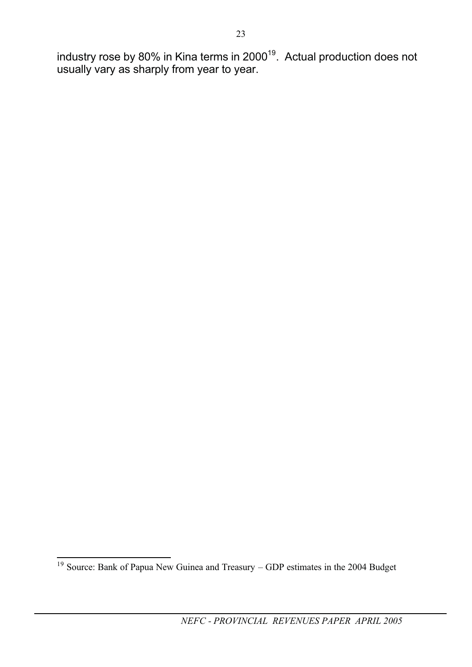industry rose by 80% in Kina terms in 2000<sup>19</sup>. Actual production does not usually vary as sharply from year to year.

<sup>&</sup>lt;sup>19</sup> Source: Bank of Papua New Guinea and Treasury – GDP estimates in the 2004 Budget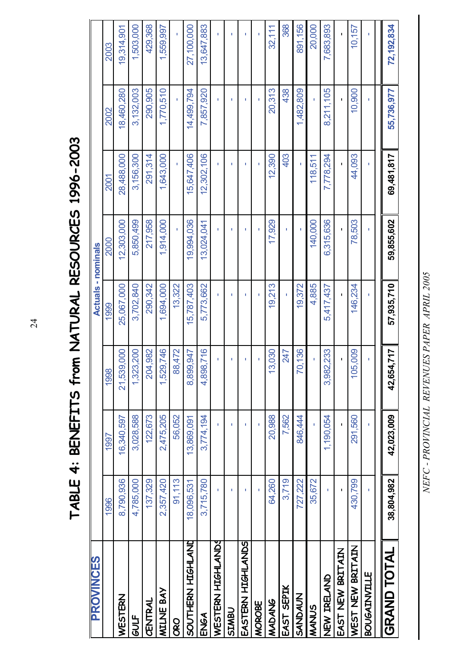TABLE 4: BENEFITS from NATURAL RESOURCES 1996-2003 **TABLE 4: BENEFITS from NATURAL RESOURCES 1996-2003**

| <b>PROVINCES</b>    |            |              |                | <b>Actuals - nominals</b> |              |              |              |            |  |
|---------------------|------------|--------------|----------------|---------------------------|--------------|--------------|--------------|------------|--|
|                     | 1996       | 1997         | 1998           | 1999                      | 2000         | 2001         | 2002         | 2003       |  |
| WESTERN             | 8,790,936  | 16,340,597   | 21,539,000     | 25,067,000                | 12,303,000   | 28,488,000   | 18,460,280   | 19,314,901 |  |
| GULF                | 4,785,000  | 3,028,588    | 1,323,200      | 3,702,840                 | 5,850,499    | 3,156,300    | 3,132,003    | 1,503,000  |  |
| CENTRAL             | 137,329    | 122,673      | 204,982        | 290,342                   | 217,958      | 291,314      | 290,905      | 429,368    |  |
| <b>MILNE BAY</b>    | 2,357,420  | 2,475,205    | 1,529,746      | 1,694,000                 | 1,914,000    | 1,643,000    | 1,770,510    | 1,559,997  |  |
| <b>ORO</b>          | 91,113     | 56,052       | 88,472         | 13,322                    |              |              |              |            |  |
| SOUTHERN HIGHLAND   | 18,096,531 | 13,869,091   | 99,947<br>8,89 | 5,787,403                 | 19,994,036   | 15,647,406   | 14,499,794   | 27,100,000 |  |
| ENGA                | 3,715,780  | 3,774,194    | 4,898,716      | 5,773,662                 | 13,024,041   | 12,302,106   | 7,857,920    | 13,647,883 |  |
| WESTERN HIGHLANDS   |            |              |                | ٠                         |              | ٠            |              |            |  |
| <b>USWISS</b>       | ı          | ı            | ı              | ı                         | ı            | f.           | ı            | T.         |  |
| EASTERN HIGHLANDS   | ı          |              | ı              | ı                         | f,           | ٠            | п            | ٠          |  |
| MOROBE              |            |              |                |                           |              |              | ٠            |            |  |
| MADANG              | 64,260     | 20,988       | 3,030          | 19,213                    | 17,929       | 12,390       | 20,313       | 32,111     |  |
| EAST SEPIK          | 3,719      | 7,562        | 247            | ï                         | ï            | 403          | 438          | 368        |  |
| SANDAUN             | 727,222    | 846,444      | 0,136          | 19,372                    |              | ï            | 1,482,809    | 891,156    |  |
| MANUS               | 35,672     |              | ĭ.             | 4,885                     | 140,000      | 118,511      | ĭ.           | 20,000     |  |
| NEW IRELAND         | I.         | 1,190,054    | 3,982,233      | 5,417,437                 | 6,315,636    | 7,778,294    | 8,211,105    | 7,683,893  |  |
| EAST NEW BRITAIN    | Ï          | $\mathbf{I}$ | $\blacksquare$ | $\mathbf{I}$              | $\mathbf{I}$ | $\mathbf{I}$ | $\mathbf{I}$ |            |  |
| WEST NEW BRITAIN    | 430,799    | 291,560      | 5,009<br>₽     | 146,234                   | 78,503       | 44,093       | 10,900       | 10,157     |  |
| <b>BOUGAINVILLE</b> |            |              | ı              | T.                        | ï            | r.           | T.           |            |  |
| <b>GRAND TOTAL</b>  | 38,804,982 | 42,023,009   | 42,654,717     | 57,935,710                | 59,855,602   | 69,481,817   | 55,736,977   | 72,192,834 |  |
|                     |            |              |                |                           |              |              |              |            |  |

NEFC - PROVINCIAL REVENUES PAPER APRIL 2005 *NEFC - PROVINCIAL REVENUES PAPER APRIL 2005*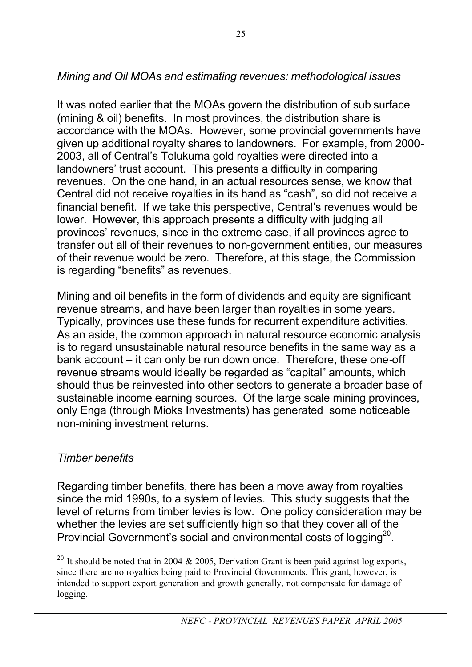### *Mining and Oil MOAs and estimating revenues: methodological issues*

It was noted earlier that the MOAs govern the distribution of sub surface (mining & oil) benefits. In most provinces, the distribution share is accordance with the MOAs. However, some provincial governments have given up additional royalty shares to landowners. For example, from 2000- 2003, all of Central's Tolukuma gold royalties were directed into a landowners' trust account. This presents a difficulty in comparing revenues. On the one hand, in an actual resources sense, we know that Central did not receive royalties in its hand as "cash", so did not receive a financial benefit. If we take this perspective, Central's revenues would be lower. However, this approach presents a difficulty with judging all provinces' revenues, since in the extreme case, if all provinces agree to transfer out all of their revenues to non-government entities, our measures of their revenue would be zero. Therefore, at this stage, the Commission is regarding "benefits" as revenues.

Mining and oil benefits in the form of dividends and equity are significant revenue streams, and have been larger than royalties in some years. Typically, provinces use these funds for recurrent expenditure activities. As an aside, the common approach in natural resource economic analysis is to regard unsustainable natural resource benefits in the same way as a bank account – it can only be run down once. Therefore, these one-off revenue streams would ideally be regarded as "capital" amounts, which should thus be reinvested into other sectors to generate a broader base of sustainable income earning sources. Of the large scale mining provinces, only Enga (through Mioks Investments) has generated some noticeable non-mining investment returns.

### *Timber benefits*

Regarding timber benefits, there has been a move away from royalties since the mid 1990s, to a system of levies. This study suggests that the level of returns from timber levies is low. One policy consideration may be whether the levies are set sufficiently high so that they cover all of the Provincial Government's social and environmental costs of logging<sup>20</sup>.

<sup>&</sup>lt;sup>20</sup> It should be noted that in 2004 & 2005, Derivation Grant is been paid against log exports, since there are no royalties being paid to Provincial Governments. This grant, however, is intended to support export generation and growth generally, not compensate for damage of logging.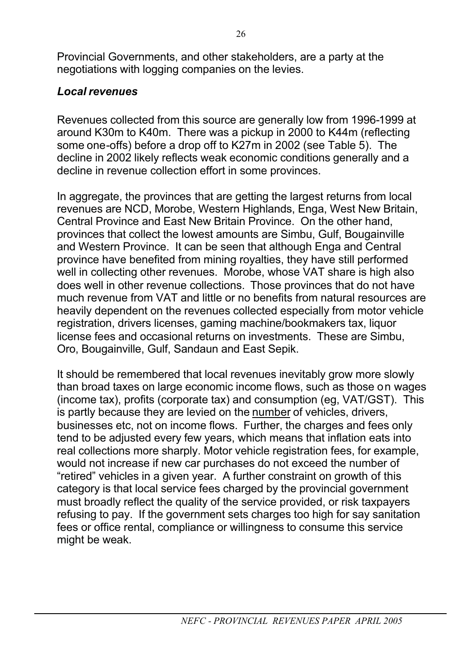Provincial Governments, and other stakeholders, are a party at the negotiations with logging companies on the levies.

### *Local revenues*

Revenues collected from this source are generally low from 1996-1999 at around K30m to K40m. There was a pickup in 2000 to K44m (reflecting some one-offs) before a drop off to K27m in 2002 (see Table 5). The decline in 2002 likely reflects weak economic conditions generally and a decline in revenue collection effort in some provinces.

In aggregate, the provinces that are getting the largest returns from local revenues are NCD, Morobe, Western Highlands, Enga, West New Britain, Central Province and East New Britain Province. On the other hand, provinces that collect the lowest amounts are Simbu, Gulf, Bougainville and Western Province. It can be seen that although Enga and Central province have benefited from mining royalties, they have still performed well in collecting other revenues. Morobe, whose VAT share is high also does well in other revenue collections. Those provinces that do not have much revenue from VAT and little or no benefits from natural resources are heavily dependent on the revenues collected especially from motor vehicle registration, drivers licenses, gaming machine/bookmakers tax, liquor license fees and occasional returns on investments. These are Simbu, Oro, Bougainville, Gulf, Sandaun and East Sepik.

It should be remembered that local revenues inevitably grow more slowly than broad taxes on large economic income flows, such as those on wages (income tax), profits (corporate tax) and consumption (eg, VAT/GST). This is partly because they are levied on the number of vehicles, drivers, businesses etc, not on income flows. Further, the charges and fees only tend to be adjusted every few years, which means that inflation eats into real collections more sharply. Motor vehicle registration fees, for example, would not increase if new car purchases do not exceed the number of "retired" vehicles in a given year. A further constraint on growth of this category is that local service fees charged by the provincial government must broadly reflect the quality of the service provided, or risk taxpayers refusing to pay. If the government sets charges too high for say sanitation fees or office rental, compliance or willingness to consume this service might be weak.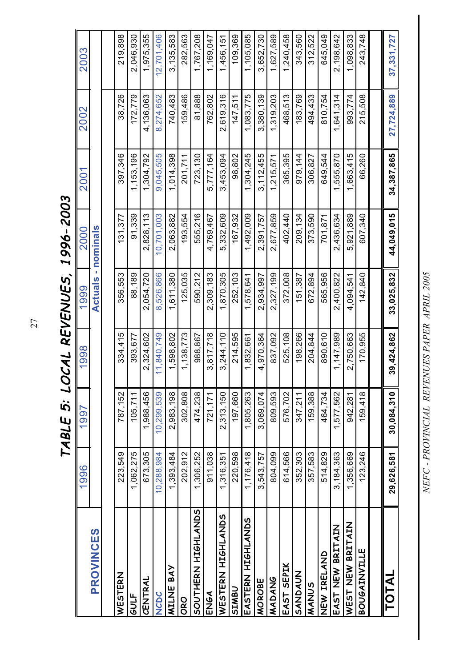TABLE 5: LOCAL REVENUES, 1996-2003 *TABLE 5: LOCAL REVENUES, 1 996- 2003* 

NEFC - PROVINCIAL REVENUES PAPER APRIL 2005 *NEFC - PROVINCIAL REVENUES PAPER APRIL 2005*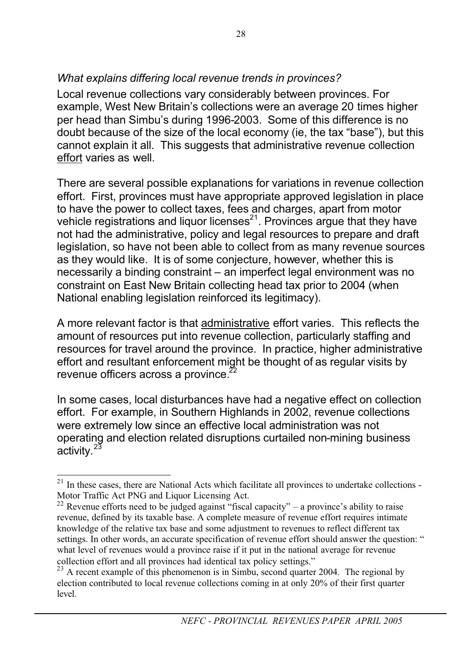### *What explains differing local revenue trends in provinces?*

Local revenue collections vary considerably between provinces. For example, West New Britain's collections were an average 20 times higher per head than Simbu's during 1996-2003. Some of this difference is no doubt because of the size of the local economy (ie, the tax "base"), but this cannot explain it all. This suggests that administrative revenue collection effort varies as well.

There are several possible explanations for variations in revenue collection effort. First, provinces must have appropriate approved legislation in place to have the power to collect taxes, fees and charges, apart from motor vehicle registrations and liquor licenses $2<sup>21</sup>$ . Provinces argue that they have not had the administrative, policy and legal resources to prepare and draft legislation, so have not been able to collect from as many revenue sources as they would like. It is of some conjecture, however, whether this is necessarily a binding constraint – an imperfect legal environment was no constraint on East New Britain collecting head tax prior to 2004 (when National enabling legislation reinforced its legitimacy).

A more relevant factor is that administrative effort varies. This reflects the amount of resources put into revenue collection, particularly staffing and resources for travel around the province. In practice, higher administrative effort and resultant enforcement might be thought of as regular visits by revenue officers across a province.

In some cases, local disturbances have had a negative effect on collection effort. For example, in Southern Highlands in 2002, revenue collections were extremely low since an effective local administration was not operating and election related disruptions curtailed non-mining business activity.<sup>23</sup>

 $21$  In these cases, there are National Acts which facilitate all provinces to undertake collections -Motor Traffic Act PNG and Liquor Licensing Act.

<sup>&</sup>lt;sup>22</sup> Revenue efforts need to be judged against "fiscal capacity" – a province's ability to raise revenue, defined by its taxable base. A complete measure of revenue effort requires intimate knowledge of the relative tax base and some adjustment to revenues to reflect different tax settings. In other words, an accurate specification of revenue effort should answer the question: " what level of revenues would a province raise if it put in the national average for revenue collection effort and all provinces had identical tax policy settings."

 $23$  A recent example of this phenomenon is in Simbu, second quarter 2004. The regional by election contributed to local revenue collections coming in at only 20% of their first quarter level.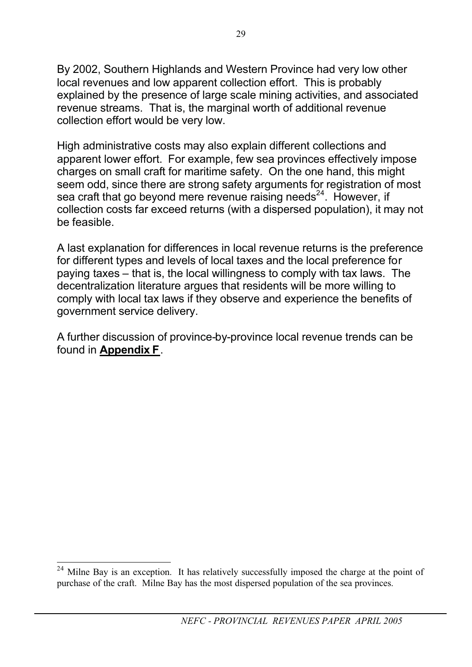By 2002, Southern Highlands and Western Province had very low other local revenues and low apparent collection effort. This is probably explained by the presence of large scale mining activities, and associated revenue streams. That is, the marginal worth of additional revenue collection effort would be very low.

High administrative costs may also explain different collections and apparent lower effort. For example, few sea provinces effectively impose charges on small craft for maritime safety. On the one hand, this might seem odd, since there are strong safety arguments for registration of most sea craft that go beyond mere revenue raising needs $^{24}$ . However, if collection costs far exceed returns (with a dispersed population), it may not be feasible.

A last explanation for differences in local revenue returns is the preference for different types and levels of local taxes and the local preference for paying taxes – that is, the local willingness to comply with tax laws. The decentralization literature argues that residents will be more willing to comply with local tax laws if they observe and experience the benefits of government service delivery.

A further discussion of province-by-province local revenue trends can be found in **Appendix F**.

<sup>&</sup>lt;sup>24</sup> Milne Bay is an exception. It has relatively successfully imposed the charge at the point of purchase of the craft. Milne Bay has the most dispersed population of the sea provinces.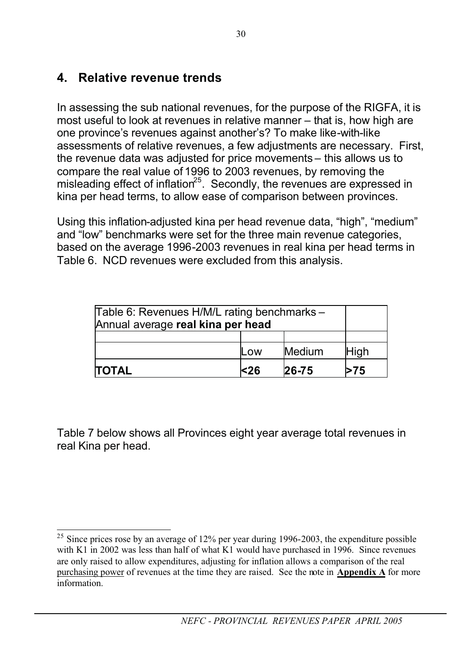## **4. Relative revenue trends**

In assessing the sub national revenues, for the purpose of the RIGFA, it is most useful to look at revenues in relative manner – that is, how high are one province's revenues against another's? To make like-with-like assessments of relative revenues, a few adjustments are necessary. First, the revenue data was adjusted for price movements – this allows us to compare the real value of 1996 to 2003 revenues, by removing the misleading effect of inflation<sup>25</sup>. Secondly, the revenues are expressed in kina per head terms, to allow ease of comparison between provinces.

Using this inflation-adjusted kina per head revenue data, "high", "medium" and "low" benchmarks were set for the three main revenue categories, based on the average 1996-2003 revenues in real kina per head terms in Table 6. NCD revenues were excluded from this analysis.

| Table 6: Revenues H/M/L rating benchmarks -<br>Annual average real kina per head |            |           |      |
|----------------------------------------------------------------------------------|------------|-----------|------|
|                                                                                  |            |           |      |
|                                                                                  | <b>Low</b> | Medium    | High |
| TOTAL                                                                            | ∣<26       | $26 - 75$ | 75   |

Table 7 below shows all Provinces eight year average total revenues in real Kina per head.

<sup>&</sup>lt;sup>25</sup> Since prices rose by an average of  $12\%$  per year during 1996-2003, the expenditure possible with K1 in 2002 was less than half of what K1 would have purchased in 1996. Since revenues are only raised to allow expenditures, adjusting for inflation allows a comparison of the real purchasing power of revenues at the time they are raised. See the note in **Appendix A** for more information.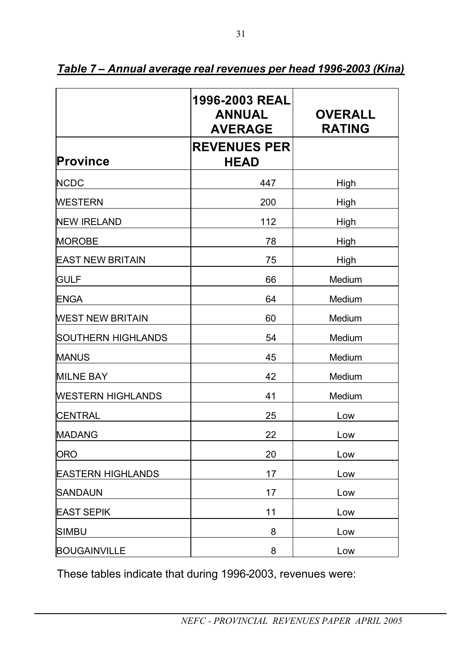|                          | 1996-2003 REAL<br><b>ANNUAL</b><br><b>AVERAGE</b> | <b>OVERALL</b><br><b>RATING</b> |
|--------------------------|---------------------------------------------------|---------------------------------|
| <b>Province</b>          | <b>REVENUES PER</b><br><b>HEAD</b>                |                                 |
| <b>NCDC</b>              | 447                                               | High                            |
| <b>WESTERN</b>           | 200                                               | High                            |
| <b>NEW IRELAND</b>       | 112                                               | High                            |
| <b>MOROBE</b>            | 78                                                | High                            |
| <b>EAST NEW BRITAIN</b>  | 75                                                | High                            |
| <b>GULF</b>              | 66                                                | Medium                          |
| <b>ENGA</b>              | 64                                                | Medium                          |
| <b>WEST NEW BRITAIN</b>  | 60                                                | Medium                          |
| SOUTHERN HIGHLANDS       | 54                                                | Medium                          |
| <b>MANUS</b>             | 45                                                | Medium                          |
| <b>MILNE BAY</b>         | 42                                                | Medium                          |
| <b>WESTERN HIGHLANDS</b> | 41                                                | Medium                          |
| <b>CENTRAL</b>           | 25                                                | Low                             |
| <b>MADANG</b>            | 22                                                | Low                             |
| <b>ORO</b>               | 20                                                | Low                             |
| <b>EASTERN HIGHLANDS</b> | 17                                                | Low                             |
| <b>SANDAUN</b>           | 17                                                | Low                             |
| <b>EAST SEPIK</b>        | 11                                                | Low                             |
| <b>SIMBU</b>             | 8                                                 | Low                             |
| <b>BOUGAINVILLE</b>      | 8                                                 | Low                             |

*Table 7 – Annual average real revenues per head 1996-2003 (Kina)*

31

These tables indicate that during 1996-2003, revenues were: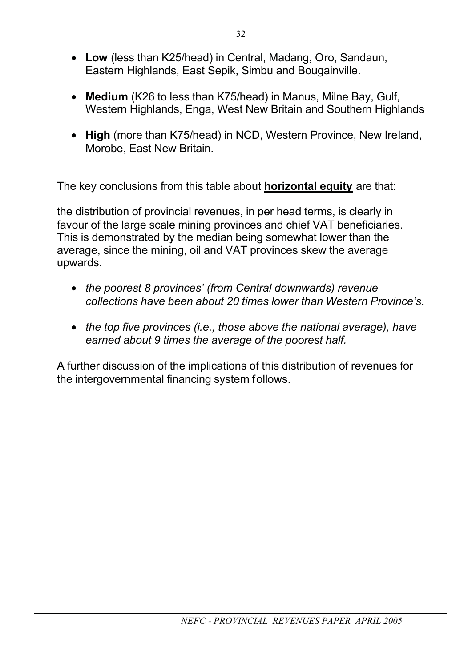- **Low** (less than K25/head) in Central, Madang, Oro, Sandaun, Eastern Highlands, East Sepik, Simbu and Bougainville.
- **Medium** (K26 to less than K75/head) in Manus, Milne Bay, Gulf, Western Highlands, Enga, West New Britain and Southern Highlands
- **High** (more than K75/head) in NCD, Western Province, New Ireland, Morobe, East New Britain.

The key conclusions from this table about **horizontal equity** are that:

the distribution of provincial revenues, in per head terms, is clearly in favour of the large scale mining provinces and chief VAT beneficiaries. This is demonstrated by the median being somewhat lower than the average, since the mining, oil and VAT provinces skew the average upwards.

- *the poorest 8 provinces' (from Central downwards) revenue collections have been about 20 times lower than Western Province's.*
- *the top five provinces (i.e., those above the national average), have earned about 9 times the average of the poorest half.*

A further discussion of the implications of this distribution of revenues for the intergovernmental financing system follows.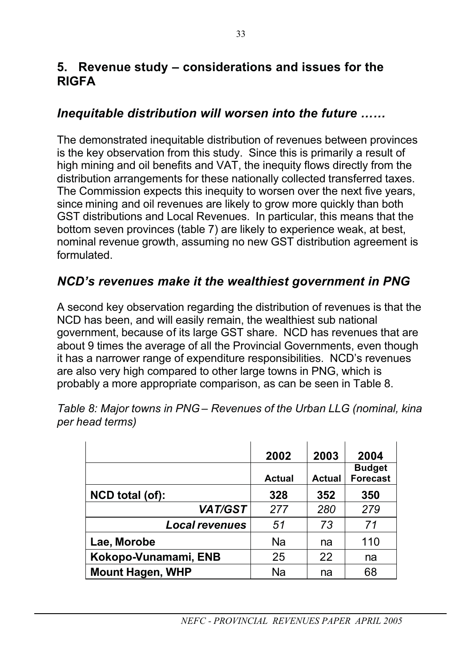### **5. Revenue study – considerations and issues for the RIGFA**

### *Inequitable distribution will worsen into the future ……*

The demonstrated inequitable distribution of revenues between provinces is the key observation from this study. Since this is primarily a result of high mining and oil benefits and VAT, the inequity flows directly from the distribution arrangements for these nationally collected transferred taxes. The Commission expects this inequity to worsen over the next five years, since mining and oil revenues are likely to grow more quickly than both GST distributions and Local Revenues. In particular, this means that the bottom seven provinces (table 7) are likely to experience weak, at best, nominal revenue growth, assuming no new GST distribution agreement is formulated.

### *NCD's revenues make it the wealthiest government in PNG*

A second key observation regarding the distribution of revenues is that the NCD has been, and will easily remain, the wealthiest sub national government, because of its large GST share. NCD has revenues that are about 9 times the average of all the Provincial Governments, even though it has a narrower range of expenditure responsibilities. NCD's revenues are also very high compared to other large towns in PNG, which is probably a more appropriate comparison, as can be seen in Table 8.

|                         | 2002<br><b>Actual</b> | 2003<br><b>Actual</b> | 2004<br><b>Budget</b><br><b>Forecast</b> |
|-------------------------|-----------------------|-----------------------|------------------------------------------|
| NCD total (of):         | 328                   | 352                   | 350                                      |
| <b>VAT/GST</b>          | 277                   | 280                   | 279                                      |
| <b>Local revenues</b>   | 51                    | 73                    | 71                                       |
| Lae, Morobe             | <b>Na</b>             | na                    | 110                                      |
| Kokopo-Vunamami, ENB    | 25                    | 22                    | na                                       |
| <b>Mount Hagen, WHP</b> | Na                    | na                    | 68                                       |

*Table 8: Major towns in PNG – Revenues of the Urban LLG (nominal, kina per head terms)*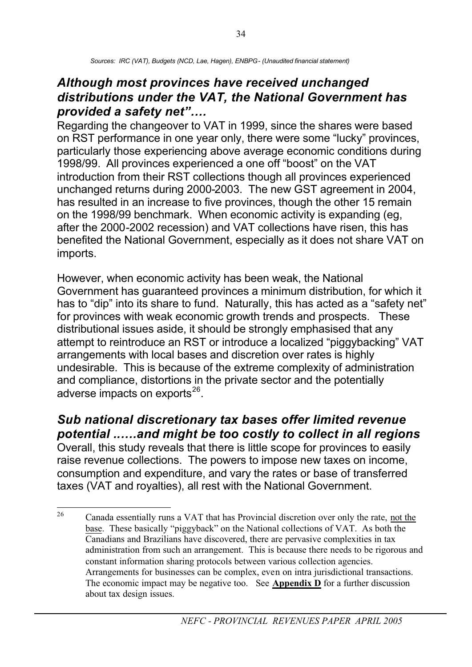### *Although most provinces have received unchanged distributions under the VAT, the National Government has provided a safety net"….*

Regarding the changeover to VAT in 1999, since the shares were based on RST performance in one year only, there were some "lucky" provinces, particularly those experiencing above average economic conditions during 1998/99. All provinces experienced a one off "boost" on the VAT introduction from their RST collections though all provinces experienced unchanged returns during 2000-2003. The new GST agreement in 2004, has resulted in an increase to five provinces, though the other 15 remain on the 1998/99 benchmark. When economic activity is expanding (eg, after the 2000-2002 recession) and VAT collections have risen, this has benefited the National Government, especially as it does not share VAT on imports.

However, when economic activity has been weak, the National Government has guaranteed provinces a minimum distribution, for which it has to "dip" into its share to fund. Naturally, this has acted as a "safety net" for provinces with weak economic growth trends and prospects. These distributional issues aside, it should be strongly emphasised that any attempt to reintroduce an RST or introduce a localized "piggybacking" VAT arrangements with local bases and discretion over rates is highly undesirable. This is because of the extreme complexity of administration and compliance, distortions in the private sector and the potentially adverse impacts on exports $^{26}$ .

### *Sub national discretionary tax bases offer limited revenue potential ..….and might be too costly to collect in all regions*

Overall, this study reveals that there is little scope for provinces to easily raise revenue collections. The powers to impose new taxes on income, consumption and expenditure, and vary the rates or base of transferred taxes (VAT and royalties), all rest with the National Government.

<sup>&</sup>lt;sup>26</sup> Canada essentially runs a VAT that has Provincial discretion over only the rate, not the base. These basically "piggyback" on the National collections of VAT. As both the Canadians and Brazilians have discovered, there are pervasive complexities in tax administration from such an arrangement. This is because there needs to be rigorous and constant information sharing protocols between various collection agencies. Arrangements for businesses can be complex, even on intra jurisdictional transactions. The economic impact may be negative too. See **Appendix D** for a further discussion about tax design issues.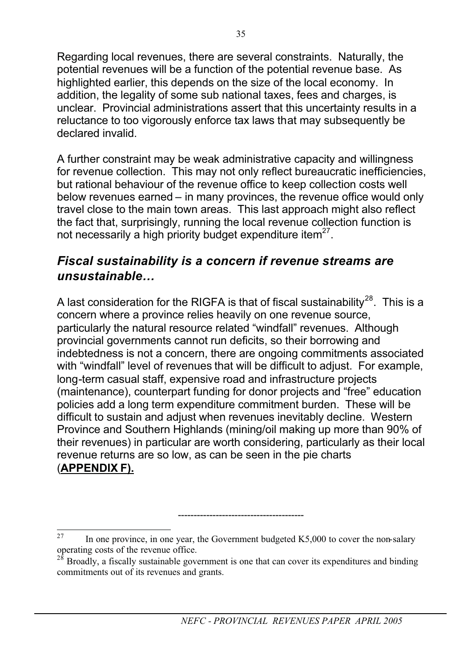Regarding local revenues, there are several constraints. Naturally, the potential revenues will be a function of the potential revenue base. As highlighted earlier, this depends on the size of the local economy. In addition, the legality of some sub national taxes, fees and charges, is unclear. Provincial administrations assert that this uncertainty results in a reluctance to too vigorously enforce tax laws that may subsequently be declared invalid.

A further constraint may be weak administrative capacity and willingness for revenue collection. This may not only reflect bureaucratic inefficiencies, but rational behaviour of the revenue office to keep collection costs well below revenues earned – in many provinces, the revenue office would only travel close to the main town areas. This last approach might also reflect the fact that, surprisingly, running the local revenue collection function is not necessarily a high priority budget expenditure item<sup>27</sup>.

### *Fiscal sustainability is a concern if revenue streams are unsustainable…*

A last consideration for the RIGFA is that of fiscal sustainability<sup>28</sup>. This is a concern where a province relies heavily on one revenue source, particularly the natural resource related "windfall" revenues. Although provincial governments cannot run deficits, so their borrowing and indebtedness is not a concern, there are ongoing commitments associated with "windfall" level of revenues that will be difficult to adjust. For example, long-term casual staff, expensive road and infrastructure projects (maintenance), counterpart funding for donor projects and "free" education policies add a long term expenditure commitment burden. These will be difficult to sustain and adjust when revenues inevitably decline. Western Province and Southern Highlands (mining/oil making up more than 90% of their revenues) in particular are worth considering, particularly as their local revenue returns are so low, as can be seen in the pie charts (**APPENDIX F).**

----------------------------------------

<sup>&</sup>lt;sup>27</sup> In one province, in one year, the Government budgeted K5,000 to cover the non-salary operating costs of the revenue office.

 $28$  Broadly, a fiscally sustainable government is one that can cover its expenditures and binding commitments out of its revenues and grants.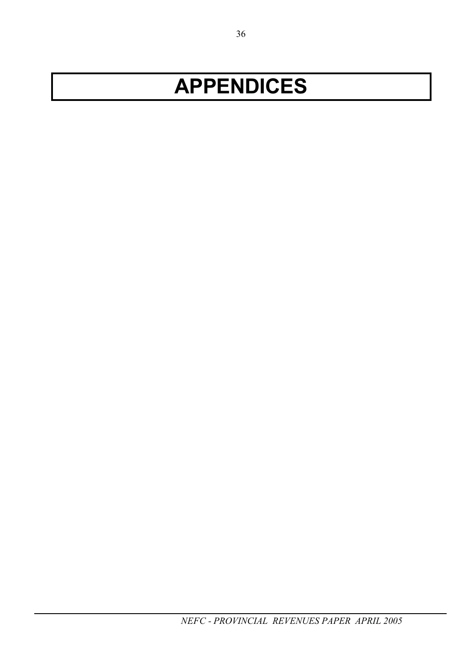# **APPENDICES**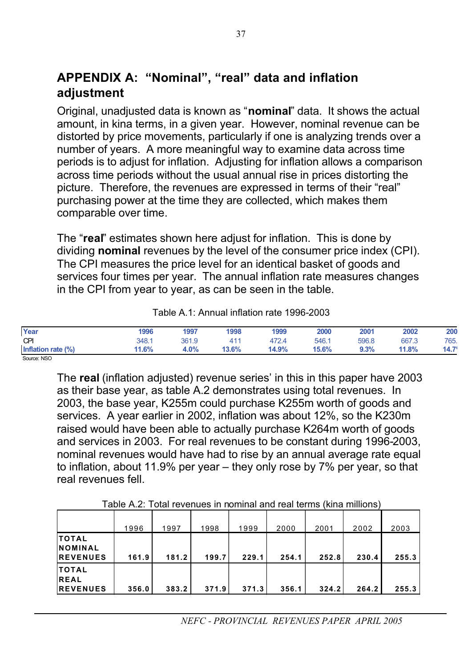### **APPENDIX A: "Nominal", "real" data and inflation adjustment**

Original, unadjusted data is known as "**nominal**" data. It shows the actual amount, in kina terms, in a given year. However, nominal revenue can be distorted by price movements, particularly if one is analyzing trends over a number of years. A more meaningful way to examine data across time periods is to adjust for inflation. Adjusting for inflation allows a comparison across time periods without the usual annual rise in prices distorting the picture. Therefore, the revenues are expressed in terms of their "real" purchasing power at the time they are collected, which makes them comparable over time.

The "**real**" estimates shown here adjust for inflation. This is done by dividing **nominal** revenues by the level of the consumer price index (CPI). The CPI measures the price level for an identical basket of goods and services four times per year. The annual inflation rate measures changes in the CPI from year to year, as can be seen in the table.

| Year               | 1996  | 1997        | 1998  | 1999  | 2000  | 2001    | 2002  | 200            |
|--------------------|-------|-------------|-------|-------|-------|---------|-------|----------------|
| CPI                | 348.1 | 361.9       | 411   | 472.4 | 546.1 | 596.8   | 667.3 | 765.           |
| Inflation rate (%) | 11.6% | <b>1.0%</b> | 13.6% | 14.9% | 15.6% | $9.3\%$ | 11.8% | $14.7^{\circ}$ |
| Source: NSO        |       |             |       |       |       |         |       |                |

Table A.1: Annual inflation rate 1996-2003

The **real** (inflation adjusted) revenue series' in this in this paper have 2003 as their base year, as table A.2 demonstrates using total revenues. In 2003, the base year, K255m could purchase K255m worth of goods and services. A year earlier in 2002, inflation was about 12%, so the K230m raised would have been able to actually purchase K264m worth of goods and services in 2003. For real revenues to be constant during 1996-2003, nominal revenues would have had to rise by an annual average rate equal to inflation, about 11.9% per year – they only rose by 7% per year, so that real revenues fell.

|                                                      | 1996  | 1997  | 1998  | 1999  | 2000  | 2001  | 2002  | 2003  |
|------------------------------------------------------|-------|-------|-------|-------|-------|-------|-------|-------|
| <b>ITOTAL</b><br><b>INOMINAL</b><br><b>IREVENUES</b> | 161.9 | 181.2 | 199.7 | 229.1 | 254.1 | 252.8 | 230.4 | 255.3 |
| <b>ITOTAL</b><br><b>REAL</b><br><b>REVENUES</b>      | 356.0 | 383.2 | 371.9 | 371.3 | 356.1 | 324.2 | 264.2 | 255.3 |

Table A.2: Total revenues in nominal and real terms (kina millions)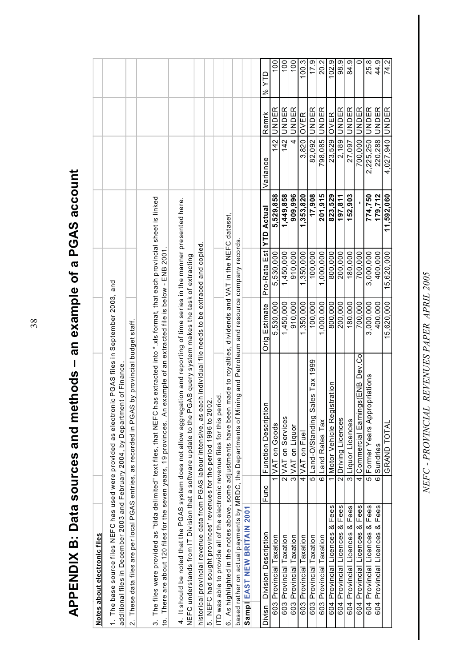| .s – an example of a PGAS accoun' |
|-----------------------------------|
|                                   |
|                                   |
|                                   |
|                                   |
|                                   |
|                                   |
|                                   |
|                                   |
|                                   |
|                                   |
|                                   |
|                                   |
|                                   |
|                                   |
|                                   |
|                                   |
|                                   |
|                                   |
|                                   |
|                                   |
|                                   |
|                                   |
|                                   |
|                                   |
|                                   |
|                                   |
|                                   |
|                                   |
|                                   |
|                                   |
|                                   |
|                                   |
|                                   |
| Jata sources and methods          |
|                                   |
|                                   |
| נ<br>l                            |
| Ĭ.                                |
| j<br>m                            |
|                                   |
|                                   |
|                                   |
|                                   |
|                                   |
| Í<br>١                            |
|                                   |
|                                   |
| Г<br>Ш                            |
| <u>ה</u>                          |
|                                   |
| L                                 |
| `<br>⊲<br>l                       |

|        | Notes about electronic files                                                |                    |                                                                                                                                                                                                                                                                     |               |              |                   |                  |              |                |
|--------|-----------------------------------------------------------------------------|--------------------|---------------------------------------------------------------------------------------------------------------------------------------------------------------------------------------------------------------------------------------------------------------------|---------------|--------------|-------------------|------------------|--------------|----------------|
|        |                                                                             |                    | 1. The base source files NEFC has used were provided as electronic PGAS files in September 2003, and<br>additional files in December 2003 and February 2004, by Department of Finance                                                                               |               |              |                   |                  |              |                |
|        |                                                                             |                    | 2. These data files are per local PGAS entries, as recorded in PGAS by provincial budget staff.                                                                                                                                                                     |               |              |                   |                  |              |                |
|        |                                                                             |                    |                                                                                                                                                                                                                                                                     |               |              |                   |                  |              |                |
|        |                                                                             |                    | 3. The files were provided as "tilda delimited" text files, that NEFC has extracted into *.xls format, that each provincial sheet is linked<br>to. There are about 120 files for the seven years, 19 provinces. An example of an extracted file is below - ENB 2001 |               |              |                   |                  |              |                |
|        | NEFC understands from IT Division that a software update to the             |                    | 4. It should be noted that the PGAS system does not allow aggregation and reporting of time series in the manner presented here.<br>PGAS query system makes the task of extracting                                                                                  |               |              |                   |                  |              |                |
|        |                                                                             |                    |                                                                                                                                                                                                                                                                     |               |              |                   |                  |              |                |
|        | historical provincial revenue data from PGAS labour intensive, as           |                    | each individual file needs to be extraced and copied                                                                                                                                                                                                                |               |              |                   |                  |              |                |
|        | 5. NEFC had sought provinces' revenues for the period 1996 to 2002.         |                    |                                                                                                                                                                                                                                                                     |               |              |                   |                  |              |                |
|        | ITD was able to provide all of the electronic revenue files for this period |                    |                                                                                                                                                                                                                                                                     |               |              |                   |                  |              |                |
|        |                                                                             |                    | 6. As highlighted in the notes above, some adjustments have been made to royalties, dividends and VAT in the NEFC dataset,                                                                                                                                          |               |              |                   |                  |              |                |
|        |                                                                             |                    | based rather on actual payments by MRDC, the Departments of Mining and Petroleum and resource company records                                                                                                                                                       |               |              |                   |                  |              |                |
|        | Sampl EAST NEW BRITAIN 2001                                                 |                    |                                                                                                                                                                                                                                                                     |               |              |                   |                  |              |                |
|        |                                                                             |                    |                                                                                                                                                                                                                                                                     |               |              |                   |                  |              |                |
| Divisn | Division Description                                                        | Func               | δn<br><b>Function Descript</b>                                                                                                                                                                                                                                      | Orig Estimate | Pro-Rata Est | <b>YTD Actual</b> | Variance         | Remrk        | % YTD          |
|        | 603 Provincial Taxation                                                     |                    | VAT on Goods                                                                                                                                                                                                                                                        | 5,530,000     | 5,530,000    | 5,529,858         | 142              | UNDER        | $\frac{00}{1}$ |
|        | 603 Provincial Taxation                                                     |                    | 2 VAT on Services                                                                                                                                                                                                                                                   | 1,450,000     | 1,450,000    | 1,449,858         |                  | 142 UNDER    | $\frac{00}{1}$ |
|        | 603 Provincial Taxation                                                     |                    | 3 VAT on Liquor                                                                                                                                                                                                                                                     | 910.000       | 910,000      | 909,996           | $\overline{4}$   | UNDER        | 100            |
|        | Taxation<br>603 Provincial                                                  | $\overline{4}$     | VAT on Fuel                                                                                                                                                                                                                                                         | ,350,000      | 1,350,000    | 1,353,820         | 3,820            | OVER         | 100.3          |
|        | 603 Provincial Taxation                                                     |                    | Sales Tax 1999<br>5 Land-O/Standing                                                                                                                                                                                                                                 | 100.000       | 100,000      | 17,908            |                  | 82,092 UNDER | 17.9           |
|        | 603 Provincial Taxation                                                     |                    | 6 Land Rates Tax                                                                                                                                                                                                                                                    | 1,000,000     | 1,000,000    | 201.915           | 98,085           | UNDER        | 20.2           |
| 604    | Fees<br>∞<br>Licences<br>Provincial                                         |                    | Motor Vehicle Registration                                                                                                                                                                                                                                          | 800,000       | 800,000      | 823,529           | 23,529           | OVER         | 102.9          |
|        | 604 Provincial Licences & Fees                                              |                    | 2 Driving Licences                                                                                                                                                                                                                                                  | 200,000       | 200,000      | 197,811           | 2,189            | UNDER        | 98.9           |
|        | 604 Provincial Licences & Fees                                              |                    | 3 Liquor Licences                                                                                                                                                                                                                                                   | 180.000       | 180.000      | 152,903           | 27.097           | UNDER        | 84.9           |
| 604    | Provincial Licences & Fees                                                  | 4                  | ngs(ENB Dev.Co<br>Commercial Earn                                                                                                                                                                                                                                   | 700,000       | 700,000      |                   | 700,000          | <b>UNDER</b> | 0              |
|        | 604 Provincial Licences & Fees                                              | 5                  | Former Years Appropriations                                                                                                                                                                                                                                         | 3,000,000     | 3,000,000    | 774,750           | 2,225,250 JUNDER |              | 25.8           |
|        | 604 Provincial Licences & Fees                                              | $\overline{\circ}$ | Sundries                                                                                                                                                                                                                                                            | 400.000       | 400.000      | 179.712           | 220.288          | UNDER        | 44.9           |
|        |                                                                             |                    | <b>GRAND TOTAL</b>                                                                                                                                                                                                                                                  | 15,620,000    | 15,620,000   | 11,592,060        | 4,027,940 UNDER  |              | 74.2           |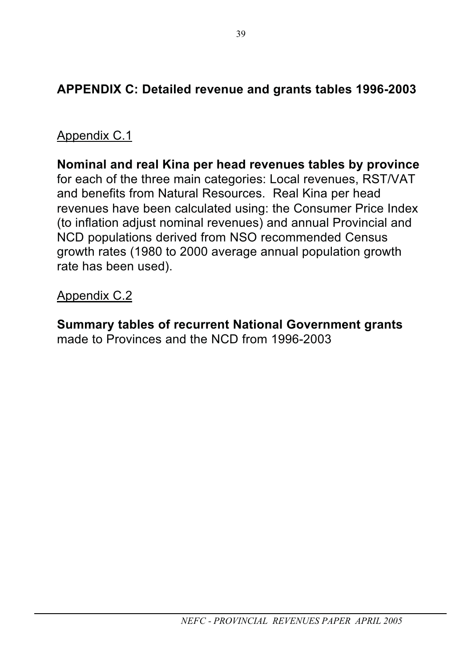# **APPENDIX C: Detailed revenue and grants tables 1996-2003**

## Appendix C.1

**Nominal and real Kina per head revenues tables by province** for each of the three main categories: Local revenues, RST/VAT and benefits from Natural Resources. Real Kina per head revenues have been calculated using: the Consumer Price Index (to inflation adjust nominal revenues) and annual Provincial and NCD populations derived from NSO recommended Census growth rates (1980 to 2000 average annual population growth rate has been used).

### Appendix C.2

**Summary tables of recurrent National Government grants** made to Provinces and the NCD from 1996-2003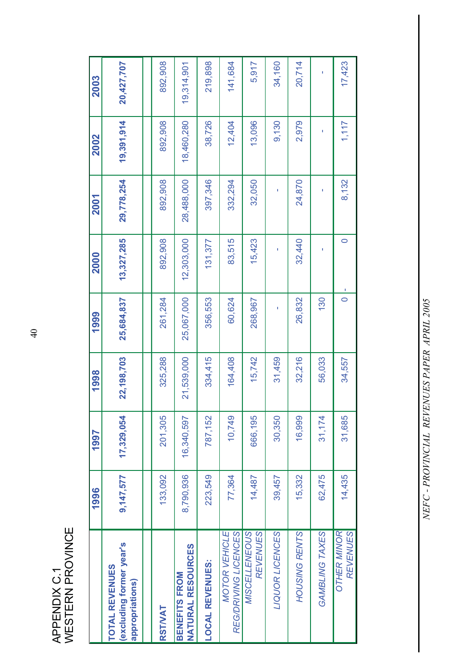APPENDIX C.1<br>WESTERN PROVINCE WESTERN PROVINCE APPENDIX C.1

|                                                                     | 1996      | 1997       | 1998       | 1999       | 2000       | 2001       | 2002       | 2003       |
|---------------------------------------------------------------------|-----------|------------|------------|------------|------------|------------|------------|------------|
| excluding former year's<br><b>TOTAL REVENUES</b><br>appropriations) | 9,147,577 | 17,329,054 | 22,198,703 | 25,684,837 | 13,327,285 | 29,778,254 | 19,391,914 | 20,427,707 |
|                                                                     |           |            |            |            |            |            |            |            |
| RSTIVAT                                                             | 133,092   | 201,305    | 325,288    | 261,284    | 892,908    | 892,908    | 892,908    | 892,908    |
| <b>NATURAL RESOURCES</b><br><b>BENEFITS FROM</b>                    | 8,790,936 | 16,340,597 | 21,539,000 | 25,067,000 | 12,303,000 | 28,488,000 | 18,460,280 | 19,314,901 |
| <b>LOCAL REVENUES:</b>                                              | 223,549   | 787,152    | 334,415    | 356,553    | 131,377    | 397,346    | 38,726     | 219,898    |
| <b>MOTOR VEHICLE</b><br>REG/DRIVING LICENCES                        | 77,364    | 10,749     | 164,408    | 60,624     | 83,515     | 332,294    | 12,404     | 141,684    |
| MISCELLENEOUS<br><b>REVENUES</b>                                    | 14,487    | 666,195    | 15,742     | 268,967    | 15,423     | 32,050     | 13,096     | 5,917      |
| LIQUOR LICENCES                                                     | 39,457    | 30,350     | 31,459     | Ï          | ı          | ı          | 9,130      | 34,160     |
| HOUSING RENTS                                                       | 15,332    | 16,999     | 32,216     | 26,832     | 32,440     | 24,870     | 2,979      | 20,714     |
| GAMBLING TAXES                                                      | 62,475    | 31,174     | 56,033     | 130        |            | ī          |            |            |
| <b>OTHER MINOR</b><br><b>REVENUES</b>                               | 14,435    | 31,685     | 34,557     | $\circ$    | $\circ$    | 8,132      | 1,117      | 17,423     |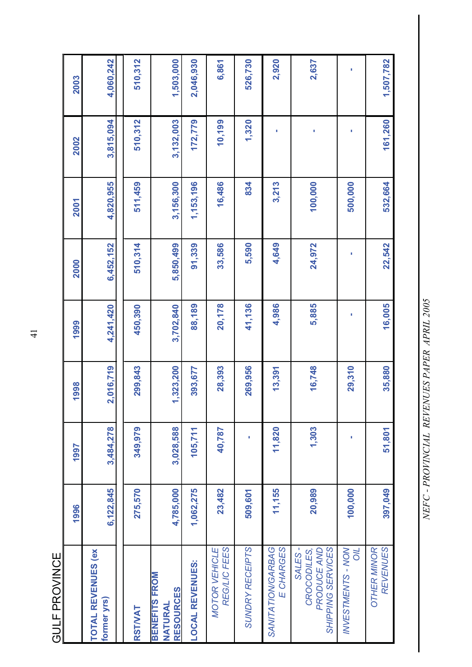**GULF PROVINCE** GULF PROVINCE

|                                                            | 1996      | 1997      | 1998      | 1999      | 2000      | 2001      | 2002      | 2003      |
|------------------------------------------------------------|-----------|-----------|-----------|-----------|-----------|-----------|-----------|-----------|
| <b>TOTAL REVENUES (ex)</b><br>former yrs)                  | 6,122,845 | 3,484,278 | 2,016,719 | 4,241,420 | 6,452,152 | 4,820,955 | 3,815,094 | 4,060,242 |
| RSTIVAT                                                    | 275,570   | 349,979   | 299,843   | 450,390   | 510,314   | 511,459   | 510,312   | 510,312   |
| <b>BENEFITS FROM</b><br><b>RESOURCES</b><br><b>NATURAL</b> | 4,785,000 | 3,028,588 | 1,323,200 | 3,702,840 | 5,850,499 | 3,156,300 | 3,132,003 | 1,503,000 |
| <b>LOCAL REVENUES:</b>                                     | 1,062,275 | 105,711   | 393,677   | 88,189    | 91,339    | 1,153,196 | 172,779   | 2,046,930 |
| REG/LIC FEES<br><b>MOTOR VEHICLE</b>                       | 23,482    | 40,787    | 28,393    | 20,178    | 33,586    | 16,486    | 10,199    | 6,861     |
| SUNDRY RECEIPTS                                            | 509,601   |           | 269,956   | 41,136    | 5,590     | 834       | 1,320     | 526,730   |
| SANITATION/GARBAG<br>E CHARGES                             | 11,155    | 11,820    | 13,391    | 4,986     | 4,649     | 3,213     | p         | 2,920     |
| SHIPPING SERVICES<br>SALES-<br>CROCODILES,<br>PRODUCE AND  | 20,989    | 1,303     | 16,748    | 5,885     | 24,972    | 100,000   |           | 2,637     |
| <b>INVESTMENTS - NON</b><br><b>NO</b>                      | 100,000   | ı         | 29,310    | ı         | ı         | 500,000   | ı         | ı         |
| <b>REVENUES</b><br><b>OTHER MINOR</b>                      | 397,049   | 51,801    | 35,880    | 16,005    | 22,542    | 532,664   | 161,260   | 1,507,782 |

NEFC - PROVINCIAL REVENUES PAPER APRIL 2005 *NEFC - PROVINCIAL REVENUES PAPER APRIL 2005*

41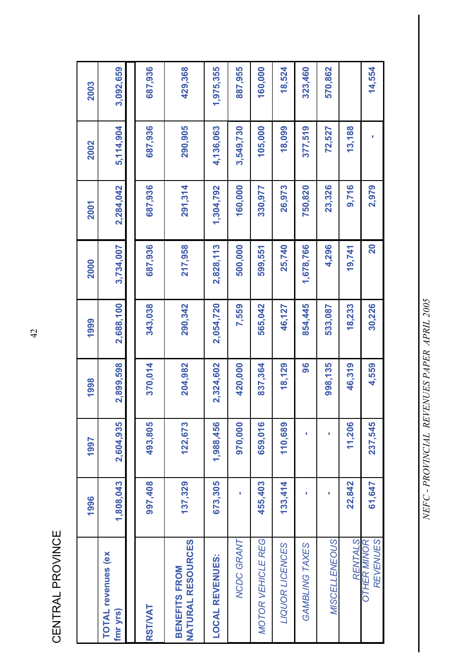CENTRAL PROVINCE CENTRAL PROVINCE

|                                                  | 1996      | 1997      | 1998      | 1999      | 2000         | 2001      | 2002      | 2003      |
|--------------------------------------------------|-----------|-----------|-----------|-----------|--------------|-----------|-----------|-----------|
| <b>TOTAL revenues (ex</b><br>fmr yrs)            | 1,808,043 | 2,604,935 | 2,899,598 | 2,688,100 | 3,734,007    | 2,284,042 | 5,114,904 | 3,092,659 |
|                                                  |           |           |           |           |              |           |           |           |
| <b>RSTWAT</b>                                    | 907,408   | 493,805   | 370,014   | 343,038   | 687,936      | 687,936   | 687,936   | 687,936   |
| <b>NATURAL RESOURCES</b><br><b>BENEFITS FROM</b> | 137,329   | 122,673   | 204,982   | 290,342   | 217,958      | 291,314   | 290,905   | 429,368   |
| <b>LOCAL REVENUES:</b>                           | 673,305   | 1,988,456 | 2,324,602 | 2,054,720 | 2,828,113    | 1,304,792 | 4,136,063 | 1,975,355 |
| NCDC GRANT                                       |           | 970,000   | 420,000   | 7,559     | 500,000      | 160,000   | 3,549,730 | 887,955   |
| <b>MOTOR VEHICLE REG</b>                         | 455,403   | 659,016   | 837,364   | 565,042   | 599,551      | 330,977   | 105,000   | 160,000   |
| LIQUOR LICENCES                                  | 133,414   | 110,689   | 18,129    | 46,127    | 25,740       | 26,973    | 18,099    | 18,524    |
| GAMBLING TAXES                                   | п         | ı         | 96        | 854,445   | 1,678,766    | 750,820   | 377,519   | 323,460   |
| MISCELLENEOUS                                    | ۱         | ۱         | 998,135   | 533,087   | 4,296        | 23,326    | 72,527    | 570,862   |
| <b>RENTALS</b>                                   | 22,842    | 11,206    | 46,319    | 18,233    | 19,741       | 9,716     | 13,188    |           |
| <b>REVENUES</b><br><b>OTHER MINOR</b>            | 61,647    | 237,545   | 4,559     | 30,226    | $\mathbf{S}$ | 2,979     |           | 14,554    |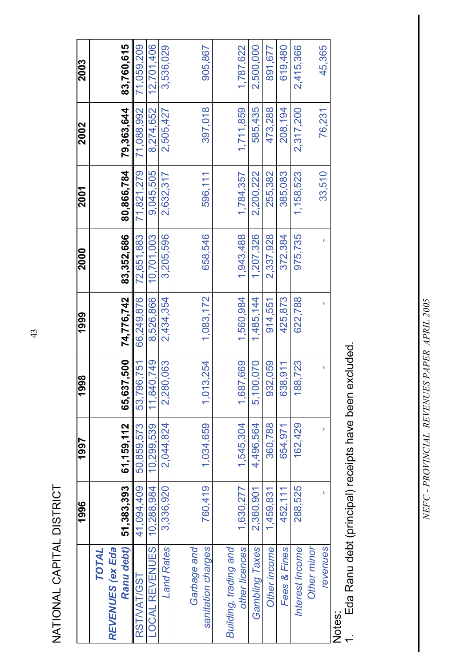NATIONAL CAPITAL DISTRICT NATIONAL CAPITAL DISTRICT

|                                                | 1996                   | 1997                   | 998                        | 1999                   | 2000                   | 2001                   | 2002                 | 2003                   |
|------------------------------------------------|------------------------|------------------------|----------------------------|------------------------|------------------------|------------------------|----------------------|------------------------|
| Ranu debt)<br>TOTAL<br><b>REVENUES (ex Eda</b> | 51,383,393             | 61, 159, 112           | 65,637,500                 | 74,776,742             | 83,352,686             | 80,866,784             | 79,363,644           | 83,760,615             |
| RST/VAT/GST                                    | 41,094,409             | 50,859,573             | 53,796,751                 | 66,249,876             | 72,651,683             | 71,821,279             | 71,088,992           | 71,059,209             |
| LOCAL REVENUES:                                | 10,288,984             | 10,299,539             | 11,840,749                 | 8,526,866              | 10,701,003             | 9,045,505              | 8,274,652            | 12,701,406             |
| <b>Land Rates</b>                              | 3,336,920              | 2,044,824              | 2,280,063                  | 2,434,354              | 3,205,596              | 2,632,317              | 2,505,427            | 3,536,029              |
| Garbage and<br>sanitation charges              | 760,419                | 1,034,659              | 1,013,254                  | 1,083,172              | 658,546                | 596.111                | 397,018              | 905,867                |
| Building, trading and                          |                        |                        |                            |                        |                        |                        |                      |                        |
| other licences<br><b>Gambling Taxes</b>        | 1,630,277<br>2,360,901 | 1,545,304<br>4,496,564 | 1,687,669<br>00,070<br>5,1 | 1,560,984<br>1,485,144 | 1,943,488<br>1,207,326 | 2,200,222<br>1,784,357 | 1,711,859<br>585,435 | 1,787,622<br>2,500,000 |
| Other income                                   | 1,459,831              | 360,788                | 932,059                    | 914,551                | 2,337,928              | 255,382                | 473,288              | 891,677                |
| Fees & Fines                                   | 452,111                | 654,971                | 638,911                    | 425,873                | 372,384                | 385,083                | 208,194              | 619,480                |
| Interest Income                                | 288,525                | 162.429                | 188,723                    | 622,788                | 975,735                | 1,158,523              | 2,317,200            | 2,415,366              |
| Other minor                                    |                        |                        |                            |                        |                        |                        |                      |                        |
| revenues                                       |                        | ī                      | I                          | ı                      | ı                      | 33,510                 | 76,231               | 45,365                 |
| ;<br>>+^+^                                     |                        |                        |                            |                        |                        |                        |                      |                        |

Notes:<br>1. Eda Ranu debt (principal) receipts have been excluded. 1. Eda Ranu debt (principal) receipts have been excluded.

NEFC - PROVINCIAL REVENUES PAPER APRIL 2005 *NEFC - PROVINCIAL REVENUES PAPER APRIL 2005*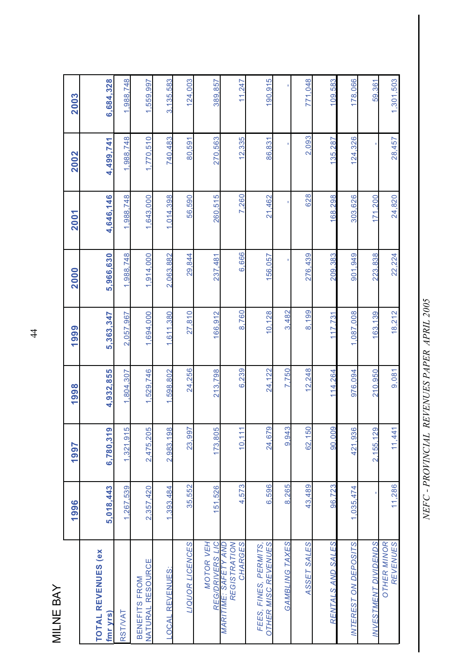MILNE BAY MILNE BAY

|                                                                    | 1996      | 1997      | 1998      | 1999      | 2000      | 2001      | 2002      | 2003      |
|--------------------------------------------------------------------|-----------|-----------|-----------|-----------|-----------|-----------|-----------|-----------|
| <b>TOTAL REVENUES (ex)</b><br>fmr yrs)                             | 5,018,443 | 6,780,319 | 4,932,855 | 5,363,347 | 5,966,630 | 4,646,146 | 4,499,741 | 6,684,328 |
| RSTIVAT                                                            | 1,267,539 | 1,321,915 | 1,804,307 | 2,057,967 | 1,988,748 | 1,988,748 | 1,988,748 | 1,988,748 |
| NATURAL RESOURCE<br>BENEFITS FROM                                  | 2,357,420 | 2,475,205 | 1,529,746 | 1,694,000 | 1,914,000 | 1,643,000 | ,770,510  | ,559,997  |
| LOCAL REVENUES:                                                    | 1.393,484 | 2,983,198 | 1,598,802 | 1,611,380 | 2,063,882 | 1,014,398 | 740,483   | 3,135,583 |
| LIQUOR LICENCES                                                    | 35,552    | 23,997    | 24,256    | 27.810    | 29,844    | 56,590    | 80,591    | 124.003   |
| <b>MOTOR VEH</b>                                                   | 151,526   | 173,805   | 213.798   | 166,912   | 237.481   | 260.515   | 270,563   | 389,857   |
| REGISTRATION<br>CHARGES<br>REG/DRIVERS LIC<br>MARITIME: SAFETY AND | 4,573     | 10.111    | 6,239     | 8.760     | 6,666     | 7,260     | 12,335    | 11.247    |
| OTHER MISC REVENUES<br>FEES, FINES, PERMITS,                       | 6,596     | 24,679    | 24,122    | 10,128    | 156.057   | 21,462    | 86.831    | 190.915   |
| GAMBLING TAXES                                                     | 8,265     | 9,943     | 7.750     | .482<br>က |           |           |           |           |
| ASSET SALES                                                        | 43,489    | 62,150    | 12.248    | 8,199     | 276,439   | 628       | 2.093     | 771,048   |
| RENTALS AND SALES                                                  | 96,723    | 90,009    | 114,264   | 117.731   | 209,383   | 168,298   | 135,287   | 109,583   |
| <b>INTEREST ON DEPOSITS</b>                                        | 1,035,474 | 421,936   | 976,094   | 1,087,008 | 901,949   | 303,626   | 124,326   | 178,066   |
| <b>INVESTMENT DIVIDENDS</b>                                        |           | 2.155.129 | 210,950   | 163.139   | 223,838   | 171,200   |           | 59,361    |
| <b>OTHER MINOR</b><br><b>REVENUES</b>                              | 11,286    | 11,441    | 9,081     | 18,212    | 22,224    | 24,820    | 28,457    | 1,301,503 |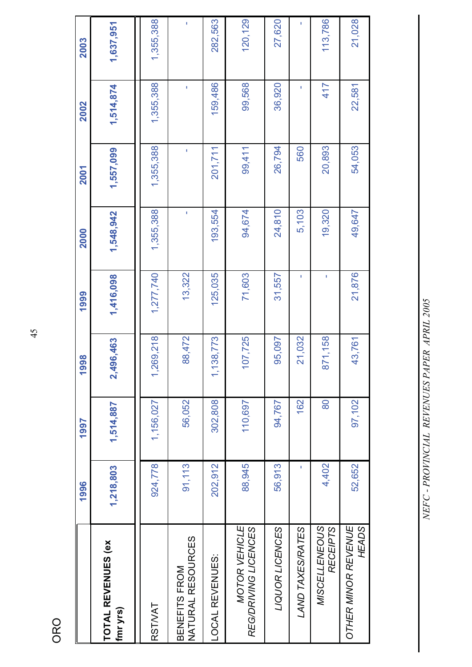ORO

|                                       | 1996      | 1997      | 1998      | 1999      | 2000      | 2001      | 2002      | 2003      |
|---------------------------------------|-----------|-----------|-----------|-----------|-----------|-----------|-----------|-----------|
| <b>TOTAL REVENUES (ex</b><br>fmr yrs) | 1,218,803 | 1,514,887 | 2,496,463 | 1,416,098 | 1,548,942 | 1,557,099 | 1,514,874 | 1,637,951 |
| RST/VAT                               | 924,778   | 1,156,027 | 1,269,218 | 1,277,740 | 1,355,388 | 1,355,388 | 1,355,388 | 1,355,388 |
| NATURAL RESOURCES<br>BENEFITS FROM    | 91,113    | 56,052    | 88,472    | 13,322    | f,        | ı         | T,        |           |
| LOCAL REVENUES:                       | 202,912   | 302,808   | 1,138,773 | 125,035   | 193,554   | 201,711   | 159,486   | 282,563   |
| MOTOR VEHICLE<br>REG/DRIVING LICENCES | 88,945    | 110,697   | 107,725   | 71,603    | 94,674    | 99,411    | 99,568    | 120,129   |
| LIQUOR LICENCES                       | 56,913    | 94,767    | 95,097    | 31,557    | 24,810    | 26,794    | 36,920    | 27,620    |
| LAND TAXES/RATES                      | ۱         | 162       | 21,032    | f,        | 5,103     | 560       | f,        | f,        |
| MISCELLENEOUS<br><b>RECEIPTS</b>      | 4,402     | 80        | 871,158   | Ï         | 19,320    | 20,893    | 417       | 113,786   |
| OTHER MINOR REVENUE<br>HEADS          | 52,652    | 97,102    | 43,761    | 21,876    | 49,647    | 54,053    | 22,581    | 21,028    |
|                                       |           |           |           |           |           |           |           |           |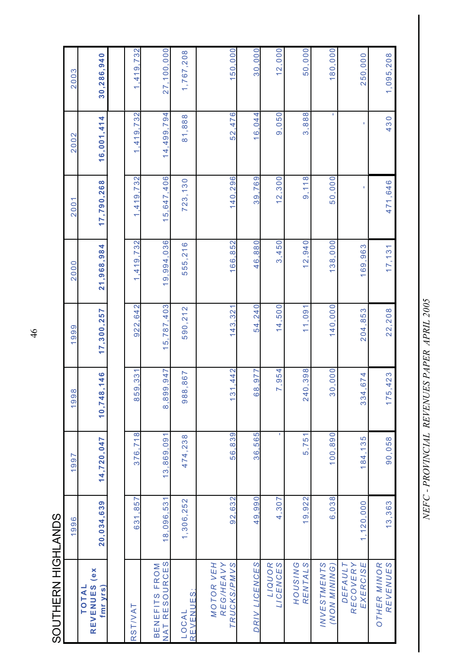SOUTHERN HIGHLANDS SOUTHERN HIGHLANDS

|                                            | 1996       | 1997         | 1998                             | 999<br>ᡪ                              | 2000             | 200                                 | 2002                        | 2003                   |
|--------------------------------------------|------------|--------------|----------------------------------|---------------------------------------|------------------|-------------------------------------|-----------------------------|------------------------|
| (ex<br>REVENUES<br><b>TOTAL</b><br>fmr yrs | 20,034,639 | 14,720,047   | 18,146<br>10,74                  | 17,300,257                            | 21,968,984       | 17,790,268                          | 16,001,414                  | 30,286,940             |
|                                            |            |              |                                  |                                       |                  |                                     |                             |                        |
| RSTIVAT                                    | 631,857    | .718<br>376, | 859,331                          | 922,642                               | .419.732<br>ᡪ    | .732<br>,419,<br>ᡪ                  | .419.732<br>۳               | 419,732<br>۳           |
| BENEFITS FROM<br>NAT RESOURCES             | 18,096,531 | 13,869,091   | 8,899,947                        | 15,787,403                            | 19,994,036       | ,406<br>15,647                      | 499,794<br>$\overline{4}$ . | 27,100,000             |
| REVENUES:<br>LOCAL                         | 1,306,252  | 474,238      | 988,867                          | 590,212                               | 555,216          | 723,130                             | 81,888                      | 1,767,208              |
| MOTOR VEH<br>TRUCKS/PMVS<br>REG/HEAVY      | 92.632     | 56.839       | 31,442<br>٣                      | 321<br>143.                           | 166.852          | .296<br>140                         | 476<br>52                   | 150,000                |
| DRIV LICENCES                              | 49,990     | 36,565       | N<br>97<br>$\frac{8}{2}$         | 240<br>54                             | 880<br>46.       | 769<br>39                           | 044<br>$\frac{6}{1}$        | 000<br>$\overline{30}$ |
| LIQUOR<br>LICENCES                         | 4,307      | ٠            | ,954<br>$\overline{\phantom{0}}$ | .500<br>4<br>$\overline{\phantom{0}}$ | ,450<br>$\infty$ | 300<br>$\overline{\mathbf{N}}$<br>ᡪ | 9,050                       | 12,000                 |
| RENTALS<br>HOUSING                         | 19,922     | 5,751        | 240,398                          | 11,091                                | 12,940           | 118<br>တ                            | 3,888                       | 50,000                 |
| <b>INVESTMENTS</b><br>(NON MINING)         | 6,038      | 100,890      | 30,000                           | 140,000                               | 138,000          | 50,000                              | ٠                           | 180,000                |
| <b>EXERCISE</b><br>DEFAULT<br>RECOVERY     | 1,120,000  | 184,135      | 14,674<br>33                     | .853<br>204                           | 169,963          | ı                                   | ı                           | 250,000                |
| REVENUES<br><b>OTHER MINOR</b>             | 13,363     | 90,058       | 5,423<br>$\overline{1}$          | 22,208                                | 17, 131          | 471,646                             | 430                         | 1,095,208              |

NEFC - PROVINCIAL REVENUES PAPER APRIL 2005 *NEFC - PROVINCIAL REVENUES PAPER APRIL 2005*

46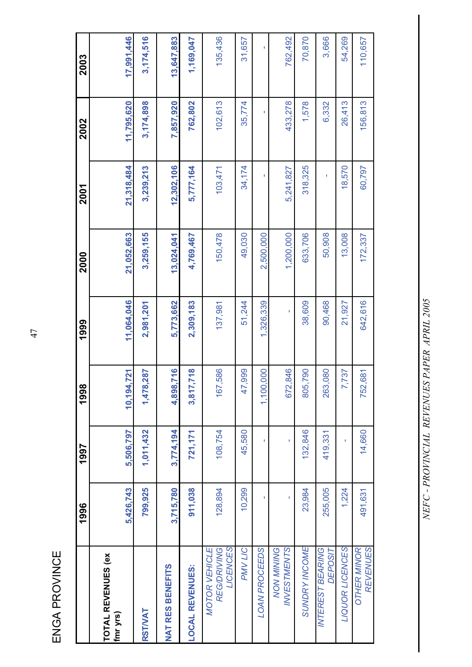ENGA PROVINCE ENGA PROVINCE

|                                                        | 1996      | 1997      | 1998                  | 1999       | 2000       | 2001       | 2002       | 2003       |
|--------------------------------------------------------|-----------|-----------|-----------------------|------------|------------|------------|------------|------------|
| <b>TOTAL REVENUES (ex</b><br>fmr yrs)                  | 5,426,743 | 5,506,797 | 721<br>10,194,        | 11.064.046 | 21,052,663 | 21,318,484 | 11,795,620 | 17,991,446 |
| <b>RSTIVAT</b>                                         | 799,925   | 1,011,432 | 1,478,287             | 2,981,201  | 3,259,155  | 3,239,213  | 3,174,898  | 3,174,516  |
| <b>NAT RES BENEFITS</b>                                | 3,715,780 | 3,774,194 | 716<br>4,898,         | 5,773,662  | 13,024,041 | 12,302,106 | 7,857,920  | 13,647,883 |
| <b>LOCAL REVENUES:</b>                                 | 911,038   | 721, 171  | 718<br>3,817,         | 2,309,183  | 4,769,467  | 5,777,164  | 762,802    | 1,169,047  |
| LICENCES<br><b>REG/DRIVING</b><br><b>MOTOR VEHICLE</b> | 128,894   | 108,754   | 167,586               | 137,981    | 150,478    | 103,471    | 102, 613   | 135,436    |
| PMV LIC                                                | 10,299    | 45,580    | 47,999                | 51,244     | 49,030     | 34,174     | 35,774     | 31,657     |
| LOAN PROCEEDS                                          |           |           | 000<br>1,100,         | 1,326,339  | 2,500,000  | ï          |            | ï          |
| <b>INVESTMENTS</b><br><b>NON MINING</b>                | ï         |           | 672,846               |            | 1,200,000  | 5,241,827  | 433,278    | 762,492    |
| <b>SUNDRY INCOME</b>                                   | 23,984    | 132,846   | 790<br>805,           | 38,609     | 633,706    | 318,325    | 1,578      | 70,870     |
| <b>INTEREST BEARING</b><br><b>DEPOSIT</b>              | 255,005   | 419,331   | 080<br>263,           | 90,468     | 50,908     | f,         | 6,332      | 3,666      |
| LIQUOR LICENCES                                        | 1,224     | ï         | 737<br>$\overline{z}$ | 21,927     | 13,008     | 18,570     | 26,413     | 54,269     |
| <b>REVENUES</b><br><b>OTHER MINOR</b>                  | 491,631   | 14,660    | 681<br>752,           | 642,616    | 172,337    | 60,797     | 156,813    | 110,657    |

47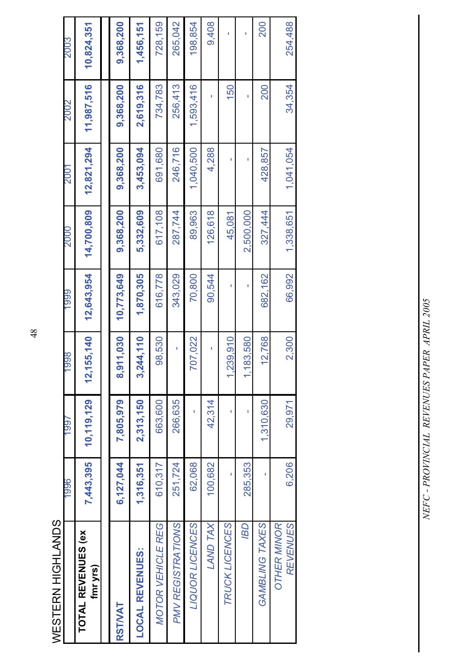| WESTERN HIGHLANDS                     |           |              |                         |            |            |            |            |            |
|---------------------------------------|-----------|--------------|-------------------------|------------|------------|------------|------------|------------|
|                                       | 9661      | 1997         | 866                     | 6661       | 0002       | LO0Z       | 2002       | 2003       |
| <b>TOTAL REVENUES (ex</b><br>fmr yrs) | 7,443,395 | 10, 119, 129 | 155,140<br>$\mathbf{r}$ | 12,643,954 | 14,700,809 | 12,821,294 | 11,987,516 | 10,824,351 |
|                                       |           |              |                         |            |            |            |            |            |
| <b>RSTWAT</b>                         | 6,127,044 | 7,805,979    | 8,911,030               | 10,773,649 | 9,368,200  | 9,368,200  | 9,368,200  | 9,368,200  |
| <b>LOCAL REVENUES:</b>                | 1,316,351 | 2,313,150    | 244,110<br>ິ່           | 1,870,305  | 5,332,609  | 3,453,094  | 2,619,316  | 1,456,151  |
| <b>MOTOR VEHICLE REG</b>              | 610,317   | 663,600      | 98,530                  | 616,778    | 617,108    | 691,680    | 734,783    | 728,159    |
| PMV REGISTRATIONS                     | 251,724   | 266,635      | ï                       | 343,029    | 287,744    | 246,716    | 256,413    | 265,042    |
| LIQUOR LICENCES                       | 62,068    | ı            | 707,022                 | 70,800     | 89,963     | 1,040,500  | 1,593,416  | 198,854    |
| LAND TAX                              | 100,682   | 42,314       | ı                       | 90,544     | 126,618    | 4,288      | ı          | 9,408      |
| TRUCK LICENCES                        | I         | ı            | 1,239,910               | ı          | 45,081     | ı          | 150        |            |
| <b>GSI</b>                            | 285,353   | ī            | 183,580                 |            | 2,500,000  |            | ı          |            |
| GAMBLING TAXES                        |           | 1,310,630    | 12,768                  | 682,162    | 327,444    | 428,857    | 200        | 200        |
| REVENUES<br><b>OTHER MINOR</b>        | 6,206     | 29,971       | 2,300                   | 66.992     | 1,338,651  | 1,041,054  | 34,354     | 254,488    |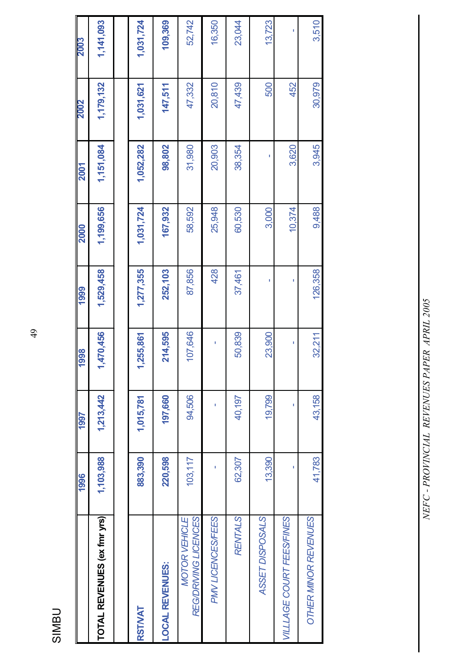| . . | r |
|-----|---|
|     |   |
|     |   |

|                                       | 1996      | <b>L66L</b> | 8661      | 1999      | 2000      | <b>2001</b> | <b>2002</b> | <b>2003</b> |
|---------------------------------------|-----------|-------------|-----------|-----------|-----------|-------------|-------------|-------------|
| TOTAL REVENUES (ex fmr yrs)           | 1,103,988 | 1,213,442   | 1,470,456 | 1,529,458 | 1,199,656 | 1,151,084   | 1,179,132   | 1,141,093   |
|                                       |           |             |           |           |           |             |             |             |
| <b>RSTWAT</b>                         | 883,390   | 1,015,781   | ,255,861  | 1,277,355 | 1,031,724 | 1,052,282   | 1,031,621   | 1,031,724   |
| <b>LOCAL REVENUES:</b>                | 220,598   | 197,660     | 214,595   | 252,103   | 167,932   | 98,802      | 147,511     | 109,369     |
| REG/DRIVING LICENCES<br>MOTOR VEHICLE | 103,117   | 94,506      | 107,646   | 87,856    | 58,592    | 31,980      | 47,332      | 52,742      |
| PMV LICENCES/FEES                     |           |             |           | 428       | 25,948    | 20,903      | 20,810      | 16,350      |
| <b>RENTALS</b>                        | 62,307    | 40,197      | 50,839    | 37,461    | 60,530    | 38,354      | 47,439      | 23,044      |
| ASSET DISPOSALS                       | 13,390    | 19,799      | 23,900    | Ï         | 3,000     |             | 500         | 13,723      |
| VILLLAGE COURT FEES/FINES             |           |             | I         | I         | 10,374    | 3,620       | 452         | Ī           |
| OTHER MINOR REVENUES                  | 41,783    | 43,158      | 32,211    | 126,358   | 9,488     | 3,945       | 30,979      | 3,510       |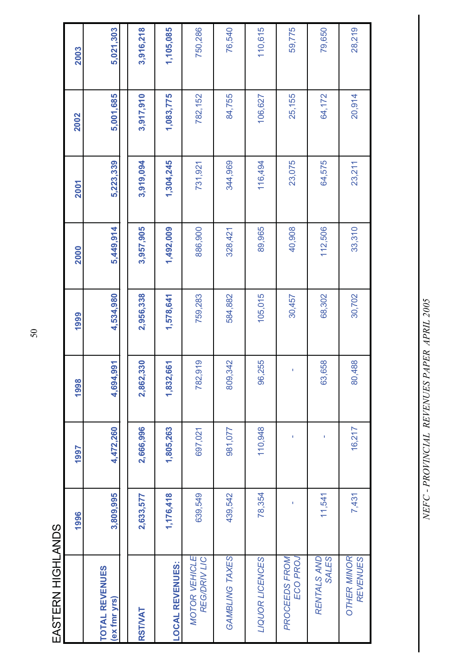| I      |  |
|--------|--|
| í<br>ı |  |
|        |  |
|        |  |

|                                             | 1996      | 1997      | 1998                 | 1999      | 2000      | <b>2001</b> | 2002      | 2003      |
|---------------------------------------------|-----------|-----------|----------------------|-----------|-----------|-------------|-----------|-----------|
| <b>TOTAL REVENUES</b><br>(ex fmr yrs)       | 3,809,995 | 4,472,260 | 566<br>4,694,9       | 4,534,980 | 5,449,914 | 5,223,339   | 5,001,685 | 5,021,303 |
| RSTIVAT                                     | 2,633,577 | 2,666,996 | <b>30</b><br>2,862,3 | 2,956,338 | 3,957,905 | 3,919,094   | 3,917,910 | 3,916,218 |
| <b>LOCAL REVENUES:</b>                      | 1,176,418 | 1,805,263 | 1,832,661            | 1,578,641 | 1,492,009 | 1,304,245   | 1,083,775 | 1,105,085 |
| <b>MOTOR VEHICLE</b><br><b>REG/DRIV LIC</b> | 639,549   | 697,021   | 782,919              | 759,283   | 886,900   | 731,921     | 782,152   | 750,286   |
| GAMBLING TAXES                              | 439,542   | 981,077   | 809,342              | 584,882   | 328,421   | 344,969     | 84,755    | 76,540    |
| LIQUOR LICENCES                             | 78,354    | 110,948   | 96,255               | 105,015   | 89,965    | 116,494     | 106,627   | 110,615   |
| PROCEEDS FROM<br>ECO PROJ                   |           | ı         |                      | 30,457    | 40,908    | 23,075      | 25,155    | 59,775    |
| <b>SALES</b><br>RENTALS AND                 | 11,541    |           | 63,658               | 68,302    | 112,506   | 64,575      | 64,172    | 79,650    |
| <b>OTHER MINOR</b><br><b>REVENUES</b>       | 7,431     | 16,217    | 80,488               | 30,702    | 33,310    | 23,211      | 20,914    | 28,219    |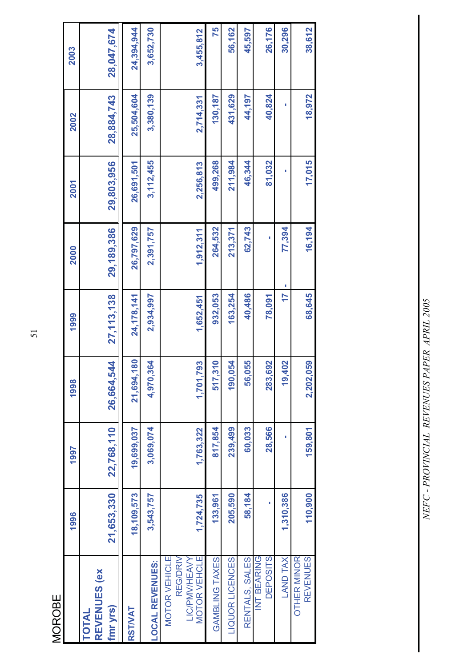|  | I  |
|--|----|
|  | r. |
|  |    |
|  |    |
|  |    |
|  |    |

|                                                                   | 1996       | 1997       | 1998          | 1999       | 2000       | 2001       | 2002       | 2003       |
|-------------------------------------------------------------------|------------|------------|---------------|------------|------------|------------|------------|------------|
| REVENUES (ex<br>fmr yrs)<br><b>TOTAL</b>                          | 21,653,330 | 22,768,110 | 26,664,544    | 27,113,138 | 29,189,386 | 29,803,956 | 28,884,743 | 28,047,674 |
| RSTIVAT                                                           | 18,109,573 | 19,699,037 | 80<br>21,694, | 24,178,141 | 26,797,629 | 26,691,501 | 25,504,604 | 24,394,944 |
| <b>LOCAL REVENUES:</b>                                            | 3,543,757  | 3,069,074  | 4,970,364     | 2,934,997  | 2,391,757  | 3,112,455  | 3,380,139  | 3,652,730  |
| <b>REG/DRIV</b><br>MOTOR VEHICLE<br>MOTOR VEHCLE<br>LIC/PMV/HEAVY | 1,724,735  | 1,763,322  | 93<br>1,701,7 | 1,652,451  | 1,912,311  | 2,256,813  | 2,714,331  | 3,455,812  |
| GAMBLING TAXES                                                    | 133,961    | 817,854    | 517,310       | 932,053    | 264,532    | 499,268    | 130,187    | 75         |
| LIQUOR LICENCES                                                   | 205,590    | 239,499    | 190,054       | 163,254    | 213,371    | 211,984    | 431,629    | 56,162     |
| RENTALS, SALES                                                    | 58,184     | 60,033     | 56,055        | 40,486     | 62,743     | 46,344     | 44,197     | 45,597     |
| <b>DEPOSITS</b><br>INT BEARING                                    |            | 28,566     | 283,692       | 78,091     |            | 81,032     | 40,824     | 26,176     |
| <b>LAND TAX</b>                                                   | 1,310,386  | ı          | 19,402        | 17         | 77,394     | ı          | ı          | 30,296     |
| <b>OTHER MINOR</b><br><b>REVENUES</b>                             | 110,900    | 159,801    | 2,202,059     | 68,645     | 16,194     | 17,015     | 18,972     | 38,612     |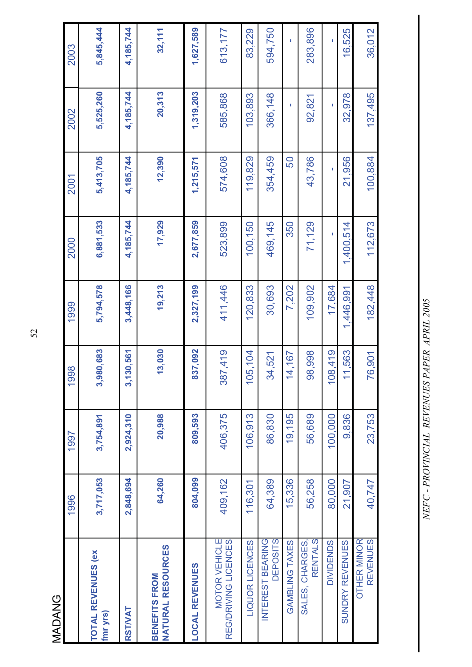**MADANG** MADANG

| 36,012    | 137,495   | 100,884   | 112,673   | 182,448   | 76,901                       | 23,753    | 40,747    | <b>OTHER MINOR</b><br><b>REVENUES</b>            |
|-----------|-----------|-----------|-----------|-----------|------------------------------|-----------|-----------|--------------------------------------------------|
| 16,525    | 32,978    | 21,956    | 1,400,514 | 1,446,991 | 1,563                        | 9,836     | 21,907    | SUNDRY REVENUES                                  |
| Ĩ.        | Ĩ.        | ï         | ť         | 17,684    | 108,419                      | 100,000   | 80,000    | <b>DIVIDENDS</b>                                 |
| 283,896   | 92,821    | 43,786    | 71,129    | 109,902   | 98,998                       | 56,689    | 56,258    | RENTALS<br>SALES, CHARGES,                       |
| T.        | I.        | 50        | 350       | 7,202     | 14,167                       | 19,195    | 15,336    | GAMBLING TAXES                                   |
| 594,750   | 366,148   | 354,459   | 469,145   | 30,693    | 34,521                       | 86,830    | 64,389    | INTEREST BEARING<br><b>DEPOSITS</b>              |
| 83,229    | 103,893   | 119,829   | 100,150   | 120,833   | 5,104<br>$\ddot{\mathbf{O}}$ | 106,913   | 116,301   | LIQUOR LICENCES                                  |
| 613,177   | 585,868   | 574,608   | 523,899   | 411,446   | 387,419                      | 406,375   | 409,162   | REG/DRIVING LICENCES<br>MOTOR VEHICLE            |
| 1,627,589 | 1,319,203 | 1,215,571 | 2,677,859 | 2,327,199 | 837,092                      | 809,593   | 804,099   | <b>LOCAL REVENUES</b>                            |
| 32,111    | 20,313    | 12,390    | 17,929    | 19,213    | 13,030                       | 20,988    | 64,260    | <b>NATURAL RESOURCES</b><br><b>BENEFITS FROM</b> |
| 4,185,744 | 4,185,744 | 4,185,744 | 4,185,744 | 3,448,166 | 30,561<br>3,1                | 2,924,310 | 2,848,694 | <b>RSTVAT</b>                                    |
| 5,845,444 | 5,525,260 | 5,413,705 | 6,881,533 | 5,794,578 | 3,980,683                    | 3,754,891 | 3,717,053 | <b>TOTAL REVENUES (ex)</b><br>fmr yrs)           |
| 2003      | 2002      | 2001      | 2000      | 1999      | 1998                         | 1997      | 1996      |                                                  |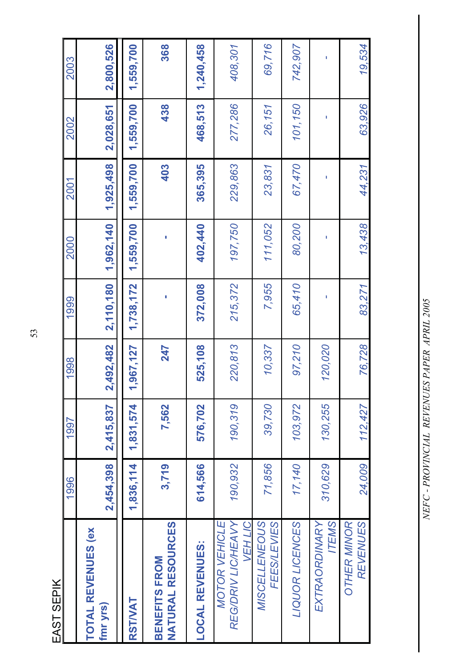| ٦  |  |
|----|--|
| Î. |  |
|    |  |

| EAST SEPIK                                            |           |           |               |           |           |           |           |           |
|-------------------------------------------------------|-----------|-----------|---------------|-----------|-----------|-----------|-----------|-----------|
|                                                       | 1996      | 1997      | 1998          | 1999      | 2000      | 2001      | 2002      | 2003      |
| <b>TOTAL REVENUES (ex)</b><br>fmr yrs)                | 2,454,398 | 2,415,837 | 2,492,482     | 2,110,180 | 1,962,140 | 1,925,498 | 2,028,651 | 2,800,526 |
| RSTIVAT                                               | 1,836,114 | 1,831,574 | ,967,127<br>↽ | 1,738,172 | 1,559,700 | 1,559,700 | 1,559,700 | 1,559,700 |
| <b>NATURAL RESOURCES</b><br><b>BENEFITS FROM</b>      | 3,719     | 7,562     | 247           |           | ı         | 403       | 438       | 368       |
| <b>LOCAL REVENUES:</b>                                | 614,566   | 576,702   | 525,108       | 372,008   | 402,440   | 365,395   | 468,513   | 1,240,458 |
| VEH LIC<br>REG/DRIV LIC/HEAVY<br><b>MOTOR VEHICLE</b> | 190,932   | 190,319   | 220,813       | 215,372   | 197,750   | 229,863   | 277,286   | 408,301   |
| MISCELLENEOUS<br><b>FEES/LEVIES</b>                   | 71,856    | 39,730    | 10,337        | 7,955     | 111,052   | 23,831    | 26,151    | 69,716    |
| <b>LIQUOR LICENCES</b>                                | 17,140    | 103,972   | 97,210        | 65,410    | 80,200    | 67,470    | 101,150   | 742,907   |
| EXTRAORDINARY<br><b>ITEMS</b>                         | 310,629   | 130,255   | 120,020       |           |           | ı         |           |           |
| <b>REVENUES</b><br><b>OTHER MINOR</b>                 | 24,009    | 112,427   | 76,728        | 83,271    | 13,438    | 44,231    | 63,926    | 19,534    |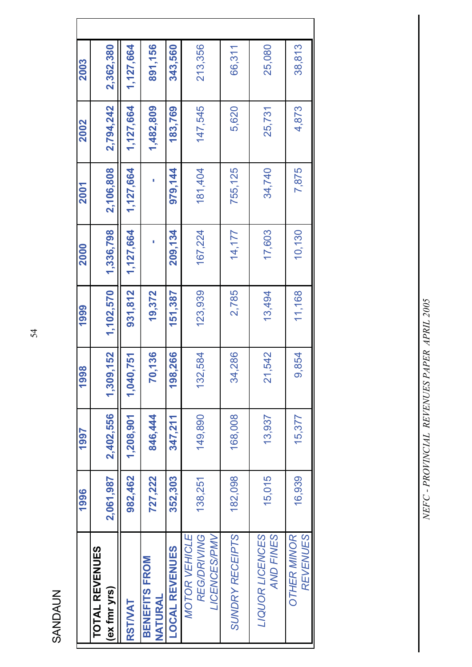SANDAUN SANDAUN

|                                                                   | 1996      | 1997      | 1998          | 1999      | 2000      | 2001      | 2002      | 2003      |
|-------------------------------------------------------------------|-----------|-----------|---------------|-----------|-----------|-----------|-----------|-----------|
| <b>TOTAL REVENUES</b><br>(ex fmr yrs)                             | 2,061,987 | 2,402,556 | 1,309,152     | 1,102,570 | 1,336,798 | 2,106,808 | 2,794,242 | 2,362,380 |
| <b>RSTWAT</b>                                                     | 982,462   | 1,208,901 | ,751<br>1,040 | 931,812   | 1,127,664 | 1,127,664 | 1,127,664 | 1,127,664 |
| <b>BENEFITS FROM</b><br><b>NATURAL</b>                            | 727,222   | 846,444   | 70,136        | 19,372    |           |           | 1,482,809 | 891,156   |
| <b>LOCAL REVENUES</b>                                             | 352,303   | 347,211   | 198,266       | 151,387   | 209,134   | 979,144   | 183,769   | 343.560   |
| <b>LICENCES/PMV</b><br><b>MOTOR VEHICLE</b><br><b>REG/DRIVING</b> | 138,251   | 149,890   | 132,584       | 123,939   | 167,224   | 181,404   | 147,545   | 213,356   |
| <b>SUNDRY RECEIPTS</b>                                            | 182,098   | 168,008   | 34,286        | 2,785     | 14,177    | 755, 125  | 5,620     | 66,311    |
| LIQUOR LICENCES<br>AND FINES                                      | 15,015    | 13,937    | 21,542        | 13,494    | 17,603    | 34,740    | 25,731    | 25,080    |
| <b>REVENUES</b><br><b>OTHER MINOR</b>                             | 16,939    | 15,377    | 9,854         | 11,168    | 10,130    | 7,875     | 4,873     | 38,813    |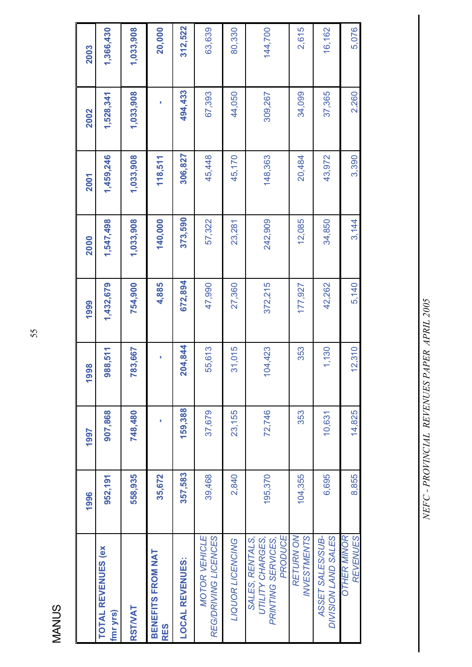| r<br>г. |
|---------|
|         |
|         |
|         |
|         |
|         |

|                                                                      | 1996    | 1997    | 1998                               | 1999      | 2000      | 2001      | 2002      | 2003      |
|----------------------------------------------------------------------|---------|---------|------------------------------------|-----------|-----------|-----------|-----------|-----------|
| <b>TOTAL REVENUES (ex)</b><br>fmr yrs)                               | 952,191 | 907,868 | 988,511                            | 1,432,679 | 1,547,498 | 1,459,246 | 1,528,341 | 1,366,430 |
| RSTIVAT                                                              | 558,935 | 748,480 | 783,667                            | 754,900   | 1,033,908 | 1,033,908 | 1,033,908 | 1,033,908 |
| BENEFITS FROM NAT<br><b>RES</b>                                      | 35,672  |         | ı                                  | 4,885     | 140,000   | 118,511   |           | 20,000    |
| <b>LOCAL REVENUES:</b>                                               | 357,583 | 159,388 | 204,844                            | 672,894   | 373,590   | 306,827   | 494,433   | 312,522   |
| <b>MOTOR VEHICLE</b><br>REG/DRIVING LICENCES                         | 39,468  | 37,679  | 55,613                             | 47,990    | 57,322    | 45,448    | 67,393    | 63,639    |
| LIQUOR LICENCING                                                     | 2,840   | 23,155  | 31,015                             | 27,360    | 23,281    | 45,170    | 44,050    | 80,330    |
| PRODUCE<br>SALES, RENTALS,<br>UTILITY CHARGES,<br>PRINTING SERVICES, | 195,370 | 72,746  | 04,423<br>$\overline{\phantom{0}}$ | 372,215   | 242,909   | 148,363   | 309,267   | 144,700   |
| <b>RETURNON</b><br><b>INVESTMENTS</b>                                | 104,355 | 353     | 353                                | 177,927   | 12,085    | 20,484    | 34,099    | 2,615     |
| ASSET SALES/SUB-<br>DIVISION LAND SALES                              | 6,695   | 10,631  | 1,130                              | 42,262    | 34,850    | 43,972    | 37,365    | 16,162    |
| <b>OTHER MINOR</b><br><b>REVENUES</b>                                | 8,855   | 14,825  | 12,310                             | 5,140     | 3,144     | 3,390     | 2,260     | 5,076     |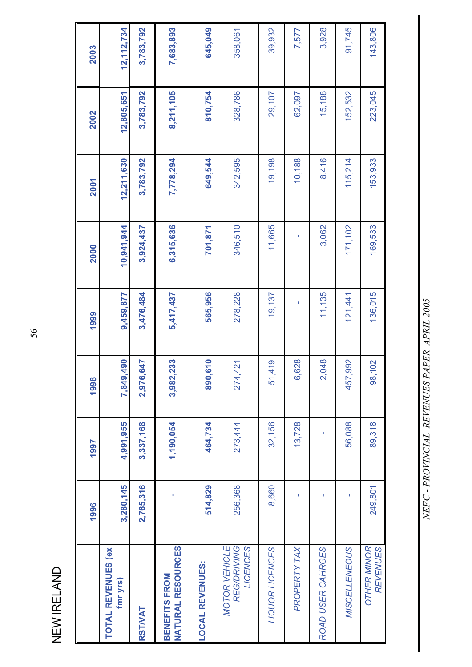NEW IRELAND NEW IRELAND

|                                                        | 1996      | 1997      | 1998                  | 1999      | 2000       | 2001       | 2002       | 2003       |
|--------------------------------------------------------|-----------|-----------|-----------------------|-----------|------------|------------|------------|------------|
| <b>TOTAL REVENUES (ex)</b><br>fmr yrs)                 | 3,280,145 | 4,991,955 | 190<br>7,849,4        | 9,459,877 | 10,941,944 | 12,211,630 | 12,805,651 | 12,112,734 |
| RSTIVAT                                                | 2,765,316 | 3,337,168 | 2,976,647             | 3,476,484 | 3,924,437  | 3,783,792  | 3,783,792  | 3,783,792  |
| <b>NATURAL RESOURCES</b><br>BENEFITS FROM              |           | 1,190,054 | 3,982,233             | 5,417,437 | 6,315,636  | 7,778,294  | 8,211,105  | 7,683,893  |
| <b>LOCAL REVENUES:</b>                                 | 514,829   | 464,734   | 610<br>890,           | 565,956   | 701,871    | 649,544    | 810,754    | 645,049    |
| <b>MOTOR VEHICLE</b><br><b>REG/DRIVING</b><br>LICENCES | 256,368   | 273,444   | 121<br>274,4          | 278,228   | 346,510    | 342,595    | 328,786    | 358,061    |
| LIQUOR LICENCES                                        | 8,660     | 32,156    | 51,419                | 19,137    | 11,665     | 19,198     | 29,107     | 39,932     |
| PROPERTY TAX                                           |           | 13,728    | 6,628                 |           |            | 10,188     | 62,097     | 7,577      |
| ROAD USER CAHRGES                                      |           |           | 048<br>$\overline{a}$ | 11,135    | 3,062      | 8,416      | 15,188     | 3,928      |
| MISCELLENEOUS                                          |           | 56,088    | 457,992               | 121,441   | 171,102    | 115,214    | 152,532    | 91,745     |
| <b>OTHER MINOR</b><br><b>REVENUES</b>                  | 249,801   | 89,318    | 102<br>98,            | 136,015   | 169,533    | 153,933    | 223,045    | 143,806    |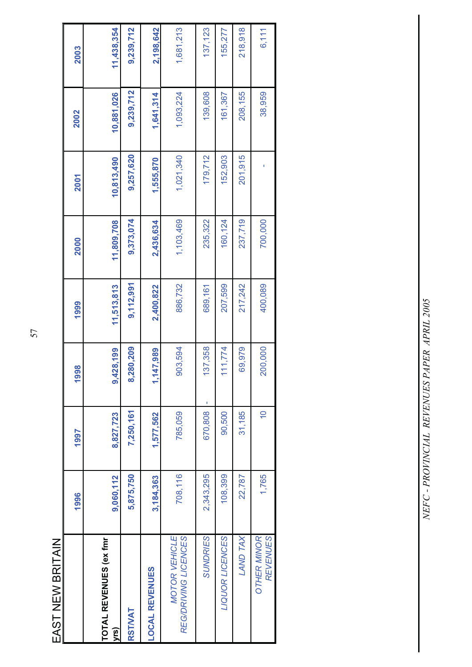| l           |
|-------------|
|             |
| l           |
|             |
|             |
| I<br>۱<br>Ï |
|             |
|             |

|                                              | 1996      | 1997           | 1998         | 1999       | 2000       | 2001       | 2002       | 2003       |
|----------------------------------------------|-----------|----------------|--------------|------------|------------|------------|------------|------------|
| TOTAL REVENUES (ex fmr<br>yrs)               | 9,060,112 | 8,827,723      | 9,428,199    | 11,513,813 | 11,809,708 | 10,813,490 | 10,881,026 | 11,438,354 |
| RSTIVAT                                      | 5,875,750 | 7,250,161      | 8,280,209    | 9,112,991  | 9,373,074  | 9,257,620  | 9,239,712  | 9,239,712  |
| <b>LOCAL REVENUES</b>                        | 3,184,363 | 1,577,562      | 147,989      | 2,400,822  | 2,436,634  | 1,555,870  | 1,641,314  | 2,198,642  |
| <b>MOTOR VEHICLE</b><br>REG/DRIVING LICENCES | 708,116   | 785,059        | 903,594      | 886,732    | 1,103,469  | 1,021,340  | 1,093,224  | 1,681,213  |
| <b>SUNDRIES</b>                              | 2,343,295 | 670,808        | 137,358<br>I | 689,161    | 235,322    | 179,712    | 139,608    | 137, 123   |
| LIQUOR LICENCES                              | 108,399   | 90,500         | 111,774      | 207,599    | 160, 124   | 152,903    | 161,367    | 155,277    |
| LAND TAX                                     | 22,787    | 31,185         | 69,979       | 217,242    | 237,719    | 201,915    | 208,155    | 218,918    |
| <b>OTHER MINOR</b><br><b>REVENUES</b>        | 1,765     | $\overline{C}$ | 200,000      | 400,089    | 700,000    |            | 38,959     | 6,111      |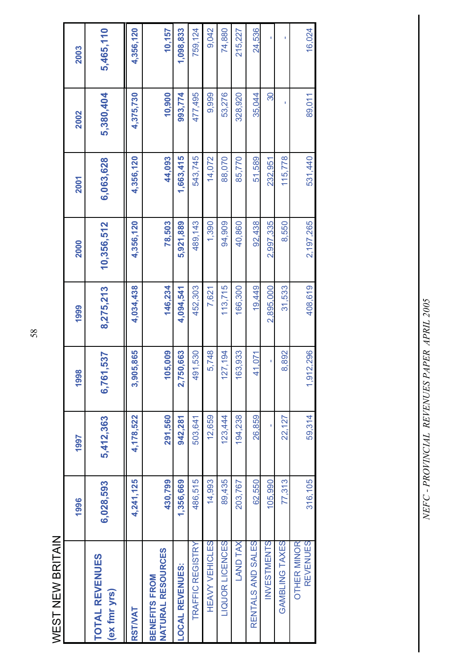| l      |
|--------|
|        |
| I<br>ŗ |
|        |
|        |

| WEST NEW BRITAIN                                 |           |           |               |           |            |           |           |           |
|--------------------------------------------------|-----------|-----------|---------------|-----------|------------|-----------|-----------|-----------|
|                                                  | 1996      | 1997      | 1998          | 1999      | 2000       | 2001      | 2002      | 2003      |
| <b>TOTAL REVENUES</b><br>(ex fmr yrs)            | 6,028,593 | 5,412,363 | 6,761,537     | 8,275,213 | 10,356,512 | 6,063,628 | 5,380,404 | 5,465,110 |
| <b>RST/VAT</b>                                   | 4,241,125 | 4,178,522 | 05,865<br>3,9 | 4,034,438 | 4,356,120  | 4,356,120 | 4,375,730 | 4,356,120 |
| <b>NATURAL RESOURCES</b><br><b>BENEFITS FROM</b> | 430,799   | 291,560   | 05,009<br>÷   | 146,234   | 78,503     | 44,093    | 10,900    | 10,157    |
| <b>LOCAL REVENUES:</b>                           | 1,356,669 | 942,281   | 2,750,663     | 4,094,541 | 5,921,889  | 1,663,415 | 993,774   | 1,098,833 |
| TRAFFIC REGISTRY                                 | 486,515   | 503,641   | 491,530       | 452,303   | 489, 143   | 543,745   | 477,495   | 759,124   |
| HEAVY VEHICLES                                   | 14,993    | 12,659    | 5,748         | 7,621     | 1,390      | 14,072    | 9,999     | 9,042     |
| LIQUOR LICENCES                                  | 89,435    | 123,444   | 127, 194      | 113,715   | 94,909     | 88,070    | 53,276    | 74,880    |
| <b>LAND TAX</b>                                  | 203,767   | 194,238   | 163,933       | 166,300   | 40,860     | 85,770    | 328,920   | 215,227   |
| RENTALS AND SALES                                | 62,550    | 26,859    | 41,071        | 19,449    | 92,438     | 51,589    | 35,044    | 24,536    |
| <b>INVESTMENTS</b>                               | 105,990   |           |               | 2,895,000 | 2,997,335  | 232,951   | ႙         |           |
| GAMBLING TAXES                                   | 77,313    | 22,127    | 8,892         | 31,533    | 8,550      | 115,778   | f,        |           |
| <b>REVENUES</b><br><b>OTHER MINOR</b>            | 316,105   | 59,314    | 1,912,296     | 408,619   | 2,197,265  | 531,440   | 89,011    | 16,024    |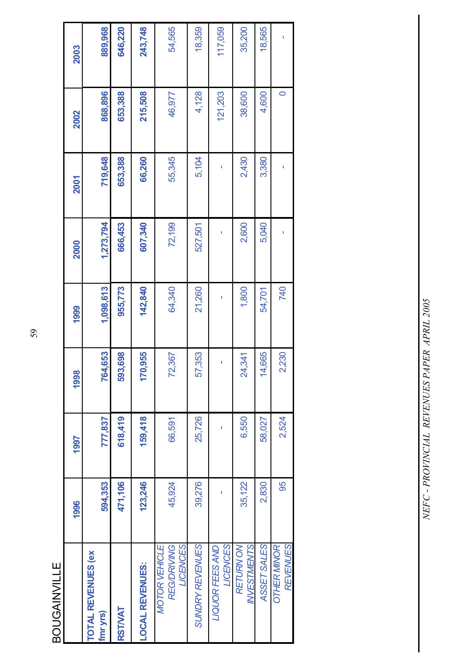**BOUGAINVILLE** BOUGAINVILLE

|                                                        | 1996    | 1997    | 1998    | 1999      | 2000      | 2001    | 2002    | 2003    |
|--------------------------------------------------------|---------|---------|---------|-----------|-----------|---------|---------|---------|
| <b>TOTAL REVENUES (ex)</b><br>fmr yrs)                 | 594,353 | 777,837 | 764,653 | 1,098,613 | 1,273,794 | 719,648 | 868,896 | 889,968 |
| <b>RSTWAT</b>                                          | 471,106 | 618,419 | 593,698 | 955,773   | 666,453   | 653,388 | 653,388 | 646,220 |
| <b>LOCAL REVENUES:</b>                                 | 123,246 | 159,418 | 170,955 | 142,840   | 607,340   | 66,260  | 215,508 | 243,748 |
| <b>REG/DRIVING</b><br><b>LICENCES</b><br>MOTOR VEHICLE | 45,924  | 66,591  | 72,367  | 64,340    | 72,199    | 55,345  | 46,977  | 54,565  |
| SUNDRY REVENUES                                        | 39,276  | 25,726  | 57,353  | 21,260    | 527,501   | 5,104   | 4,128   | 18,359  |
| <b>LICENCES</b><br><b>LIQUOR FEES AND</b>              |         |         | I       |           |           | ı       | 121,203 | 117,059 |
| INVESTMENTS<br><b>RETURN ON</b>                        | 35,122  | 6,550   | 24,341  | 1,800     | 2,600     | 2,430   | 38,600  | 35,200  |
| ASSET SALES                                            | 2,830   | 58,027  | 14,665  | 54,701    | 5,040     | 3,380   | 4,600   | 18,565  |
| <b>REVENUES</b><br><b>OTHER MINOR</b>                  | 95      | 2,524   | 2,230   | 740       | I         | I       | 0       |         |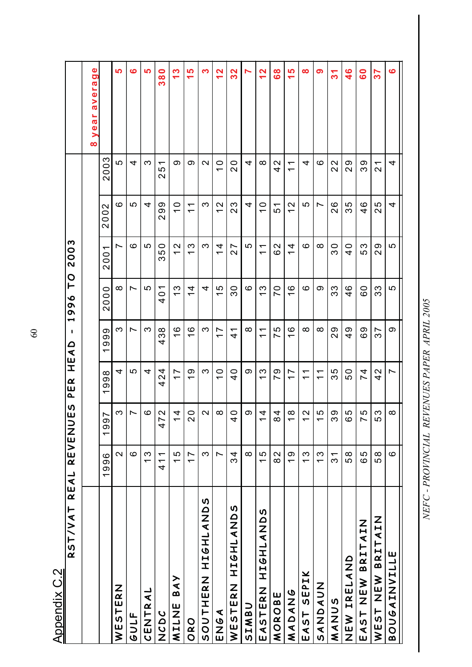| REAL<br>RST/VAT<br><u>ייש אומווסקער.</u> |                     | <b>S)</b><br><b>REVENUE</b>        | I<br>$\pmb{\alpha}$<br>ш<br>$\Delta$                 | $\mathbf{I}$<br>$\boldsymbol{\mathsf{c}}$<br>⋖<br>Ш  | ⊢<br>$\bullet$<br>$\sigma$<br>თ<br>$\blacktriangleright$ | 2003<br>$\mathbf O$                                  |                                                         |                                                      |                                                                                                 |
|------------------------------------------|---------------------|------------------------------------|------------------------------------------------------|------------------------------------------------------|----------------------------------------------------------|------------------------------------------------------|---------------------------------------------------------|------------------------------------------------------|-------------------------------------------------------------------------------------------------|
|                                          |                     |                                    |                                                      |                                                      |                                                          |                                                      |                                                         |                                                      | Φ<br>$\mathbf{\overline{o}}$<br>era<br>$\frac{1}{6}$<br>ar<br>$\mathbf 0$<br>$\geq$<br>$\infty$ |
|                                          | 1996                | 1997                               | $\infty$<br>σ<br>တ<br>$\overline{\phantom{0}}$       | တ<br>σ<br>თ<br>$\overline{\phantom{0}}$              | $\overline{0}$<br>$\bar{\circ}$<br>$\sim$                | 001<br>$\sim$                                        | $\mathbf{\Omega}$<br>$\circ$<br>$\bar{\circ}$<br>$\sim$ | 003<br>$\sim$                                        |                                                                                                 |
| WESTERN                                  | $\mathbf{\Omega}$   | ო                                  | 4                                                    | က                                                    | $\infty$                                                 | ∼                                                    | $\circ$                                                 | 5                                                    | မာ                                                                                              |
| GULF                                     | ဖ                   |                                    | 5                                                    | $\overline{\phantom{0}}$                             | Ľ                                                        | ဖ                                                    | 5                                                       | 4                                                    | ဖ                                                                                               |
| CENTRAL                                  | S<br>$\overline{ }$ | ဖ                                  | 4                                                    | က                                                    | 5                                                        | 5                                                    | 4                                                       | က                                                    | <b>LO</b>                                                                                       |
| <b>UDUZ</b>                              | 411                 | $\mathbf{\Omega}$<br>47            | 4<br>$\mathbf{\sim}$<br>4                            | $\infty$<br>S<br>4                                   | ᡪ<br>$\circ$<br>4                                        | 0<br>5<br>ო                                          | တ<br>တ<br>$\mathbf{\Omega}$                             | $\overline{\phantom{0}}$<br>5<br>$\mathbf{\Omega}$   | 0<br>$\frac{8}{3}$                                                                              |
| BAY<br>MILNE                             | $\frac{5}{1}$       | $\frac{4}{4}$                      | $\overline{\phantom{0}}$<br>$\overline{\phantom{0}}$ | ဖ<br>$\overline{\phantom{0}}$                        | ო<br>$\overline{\phantom{0}}$                            | $\mathbf{\sim}$<br>$\overline{\phantom{0}}$          | 0<br>᠆                                                  | တ                                                    | က<br>$\overline{\phantom{0}}$                                                                   |
| ORO                                      | $\overline{1}$      | $\circ$<br>$\overline{\mathbf{C}}$ | တ<br>$\overline{\phantom{0}}$                        | ဖ<br>$\overline{\phantom{0}}$                        | 4<br>$\overline{\phantom{0}}$                            | ო<br>$\overline{\phantom{0}}$                        | $\overline{\phantom{0}}$<br>$\overline{\phantom{0}}$    | တ                                                    | 5<br>$\overline{\phantom{0}}$                                                                   |
| S<br><b>ALAILAND</b><br>SOUTHERN         | က                   | $\sim$                             | က                                                    | ო                                                    | 4                                                        | ო                                                    | ო                                                       | $\mathbf{\Omega}$                                    | က                                                                                               |
| ENGA                                     | Ľ                   | $\infty$                           | $\circ$<br>$\overline{\phantom{0}}$                  | $\overline{\phantom{0}}$<br>$\overline{\phantom{0}}$ | ပ<br>᠇                                                   | 4<br>$\overline{\phantom{0}}$                        | $\mathbf{\Omega}$<br>$\overline{\phantom{0}}$           | $\circ$<br>$\overline{\phantom{0}}$                  | N<br>$\overline{\phantom{0}}$                                                                   |
| SONVIH9IH<br>WESTERN                     | 34                  | O<br>4                             | 0<br>4                                               | $\bar{}$<br>4                                        | $\frac{8}{3}$                                            | Ľ<br>$\sim$                                          | က<br>$\mathbf{\Omega}$                                  | $\circ$<br>$\mathbf{\Omega}$                         | 2<br>က                                                                                          |
| SIMBU                                    | $\infty$            | တ                                  | တ                                                    | $\infty$                                             | ဖ                                                        | 5                                                    | 4                                                       | 4                                                    | N                                                                                               |
| <b>SONATHSIH</b><br>EASTERN              | $\frac{5}{1}$       | $\frac{4}{4}$                      | က<br>$\overline{\phantom{0}}$                        | $\overline{\phantom{0}}$<br>$\overline{\phantom{0}}$ | က<br>$\overline{\phantom{0}}$                            | $\overline{\phantom{0}}$<br>$\overline{\phantom{0}}$ | 0<br>$\overline{\phantom{0}}$                           | $\infty$                                             | $\mathbf{\Omega}$<br>$\overline{\phantom{0}}$                                                   |
| MOROBE                                   | 82                  | $\frac{4}{3}$                      | တ<br>∼                                               | 5<br>Ľ                                               | 0<br>Ľ                                                   | $\mathbf{\sim}$<br>ဖ                                 | $\overline{\phantom{0}}$<br>LO                          | $\mathbf{\sim}$<br>4                                 | စိ                                                                                              |
| <b>SNADAS</b>                            | တ<br>$\overline{ }$ | $\infty$<br>ᅮ                      | Ľ<br>$\overline{\phantom{0}}$                        | $\circ$<br>$\overline{\phantom{0}}$                  | ဖ<br>$\overline{\phantom{0}}$                            | 4<br>$\overline{\phantom{0}}$                        | $\mathbf{\sim}$<br>$\overline{\phantom{0}}$             | $\overline{\phantom{0}}$<br>$\overline{\phantom{0}}$ | <u>လ</u><br>$\overline{\phantom{0}}$                                                            |
| SEPIK<br>EAST                            | $\frac{3}{1}$       | $\sim$ 1<br>ᅮ                      | $\overline{\phantom{0}}$<br>$\overline{\phantom{0}}$ | ∞                                                    | ဖ                                                        | ဖ                                                    | ഥ                                                       | 4                                                    | $\infty$                                                                                        |
| <b>NURANAS</b>                           | S<br>$\overline{ }$ | 5<br>ᡪ                             | $\overline{\phantom{0}}$<br>$\overline{\phantom{0}}$ | ∞                                                    | တ                                                        | $\infty$                                             | $\overline{\phantom{0}}$                                | ဖ                                                    | တ                                                                                               |
| MANUS                                    | 31                  | თ<br>$\infty$                      | 5<br>က                                               | 29                                                   | 33                                                       | $\circ$<br>ო                                         | ဖ<br>$\mathbf{\Omega}$                                  | 22                                                   | $\overline{\mathcal{E}}$                                                                        |
| NEW IRELAND                              | 58                  | 5<br>ဖ                             | 0<br>LO                                              | $\frac{9}{4}$                                        | ဖ<br>4                                                   | 0<br>4                                               | ഥ<br>ო                                                  | တ<br>$\mathbf{\Omega}$                               | $\frac{6}{5}$                                                                                   |
| <b>BRITAIN</b><br>EAST NEW               | 65                  | 5<br>$\overline{\phantom{0}}$      | 4<br>Ľ                                               | 69                                                   | $\circ$<br>ဖ                                             | က<br>LO                                              | ဖ<br>$\overline{a}$                                     | တ<br>က                                               | <b>O</b>                                                                                        |
| <b>BRITAIN</b><br>WEST NEW               | 58                  | ო<br>LO                            | $\mathbf{\Omega}$<br>4                               | ∼<br><u>က</u>                                        | ო<br>ო                                                   | တ<br>$\mathbf{\Omega}$                               | 5<br>$\mathbf{\Omega}$                                  | ᠇<br>$\mathbf{\Omega}$                               | r<br>္မ                                                                                         |
| <b>BOUGAINVILLE</b>                      | ဖ                   | $\infty$                           | $\overline{\phantom{0}}$                             | တ                                                    | 5                                                        | 5                                                    | 4                                                       | 4                                                    | $\bullet$                                                                                       |

SOOT TIMAV REAFING ASSESSMENT OF A PARTY CONSIDER ASSESSMENT AND A SOLUTION OF A PARTY CONTROL OF A PARTY CONT *NEFC - PROVINCIAL REVENUES PAPER APRIL 2005*

60

**Appendix C.2** Appendix C.2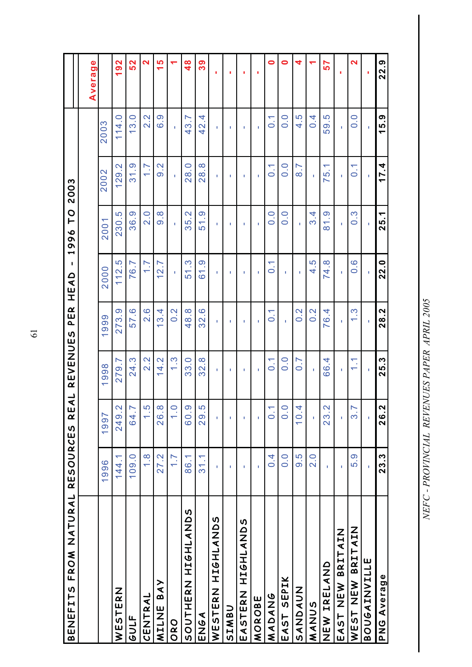| FROM NATURAL<br><b>BENEFITS</b> | <b>RESOURCES</b> | し<br>E<br>R                 | <b>REVENUES</b>                 | PER                                   | $\overline{\phantom{a}}$<br>HEAD | p<br>1996                                        | 2003                               |                  |                   |
|---------------------------------|------------------|-----------------------------|---------------------------------|---------------------------------------|----------------------------------|--------------------------------------------------|------------------------------------|------------------|-------------------|
|                                 |                  |                             |                                 |                                       |                                  |                                                  |                                    |                  | Φ<br>Averag       |
|                                 | 1996             | 1997                        | 998                             | 999                                   | 2000                             | 2001                                             | 2002                               | 2003             |                   |
| WESTERN                         | 144.1            | 249.2                       | 279.7                           | 273.9                                 | 112.5                            | 230.5                                            | 129.2                              | 114.0            | 192               |
| GULF                            | 109.0            | h<br>64.7                   | 24.3                            | 57.6                                  | 76.7                             | 36.9                                             | 31.9                               | 13.0             | 52                |
| CENTRAL                         | $\frac{8}{1}$    | 1.5                         | $2.\overline{2}$                | $\frac{8}{2}$                         | $\overline{1}$ .                 | 2.0                                              | $\overline{1}$ .                   | $2.\overline{2}$ | $\mathbf{\Omega}$ |
| BAY<br>MILNE                    | 27.2             | 26.8                        | 4.2<br>$\overline{\phantom{0}}$ | 13.4                                  | 12.7                             | 8.6                                              | $\frac{2}{9}$ .                    | 6.9              | $\frac{5}{1}$     |
| ORO                             | $\overline{1}$ . | $\frac{1}{2}$               | <u>က္</u>                       | $\frac{2}{3}$                         | f.                               | f.                                               | f.                                 | Ĩ.               |                   |
| SOUTHERN HIGHLANDS              | 86.1             | 60.9                        | 33.0                            | 48.8                                  | <u>က</u><br>51                   | 35.2                                             | 28.0                               | 43.7             | $\frac{8}{1}$     |
| ENGA                            | 31.1             | 29.5                        | œ.<br>32.                       | 32.6                                  | တ<br>$\overline{6}$              | <u>ဇ</u><br>51.                                  | 28.8                               | 4.<br>42         | ၵိ                |
| SQNATH9IH<br>WESTERN            | I.               | I.                          | Ť.                              | Ť.                                    | f.                               | I.                                               | ٠                                  | Ť.               | ٠                 |
| <b>SIMBU</b>                    | ı                | f,                          | f,                              | f,                                    | J.                               | f,                                               | f,                                 | J.               |                   |
| SQNV1H91H<br>EASTERN            | f,               | ı                           | T,                              | T,                                    | f,                               | f.                                               | ı                                  | I.               | ٠                 |
| MOROBE                          | f,               | I.                          | T,                              | T,                                    | f,                               | f,                                               | I.                                 | T,               | ٠                 |
| MADANG                          | 0.4              | $\dot{\circ}$               | $\overline{0}$                  | Σ,<br>$\overline{\bullet}$            | Σ,<br>$\overline{\bullet}$       | $\frac{0}{0}$                                    | $\overline{0}$ .                   | $\overline{0}$   | 0                 |
| SEPIK<br>EAST                   | 0.0              | $\bigcap$<br>$\overline{O}$ | 0.0                             | T.                                    | f,                               | 0.0                                              | 0.0                                | 0.0              | 0                 |
| <b>NUNDAVS</b>                  | 9.5              | 10.4                        | $\overline{0}$ .7               | $\frac{2}{0}$                         | T.                               | ĭ.                                               | $\overline{8}$ .7                  | 4.5              | 4                 |
| MANUS                           | $\frac{0}{2}$    | Î.                          | Î.                              | $\frac{2}{3}$                         | ς.<br>4                          | 3.4                                              | Î.                                 | 0.4              |                   |
| NEW IRELAND                     | Î.               | 23.2                        | 4<br>89                         | 76.4                                  | œ.<br>74.                        | <u>ဇ</u><br>$\overline{\phantom{0}}$<br>$\infty$ | ↽<br>S<br>$\overline{\phantom{0}}$ | c,<br>59         | 57                |
| EAST NEW BRITAIN                | ı                | f,                          | f,                              | f,                                    |                                  | f,                                               | f,                                 | f,               | ٠                 |
| <b>BRITAIN</b><br>WEST NEW      | 5.9              | .<br>က                      | Ξ,<br>$\overline{\phantom{0}}$  | <u>က္</u><br>$\overline{\phantom{0}}$ | <u>ဖ</u><br>$\circ$              | <u>က္</u><br>$\dot{\mathbf{\circ}}$              | $\overline{0}$ .                   | $\overline{0}$ . | 2                 |
| <b>BOUGAINVILLE</b>             | ĭ.               | T,                          | T.                              | ĭ.                                    | ĭ.                               | ĭ.                                               | T.                                 | ĭ.               |                   |
| PNG Average                     | 23.3             | 26.2                        | <u>က</u><br>25.                 | 28.2                                  | 22.0                             | 25.1                                             | 17.4                               | 15.9             | 22.9              |

61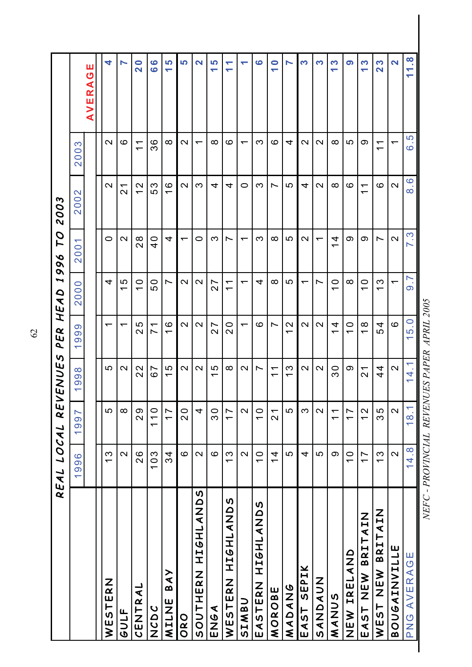|                       | REAL LOCAL          | RE                                                   | ENUES                                                | PER                                            | 1<br>$\Omega$<br>HEA                                 | pd<br>996                                                             | 2003                                                           |                                                           |                                                            |
|-----------------------|---------------------|------------------------------------------------------|------------------------------------------------------|------------------------------------------------|------------------------------------------------------|-----------------------------------------------------------------------|----------------------------------------------------------------|-----------------------------------------------------------|------------------------------------------------------------|
|                       | 1996                | $\overline{6}$<br>$\frac{1}{2}$                      | $\infty$<br>$\circ$<br>$\sigma$                      | တ<br>$\infty$<br>တ<br>$\overline{\phantom{0}}$ | $\circ$<br>$\overline{0}$<br>$\overline{\mathsf{N}}$ | $\overline{\phantom{0}}$<br>$\overline{0}$<br>$\overline{\mathsf{N}}$ | $\mathbf{\Omega}$<br>$\overline{0}$<br>$\overline{\mathsf{N}}$ | က<br>$\ddot{\circ}$<br>$\circ$<br>$\overline{\mathsf{C}}$ |                                                            |
|                       |                     |                                                      |                                                      |                                                |                                                      |                                                                       |                                                                |                                                           | Ш<br>$\mathbf C$<br>AVERA                                  |
| WESTERN               | $\frac{3}{5}$       | 5                                                    | 5                                                    | ↽                                              | 4                                                    | $\circ$                                                               | $\mathbf{\Omega}$                                              | $\mathbf{\Omega}$                                         | 4                                                          |
| GULF                  | $\mathbf{\Omega}$   | $\infty$                                             | $\mathbf{\Omega}$                                    | $\overline{\phantom{0}}$                       | 5<br>$\overline{\phantom{0}}$                        | $\mathbf{\Omega}$                                                     | $\overline{2}$                                                 | ဖ                                                         | N                                                          |
| CENTRAL               | 26                  | ၜ<br>$\overline{\mathsf{C}}$                         | $\mathbf{\Omega}$<br>$\mathbf{\Omega}$               | <u>က</u><br>$\sim$                             | $\circ$<br>$\overline{\phantom{0}}$                  | $\infty$<br>$\mathbf{\Omega}$                                         | $\mathbf{\Omega}$<br>$\overline{ }$                            | $\overline{\phantom{0}}$<br>$\overline{\phantom{0}}$      | $\bullet$<br>$\overline{\mathbf{N}}$                       |
| <b>UAUNZ</b>          | 103                 | 110                                                  | Ľ<br>$\infty$                                        | $\overline{\phantom{0}}$<br>$\overline{ }$     | 50                                                   | $\frac{0}{4}$                                                         | 53                                                             | 36                                                        | $\bullet$<br>ဖ                                             |
| BAY<br>MILNE          | 34                  | $\overline{1}$                                       | Ю<br>$\overline{\phantom{0}}$                        | ဖ<br>$\overline{\phantom{0}}$                  | Ľ                                                    | 4                                                                     | ဖ<br>$\overline{\phantom{0}}$                                  | ∞                                                         | 5<br>↽                                                     |
| ORO                   | ဖ                   | $\overline{2}0$                                      | $\mathbf{\Omega}$                                    | $\mathbf{\Omega}$                              | $\mathbf{\Omega}$                                    | $\overline{\phantom{0}}$                                              | $\mathbf{\Omega}$                                              | $\mathbf{\Omega}$                                         | <u> In</u>                                                 |
| SONVIHSIH<br>SOUTHERN | $\mathbf{\Omega}$   | 4                                                    | $\mathbf{\Omega}$                                    | $\mathbf{\Omega}$                              | $\sim$                                               | 0                                                                     | ო                                                              | $\overline{\phantom{0}}$                                  | $\overline{\mathbf{N}}$                                    |
| ENGA                  | ဖ                   | ვ<br>თ                                               | 5<br>$\overline{\phantom{0}}$                        | 27                                             | $\overline{\phantom{0}}$<br>$\overline{\mathsf{N}}$  | S                                                                     | 4                                                              | $\infty$                                                  | <u> In</u><br>↽                                            |
| SONVIH9IH<br>WESTERN  | $\frac{3}{1}$       | 11                                                   | $\infty$                                             | 0<br>$\mathbf{\Omega}$                         | ᅮ<br>$\overline{\phantom{0}}$                        | Ľ                                                                     | 4                                                              | ဖ                                                         | $\blacktriangledown$<br>↽                                  |
| SIMBU                 | $\mathbf{\Omega}$   | $\mathbf{\Omega}$                                    | $\mathbf{\Omega}$                                    | $\overline{\phantom{0}}$                       | $\overline{\phantom{0}}$                             | $\overline{\phantom{0}}$                                              | 0                                                              | $\overline{\phantom{0}}$                                  | $\overline{\phantom{a}}$                                   |
| SONVIHSIH<br>EASTERN  | $\frac{0}{1}$       | $\frac{0}{1}$                                        | $\overline{\phantom{1}}$                             | ဖ                                              | 4                                                    | က                                                                     | က                                                              | က                                                         | $\bullet$                                                  |
| MOROBE                | $\frac{4}{4}$       | $\overline{2}$ 1                                     | $\overline{\phantom{0}}$<br>$\overline{\phantom{0}}$ | Ľ                                              | $\infty$                                             | $\infty$                                                              | $\overline{\phantom{0}}$                                       | ဖ                                                         | $\bullet$<br>᠆                                             |
| <b>MADANS</b>         | 5                   | 5                                                    | က<br>$\overline{\phantom{0}}$                        | $\mathbf{\Omega}$<br>᠇                         | 5                                                    | 5                                                                     | 5                                                              | 4                                                         | N                                                          |
| SEPIK<br>EAST         | 4                   | က                                                    | $\mathbf{\Omega}$                                    | $\mathbf{\Omega}$                              | ᅮ                                                    | $\mathbf{\Omega}$                                                     | 4                                                              | $\mathbf{\Omega}$                                         | က                                                          |
| <b>NUMANY SARA</b>    | 5                   | $\mathbf{\Omega}$                                    | $\sim$                                               | $\sim$                                         | Ľ                                                    | $\overline{\phantom{0}}$                                              | $\mathbf{\Omega}$                                              | $\mathbf{\Omega}$                                         | က                                                          |
| MANUS                 | တ                   | $\overline{\phantom{0}}$<br>$\overline{\phantom{0}}$ | ვე                                                   | 4<br>$\overline{\phantom{0}}$                  | $\circ$<br>$\overline{\phantom{0}}$                  | 4<br>$\overline{\phantom{0}}$                                         | $\infty$                                                       | ∞                                                         | S<br>↽                                                     |
| NEW IRELAND           | $\frac{0}{1}$       | $\overline{1}$                                       | တ                                                    | $\circ$<br>$\overline{\phantom{0}}$            | ∞                                                    | တ                                                                     | စ                                                              | r                                                         | ၜ                                                          |
| NEW BRITAIN<br>EAST   | $\overline{1}$      | 2<br>$\overline{\phantom{0}}$                        | $\overline{2}$                                       | $\infty$<br>$\overline{\phantom{0}}$           | $\circ$<br>$\overline{\phantom{0}}$                  | တ                                                                     | $\overline{\phantom{0}}$<br>$\overline{\phantom{0}}$           | တ                                                         | က<br>$\overline{\phantom{0}}$                              |
| WEST NEW BRITAIN      | $\frac{3}{5}$       | 35                                                   | $\frac{4}{4}$                                        | 4<br>5                                         | က<br>$\overline{\phantom{0}}$                        | $\overline{\phantom{1}}$                                              | စ                                                              | $\overline{\phantom{0}}$<br>$\overline{\phantom{0}}$      | S<br>$\overline{\mathbf{N}}$                               |
| <b>BOUGAINVILLE</b>   | $\boldsymbol{\sim}$ | $\mathbf{\Omega}$                                    | $\mathbf{\Omega}$                                    | ဖ                                              | ↽                                                    | $\mathbf{\Omega}$                                                     | $\mathbf{\Omega}$                                              | $\overline{\phantom{0}}$                                  | $\overline{\mathbf{z}}$                                    |
| <b>PNG AVERAGE</b>    | 14.8                | 18.1                                                 | ↽<br>4<br>$\div$                                     | $\circ$<br>5<br>$\overline{\phantom{0}}$       | Ŋ<br>ၜ                                               | S<br>$\mathord{\hspace{1pt}\text{--}\hspace{1pt}}$                    | $\mathbf{\Omega}$<br>$\infty$                                  | 5<br>ဖ                                                    | œ.<br>$\overline{\phantom{0}}$<br>$\overline{\phantom{0}}$ |

62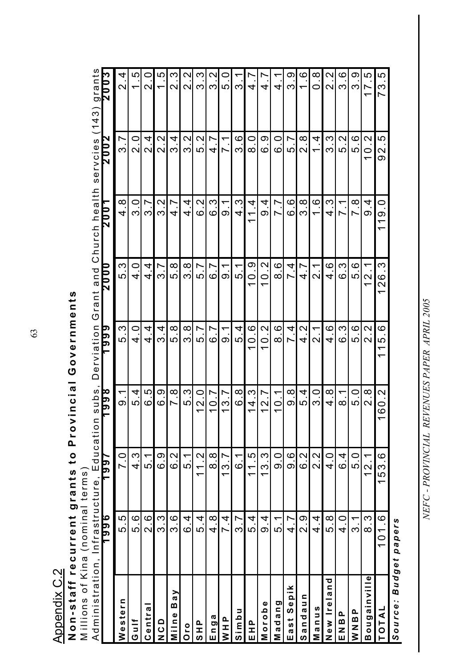| <b>NINTELLINE CONSTRUCTION</b><br>Administration, | Infrastructure <sub>:</sub> | Educatio                          | subs,                                                    | Derviation                                    | Grant and                                          | Church health                                   | servcies                            | (143)                                  |
|---------------------------------------------------|-----------------------------|-----------------------------------|----------------------------------------------------------|-----------------------------------------------|----------------------------------------------------|-------------------------------------------------|-------------------------------------|----------------------------------------|
|                                                   | 986                         | 661                               | 8 6 6                                                    | p<br><b>b</b>                                 | <u>00Z</u>                                         | 0 Z                                             | N<br>$\overline{\mathtt{200}}$      | grants<br>2003                         |
| Western                                           | 5.5                         | 7.0                               | —<br>თ                                                   | ნ .<br>თ                                      | S<br><u>ທ</u> ີ                                    | $\infty$<br>4                                   | <b>)</b><br>က                       | 4<br>$\overline{\mathcal{C}}$          |
| ≒<br>სე                                           | 5.6                         | $4.\overline{3}$                  | 5.4                                                      | O.<br>4                                       | d<br>4                                             | $\circ$<br>က                                    | $\circ$<br>$\overline{\mathsf{N}}$  | 5<br>↽                                 |
| Centra                                            | $\overline{2}.6$            | 5.1                               | 5<br>$\circ$                                             | 4<br>4                                        | $\frac{4}{3}$                                      | Ľ<br>ო                                          | 4<br>$\overline{\mathsf{C}}$        | O<br>$\mathbf{\Omega}$                 |
| O<br>O<br>O                                       | 3.3                         | 6.9                               | ნ<br>: მ                                                 | 4.<br>ო                                       | ვ 7                                                | $3.\overline{2}$                                | Ņ<br>$\overline{\mathbf{N}}$        | LO<br>ᡪ                                |
| B a y<br>Milne                                    | ვ<br>ვ                      | <u>ي</u><br>ه                     | $\infty$<br>$\overline{\phantom{0}}$                     | $\infty$<br>ပ                                 | $\infty$<br>5                                      | 4.7                                             | 4<br>က                              | က<br>$\mathbf{\Omega}$                 |
| Oro                                               | 6.4                         | 5.1                               | <u>က</u><br>$\overline{c}$                               | $\infty$<br>က                                 | $\infty$<br>က                                      | $\overline{4}$<br>$\overline{4}$                | 2<br>က                              | $\mathbf{\Omega}$<br>$\mathbf{\Omega}$ |
| D<br>エ<br>S<br>H<br>S                             | 5.4                         | 11.2                              | $\circ$<br>$\overline{\mathsf{N}}$<br>ᡪ                  | $\overline{\phantom{0}}$<br>5                 | 5                                                  | 2<br>ဖ                                          | 2<br>5                              | ო<br>ო                                 |
| Enga                                              | $\infty$<br>4               | 8.8                               | $\overline{ }$<br>$\circ$<br>ᡪ                           | $\mathsf{L}$<br>ဖ                             | $\mathbin{\relax{\hspace{1pt}}}{\phantom{1}}$<br>ဖ | S<br>ဖ                                          | $\mathsf{L}$<br>4                   | N<br>ო                                 |
| NHP                                               | 4<br>$\overline{ }$         | 13.7                              | Ľ<br>က                                                   | ↽<br>တ                                        | ᡪ<br>တ                                             | ᡪ<br>တ                                          | ᡪ                                   | 5                                      |
| Simbu                                             | ვ .7                        | $\blacktriangledown$<br><u>င်</u> | $\infty$<br>ဖ                                            | 4<br>5                                        | ᡪ<br>5                                             | S<br>$\overline{4}$                             | $\circ$<br>က                        | ო                                      |
| a<br>I<br>Ш                                       | 5 .<br>4                    | 5<br>$\overline{\mathbf{r}}$      | $\ddot{\mathcal{C}}$<br>4<br>ᡪ                           | $\circ$<br>$\circ$<br>ᡪ                       | တ<br>$\circ$<br>ᡪ                                  | 4<br>$\overline{ }$<br>$\overline{\phantom{0}}$ | $\circ$<br>$\infty$                 | 4                                      |
| Morobe                                            | $\frac{4}{9}$               | <u>က</u><br>$\frac{3}{2}$         | $\overline{2}.7$<br>ᡪ                                    | 2<br>$\circ$<br>ᡪ                             | 2<br>$\circ$<br>$\overline{\phantom{0}}$           | თ<br>თ                                          | $\sigma$<br>ဖ                       | 4                                      |
| Nadang                                            | 5.1                         | <u>ဝ</u><br>စ                     | ᡪ<br>$\circ$<br>$\overline{\phantom{0}}$                 | $\circ$<br>$\infty$                           | $\circ$<br>$\infty$                                | Ľ<br>$\overline{ }$                             | $\circ$<br>ဖ                        | ᠇<br>4                                 |
| Sepik<br>a s t<br>ш                               | $\overline{4.7}$            | 0.6                               | 9.8                                                      | 4<br>$\overline{ }$                           | 4<br>∼                                             | ဖ<br>$\overline{6}$                             | $\check{ }$<br>5.                   | တ<br>ω                                 |
| Sandaun                                           | 2.9                         | 6.2                               | 5.4                                                      | $\mathbf{\Omega}$<br>4                        | L.<br>4                                            | $\infty$<br>ო                                   | $\infty$<br>$\overline{\mathsf{C}}$ | ဖ<br>ᡪ                                 |
| Manus                                             | $4 \frac{4}{1}$             | 2.2                               | $\frac{0}{3}$                                            | $\overline{\phantom{0}}$<br>$\mathbf{\Omega}$ | ᠇<br>$\overline{\mathsf{C}}$                       | ဖ<br>$\overline{\phantom{0}}$                   | 4<br>$\overline{\phantom{0}}$       | $\infty$<br>0                          |
| ᠊ᢦ<br>$\blacksquare$<br>$\frac{a}{2}$<br>New Ire  | 5.8                         | 4.0                               | $\infty$<br>4                                            | $\circ$<br>4                                  | ဖ<br>4                                             | S<br>4                                          | S<br>ო                              | $\mathbf{\Omega}$<br>$\mathbf{\Omega}$ |
| EN BP                                             | $\frac{4}{1}$               | 6.4                               | ᠇<br>$\infty$                                            | S<br>ဖ                                        | S<br>ဖ                                             | ᠇<br>$\overline{\phantom{0}}$                   | $\mathbf{\Omega}$<br>5              | ဖ<br>က                                 |
| a<br>B<br>N<br>N                                  | $\overline{3}.1$            | 5.0                               | 5.0                                                      | $\circ$<br>ယ                                  | $\circ$<br>ပ                                       | $\infty$<br>$\overline{ }$                      | $\circ$<br>LO                       | တ<br>Σ                                 |
| $\mathbf{\Omega}$<br>Bougainvil                   | က<br>8                      | 12.1                              | $\infty$<br>$\mathbf{\Omega}$                            | $\mathbf{\Omega}$<br>$\mathbf{\Omega}$        | ᠇<br>$\mathbf{\Omega}$<br>ᡪ                        | 4<br>တ                                          | $\mathbf{\Omega}$<br>$\circ$<br>ᡪ   | 5<br>Ľ<br>$\overline{\mathbf{t}}$      |
| TOTAL                                             | 101.6                       | <u>ဖ</u><br>153                   | .<br>د<br>$\circ$<br>$\circ$<br>$\overline{\phantom{0}}$ | ဖ<br>5<br>$\overline{\phantom{0}}$<br>ᡪ       | ო<br>O<br>2<br>$\overline{\phantom{0}}$            | $\circ$<br>$\frac{0}{10}$                       | 5<br>2<br>တ                         | 5<br>က<br>$\overline{\phantom{1}}$     |
| Source:                                           | <b>Budget papers</b>        |                                   |                                                          |                                               |                                                    |                                                 |                                     |                                        |

63

**Appendix C.2** Appendix C.2

# Non-staff recurrent grants to Provincial Governments<br>Millions of Kina (nominal terms) **Non-staff recurrent grants to Provincial Governments**

M illions of Kina ( nominal terms )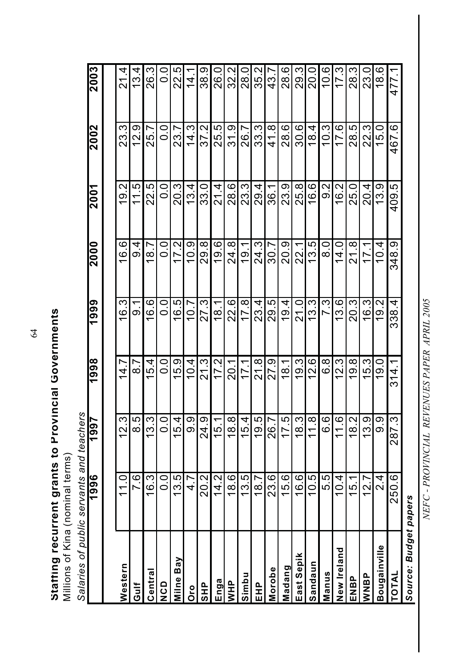Staffing recurrent grants to Provincial Governments<br>Millions of Kina (nominal terms) **Staffing recurrent grants to Provincial Governments**

Salaries of public servants and teachers *Salaries of public servants and teachers* Millions of Kina (nominal terms)

|              | 1996          | 1997          | 1998          | 1999                      | 2000                                   | 2001    | 2002          | 2003           |
|--------------|---------------|---------------|---------------|---------------------------|----------------------------------------|---------|---------------|----------------|
|              |               |               |               |                           |                                        |         |               |                |
| Western      | 11.0          | 12.3          | 14.7          | က<br>$\frac{6}{1}$        | 16.6                                   | 19.2    | 23.3          | 21.4           |
| Gulf         | 0.<br>7.      | 8.5           | $\frac{1}{8}$ | —<br>ഗ                    | თ<br>თ                                 | 11.5    | 12.9          | 13.4           |
| Central      | 16.3          | 13.3          | 15.4          | 16.6                      | 18.7                                   | 22.5    | 25.7          | 26.3           |
| OCD          | $\frac{0}{0}$ | 0.0           | O.O           | O.O                       | O.<br>O                                | O.<br>O | $\frac{0}{0}$ | O.<br>O        |
| Milne Bay    | 13.5          | 15.4          | 15.9          | 16.5                      | 17.2                                   | 20.3    | .<br>೧        | ၯ<br>22.<br>2  |
| o<br>Ō       | 4.7           | <u>ဝ</u><br>၁ | 10.4          | 10.7                      | ე<br>10.9                              | 13.4    | 14.3          | 4.             |
| <b>SHP</b>   | 20.2          | 24.9          | 21.3          | 27.3                      | 29.8                                   | 33.0    | 37.2          | ე<br>ვ.        |
| Enga         | 14.2          | 15.1          | 17.2          | 18.1                      | 19.6                                   | 21.4    | 25.5          | 0.0<br>26      |
| <b>NHP</b>   | 18.6          | 18.8          | 20.1          | 22.6                      | 24.8                                   | 28.6    | ვ1.9          | 32.2           |
| Simbu        | 13.5          | 15.4          | 17.1          | 17.8                      | 19.1                                   | 23.3    | 26.7          | 28.0           |
| EHP<br>EH    | 18.7          | 19.5          | 21.8          | 23.4                      | 24.3                                   | 29.4    | 33.3          | 35.2           |
| Morobe       | 23.6          | 26.7          | 27.9          | 29.5                      | 30.7                                   | 36.1    | 41.8          | 43.7           |
| Madang       | 15.6          | 17.5          | 18.1          | 19.4                      | 20.9                                   | 23.9    | 28.6          | 28.6           |
| East Sepik   | 16.6          | 18.3          | 19.3          | 21.0                      | 22.1                                   | 25.8    | 30.6          | ვ<br>29.3      |
| Sandaun      | 10.5          | 11.8          | 12.6          | <u>က</u><br><u>ო</u>      | 13.5                                   | 16.6    | 18.4          | 20.0           |
| Manus        | 5.5           | 6.6           | 8.9           | 7.3                       | o.<br>∞                                | လ<br>ဝ  | 10.3          | $\frac{6}{10}$ |
| New Ireland  | 10.4          | 11.6          | 12.3          | 13.6                      | $\frac{0}{4}$                          | 16.2    | 17.6          | 17.3           |
| ENBP         | 15.1          | 18.2          | 19.8          | 20.3                      | 21.8                                   | 25.0    | 28.5          | 28.3           |
| WNBP         | 12.7          | 13.9          | 15.3          | <u>က</u><br>$\frac{6}{1}$ | $\blacktriangledown$<br>$\overline{7}$ | 20.4    | 22.3          | 23.0           |
| Bougainville | $\frac{4}{2}$ | ၀<br>၁        | 19.0          | Ņ<br>$\frac{9}{1}$        | 10.4                                   | 13.9    | 15.0          | 18.6           |
| TOTAL        | 250.6         | 287.3         | 314.1         | 4<br>33.<br>33.           | 348.9                                  | 409.5   | 467.6         | 477.1          |

NEFC - PROVINCIAL REVENUES PAPER APRIL 2005 *NEFC - PROVINCIAL REVENUES PAPER APRIL 2005*

*Source: Budget papers*

sued pabpng :aounos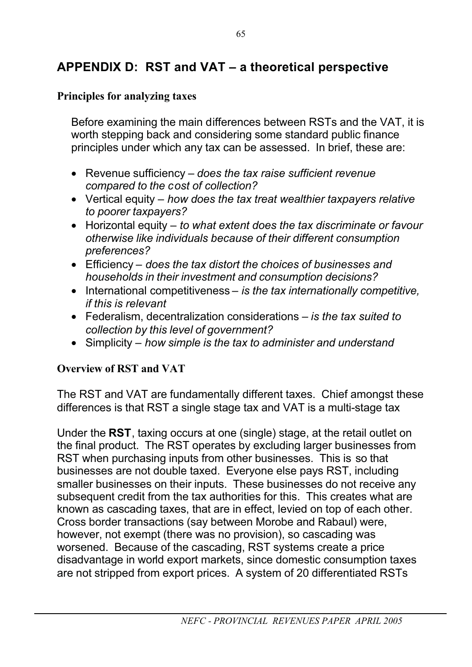## **APPENDIX D: RST and VAT – a theoretical perspective**

### **Principles for analyzing taxes**

Before examining the main differences between RSTs and the VAT, it is worth stepping back and considering some standard public finance principles under which any tax can be assessed. In brief, these are:

- Revenue sufficiency *does the tax raise sufficient revenue compared to the cost of collection?*
- Vertical equity *how does the tax treat wealthier taxpayers relative to poorer taxpayers?*
- Horizontal equity *to what extent does the tax discriminate or favour otherwise like individuals because of their different consumption preferences?*
- Efficiency *does the tax distort the choices of businesses and households in their investment and consumption decisions?*
- International competitiveness *is the tax internationally competitive, if this is relevant*
- Federalism, decentralization considerations *is the tax suited to collection by this level of government?*
- Simplicity *how simple is the tax to administer and understand*

### **Overview of RST and VAT**

The RST and VAT are fundamentally different taxes. Chief amongst these differences is that RST a single stage tax and VAT is a multi-stage tax

Under the **RST**, taxing occurs at one (single) stage, at the retail outlet on the final product. The RST operates by excluding larger businesses from RST when purchasing inputs from other businesses. This is so that businesses are not double taxed. Everyone else pays RST, including smaller businesses on their inputs. These businesses do not receive any subsequent credit from the tax authorities for this. This creates what are known as cascading taxes, that are in effect, levied on top of each other. Cross border transactions (say between Morobe and Rabaul) were, however, not exempt (there was no provision), so cascading was worsened. Because of the cascading, RST systems create a price disadvantage in world export markets, since domestic consumption taxes are not stripped from export prices. A system of 20 differentiated RSTs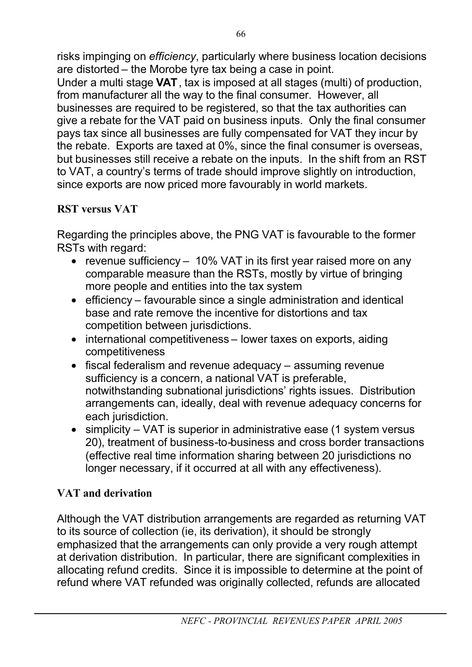risks impinging on *efficiency*, particularly where business location decisions are distorted – the Morobe tyre tax being a case in point.

Under a multi stage **VAT**, tax is imposed at all stages (multi) of production, from manufacturer all the way to the final consumer. However, all businesses are required to be registered, so that the tax authorities can give a rebate for the VAT paid on business inputs. Only the final consumer pays tax since all businesses are fully compensated for VAT they incur by the rebate. Exports are taxed at 0%, since the final consumer is overseas, but businesses still receive a rebate on the inputs. In the shift from an RST to VAT, a country's terms of trade should improve slightly on introduction, since exports are now priced more favourably in world markets.

## **RST versus VAT**

Regarding the principles above, the PNG VAT is favourable to the former RSTs with regard:

- revenue sufficiency 10% VAT in its first year raised more on any comparable measure than the RSTs, mostly by virtue of bringing more people and entities into the tax system
- efficiency favourable since a single administration and identical base and rate remove the incentive for distortions and tax competition between jurisdictions.
- international competitiveness lower taxes on exports, aiding competitiveness
- fiscal federalism and revenue adequacy assuming revenue sufficiency is a concern, a national VAT is preferable, notwithstanding subnational jurisdictions' rights issues. Distribution arrangements can, ideally, deal with revenue adequacy concerns for each jurisdiction.
- simplicity VAT is superior in administrative ease (1 system versus 20), treatment of business-to-business and cross border transactions (effective real time information sharing between 20 jurisdictions no longer necessary, if it occurred at all with any effectiveness).

## **VAT and derivation**

Although the VAT distribution arrangements are regarded as returning VAT to its source of collection (ie, its derivation), it should be strongly emphasized that the arrangements can only provide a very rough attempt at derivation distribution. In particular, there are significant complexities in allocating refund credits. Since it is impossible to determine at the point of refund where VAT refunded was originally collected, refunds are allocated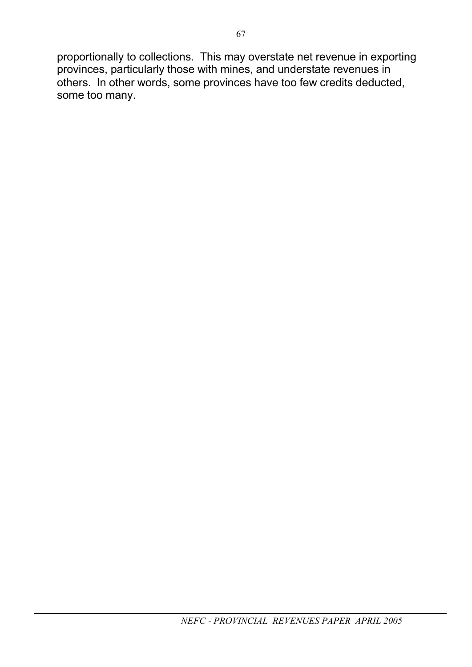proportionally to collections. This may overstate net revenue in exporting provinces, particularly those with mines, and understate revenues in others. In other words, some provinces have too few credits deducted, some too many.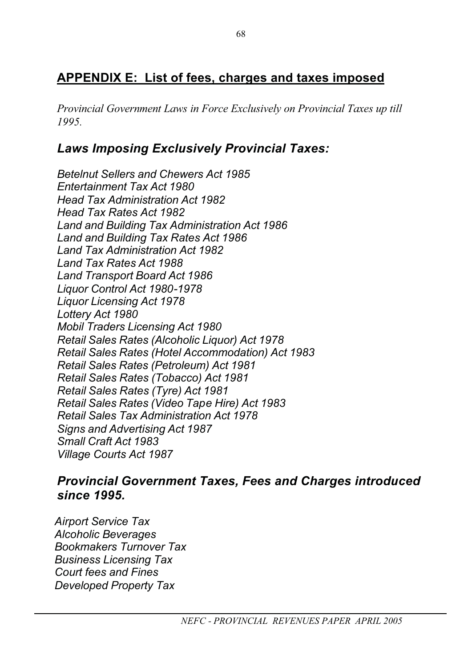# **APPENDIX E: List of fees, charges and taxes imposed**

*Provincial Government Laws in Force Exclusively on Provincial Taxes up till 1995.*

# *Laws Imposing Exclusively Provincial Taxes:*

*Betelnut Sellers and Chewers Act 1985 Entertainment Tax Act 1980 Head Tax Administration Act 1982 Head Tax Rates Act 1982 Land and Building Tax Administration Act 1986 Land and Building Tax Rates Act 1986 Land Tax Administration Act 1982 Land Tax Rates Act 1988 Land Transport Board Act 1986 Liquor Control Act 1980-1978 Liquor Licensing Act 1978 Lottery Act 1980 Mobil Traders Licensing Act 1980 Retail Sales Rates (Alcoholic Liquor) Act 1978 Retail Sales Rates (Hotel Accommodation) Act 1983 Retail Sales Rates (Petroleum) Act 1981 Retail Sales Rates (Tobacco) Act 1981 Retail Sales Rates (Tyre) Act 1981 Retail Sales Rates (Video Tape Hire) Act 1983 Retail Sales Tax Administration Act 1978 Signs and Advertising Act 1987 Small Craft Act 1983 Village Courts Act 1987*

#### *Provincial Government Taxes, Fees and Charges introduced since 1995.*

*Airport Service Tax Alcoholic Beverages Bookmakers Turnover Tax Business Licensing Tax Court fees and Fines Developed Property Tax*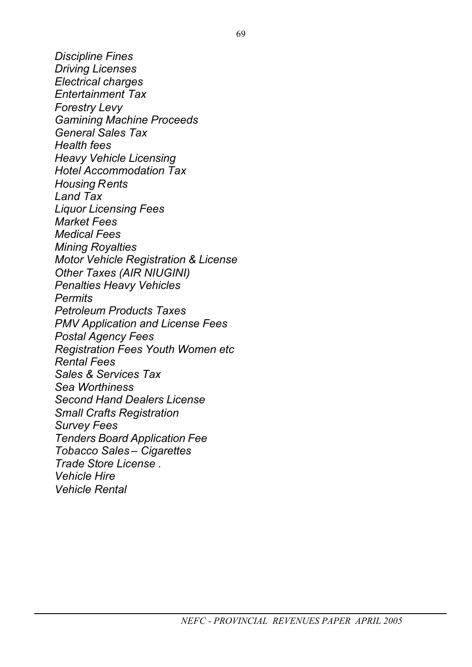*Discipline Fines Driving Licenses Electrical charges Entertainment Tax Forestry Levy Gamining Machine Proceeds General Sales Tax Health fees Heavy Vehicle Licensing Hotel Accommodation Tax Housing Rents Land Tax Liquor Licensing Fees Market Fees Medical Fees Mining Royalties Motor Vehicle Registration & License Other Taxes (AIR NIUGINI) Penalties Heavy Vehicles Permits Petroleum Products Taxes PMV Application and License Fees Postal Agency Fees Registration Fees Youth Women etc Rental Fees Sales & Services Tax Sea Worthiness Second Hand Dealers License Small Crafts Registration Survey Fees Tenders Board Application Fee Tobacco Sales – Cigarettes Trade Store License . Vehicle Hire Vehicle Rental*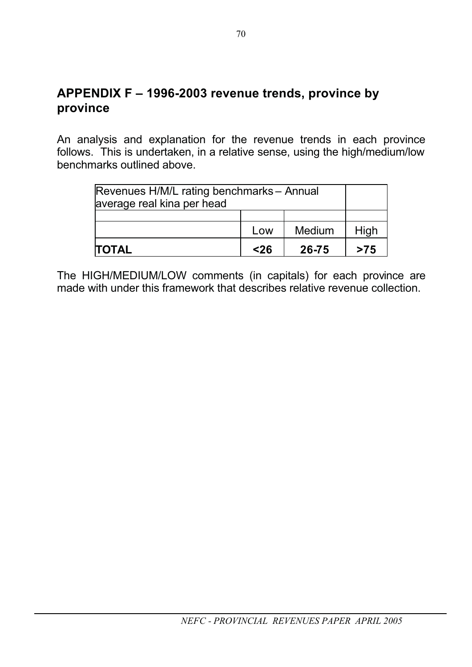An analysis and explanation for the revenue trends in each province follows. This is undertaken, in a relative sense, using the high/medium/low benchmarks outlined above.

| Revenues H/M/L rating benchmarks - Annual<br>average real kina per head |      |        |      |
|-------------------------------------------------------------------------|------|--------|------|
|                                                                         |      |        |      |
|                                                                         | Low  | Medium | High |
| <b>TOTAL</b>                                                            | $26$ | 26-75  | >75  |

The HIGH/MEDIUM/LOW comments (in capitals) for each province are made with under this framework that describes relative revenue collection.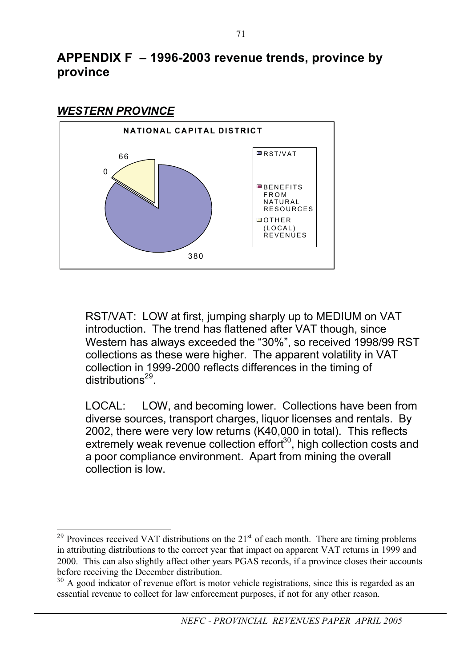#### *WESTERN PROVINCE*



RST/VAT: LOW at first, jumping sharply up to MEDIUM on VAT introduction. The trend has flattened after VAT though, since Western has always exceeded the "30%", so received 1998/99 RST collections as these were higher. The apparent volatility in VAT collection in 1999-2000 reflects differences in the timing of distributions<sup>29</sup>.

LOCAL: LOW, and becoming lower. Collections have been from diverse sources, transport charges, liquor licenses and rentals. By 2002, there were very low returns (K40,000 in total). This reflects extremely weak revenue collection effort<sup>30</sup>, high collection costs and a poor compliance environment. Apart from mining the overall collection is low.

 $29$  Provinces received VAT distributions on the  $21<sup>st</sup>$  of each month. There are timing problems in attributing distributions to the correct year that impact on apparent VAT returns in 1999 and 2000. This can also slightly affect other years PGAS records, if a province closes their accounts before receiving the December distribution.

<sup>&</sup>lt;sup>30</sup> A good indicator of revenue effort is motor vehicle registrations, since this is regarded as an essential revenue to collect for law enforcement purposes, if not for any other reason.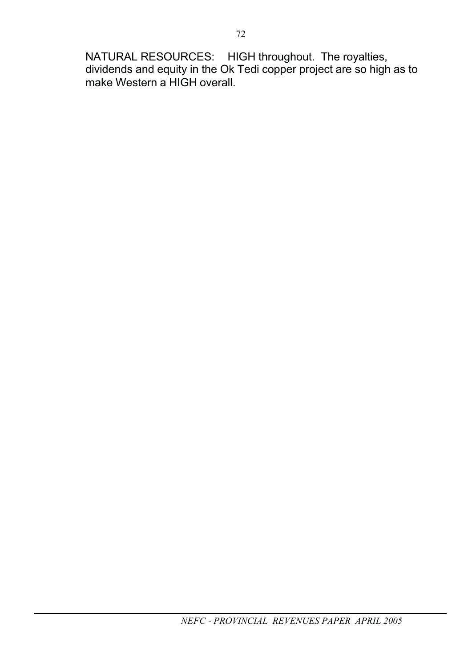NATURAL RESOURCES: HIGH throughout. The royalties, dividends and equity in the Ok Tedi copper project are so high as to make Western a HIGH overall.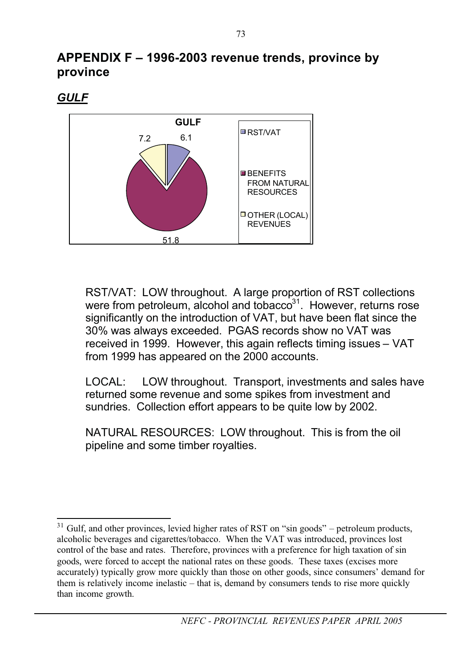*GULF*



RST/VAT: LOW throughout. A large proportion of RST collections were from petroleum, alcohol and tobacco<sup>31</sup>. However, returns rose significantly on the introduction of VAT, but have been flat since the 30% was always exceeded. PGAS records show no VAT was received in 1999. However, this again reflects timing issues – VAT from 1999 has appeared on the 2000 accounts.

LOCAL: LOW throughout. Transport, investments and sales have returned some revenue and some spikes from investment and sundries. Collection effort appears to be quite low by 2002.

NATURAL RESOURCES: LOW throughout. This is from the oil pipeline and some timber royalties.

 $31$  Gulf, and other provinces, levied higher rates of RST on "sin goods" – petroleum products, alcoholic beverages and cigarettes/tobacco. When the VAT was introduced, provinces lost control of the base and rates. Therefore, provinces with a preference for high taxation of sin goods, were forced to accept the national rates on these goods. These taxes (excises more accurately) typically grow more quickly than those on other goods, since consumers' demand for them is relatively income inelastic – that is, demand by consumers tends to rise more quickly than income growth.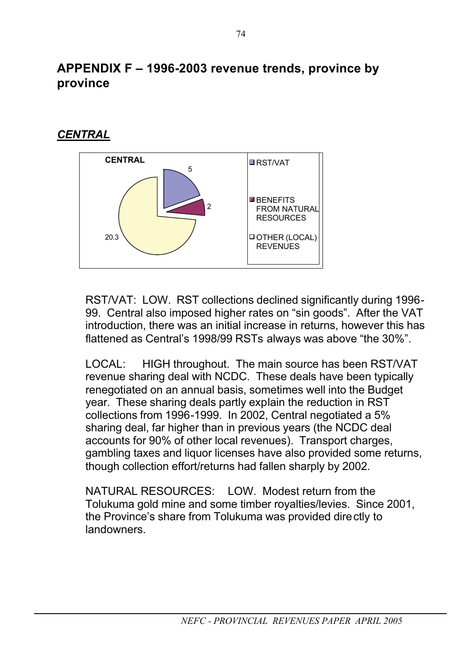## *CENTRAL*



RST/VAT: LOW. RST collections declined significantly during 1996- 99. Central also imposed higher rates on "sin goods". After the VAT introduction, there was an initial increase in returns, however this has flattened as Central's 1998/99 RSTs always was above "the 30%".

LOCAL: HIGH throughout. The main source has been RST/VAT revenue sharing deal with NCDC. These deals have been typically renegotiated on an annual basis, sometimes well into the Budget year. These sharing deals partly explain the reduction in RST collections from 1996-1999. In 2002, Central negotiated a 5% sharing deal, far higher than in previous years (the NCDC deal accounts for 90% of other local revenues). Transport charges, gambling taxes and liquor licenses have also provided some returns, though collection effort/returns had fallen sharply by 2002.

NATURAL RESOURCES: LOW. Modest return from the Tolukuma gold mine and some timber royalties/levies. Since 2001, the Province's share from Tolukuma was provided directly to landowners.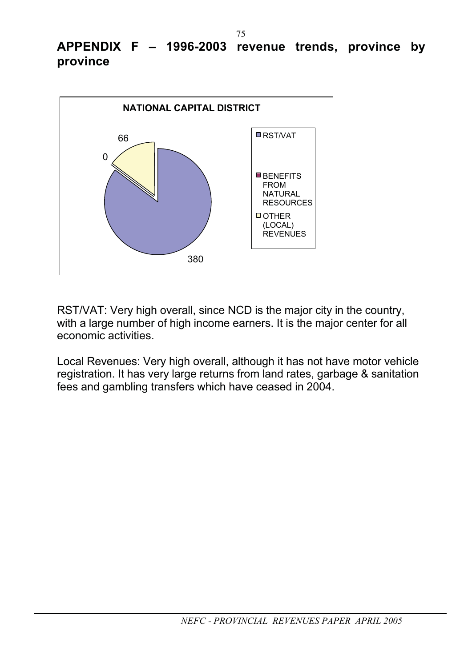

RST/VAT: Very high overall, since NCD is the major city in the country, with a large number of high income earners. It is the major center for all economic activities.

Local Revenues: Very high overall, although it has not have motor vehicle registration. It has very large returns from land rates, garbage & sanitation fees and gambling transfers which have ceased in 2004.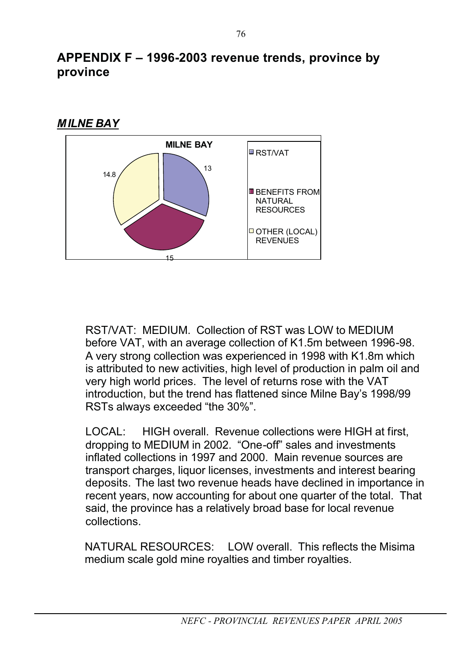



RST/VAT: MEDIUM. Collection of RST was LOW to MEDIUM before VAT, with an average collection of K1.5m between 1996-98. A very strong collection was experienced in 1998 with K1.8m which is attributed to new activities, high level of production in palm oil and very high world prices. The level of returns rose with the VAT introduction, but the trend has flattened since Milne Bay's 1998/99 RSTs always exceeded "the 30%".

LOCAL: HIGH overall. Revenue collections were HIGH at first, dropping to MEDIUM in 2002. "One-off" sales and investments inflated collections in 1997 and 2000. Main revenue sources are transport charges, liquor licenses, investments and interest bearing deposits. The last two revenue heads have declined in importance in recent years, now accounting for about one quarter of the total. That said, the province has a relatively broad base for local revenue collections.

NATURAL RESOURCES: LOW overall. This reflects the Misima medium scale gold mine royalties and timber royalties.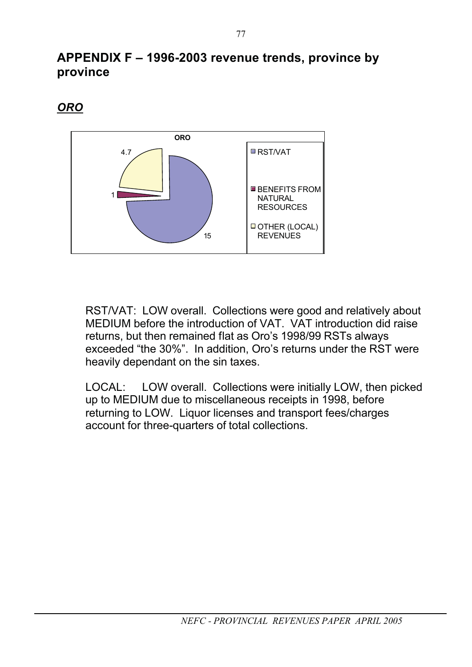*ORO*



RST/VAT: LOW overall. Collections were good and relatively about MEDIUM before the introduction of VAT. VAT introduction did raise returns, but then remained flat as Oro's 1998/99 RSTs always exceeded "the 30%". In addition, Oro's returns under the RST were heavily dependant on the sin taxes.

LOCAL: LOW overall. Collections were initially LOW, then picked up to MEDIUM due to miscellaneous receipts in 1998, before returning to LOW. Liquor licenses and transport fees/charges account for three-quarters of total collections.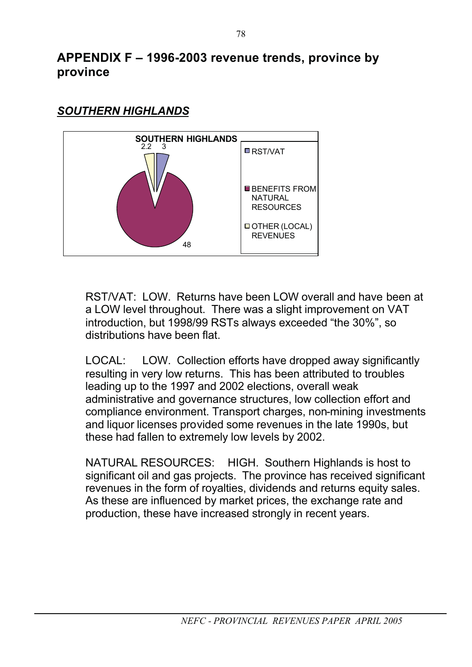

## *SOUTHERN HIGHLANDS*

RST/VAT: LOW. Returns have been LOW overall and have been at a LOW level throughout. There was a slight improvement on VAT introduction, but 1998/99 RSTs always exceeded "the 30%", so distributions have been flat.

LOCAL: LOW. Collection efforts have dropped away significantly resulting in very low returns. This has been attributed to troubles leading up to the 1997 and 2002 elections, overall weak administrative and governance structures, low collection effort and compliance environment. Transport charges, non-mining investments and liquor licenses provided some revenues in the late 1990s, but these had fallen to extremely low levels by 2002.

NATURAL RESOURCES: HIGH. Southern Highlands is host to significant oil and gas projects. The province has received significant revenues in the form of royalties, dividends and returns equity sales. As these are influenced by market prices, the exchange rate and production, these have increased strongly in recent years.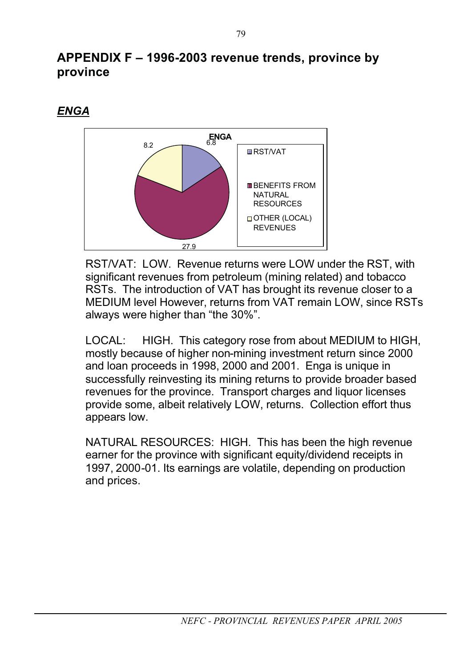#### *ENGA*



RST/VAT: LOW. Revenue returns were LOW under the RST, with significant revenues from petroleum (mining related) and tobacco RSTs. The introduction of VAT has brought its revenue closer to a MEDIUM level However, returns from VAT remain LOW, since RSTs always were higher than "the 30%".

LOCAL: HIGH. This category rose from about MEDIUM to HIGH, mostly because of higher non-mining investment return since 2000 and loan proceeds in 1998, 2000 and 2001. Enga is unique in successfully reinvesting its mining returns to provide broader based revenues for the province. Transport charges and liquor licenses provide some, albeit relatively LOW, returns. Collection effort thus appears low.

NATURAL RESOURCES: HIGH. This has been the high revenue earner for the province with significant equity/dividend receipts in 1997, 2000-01. Its earnings are volatile, depending on production and prices.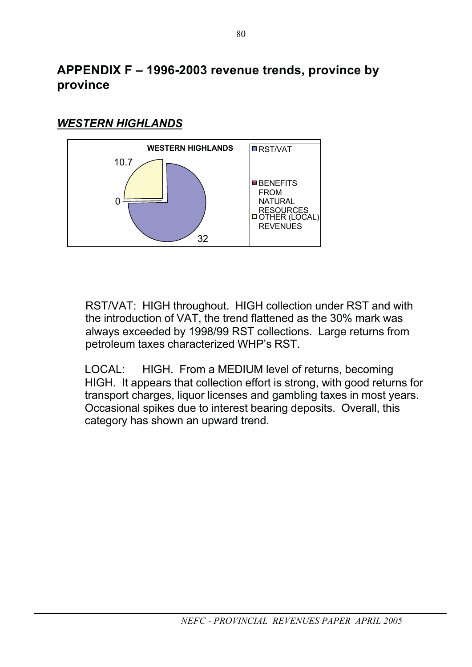#### *WESTERN HIGHLANDS*



RST/VAT: HIGH throughout. HIGH collection under RST and with the introduction of VAT, the trend flattened as the 30% mark was always exceeded by 1998/99 RST collections. Large returns from petroleum taxes characterized WHP's RST.

LOCAL: HIGH. From a MEDIUM level of returns, becoming HIGH. It appears that collection effort is strong, with good returns for transport charges, liquor licenses and gambling taxes in most years. Occasional spikes due to interest bearing deposits. Overall, this category has shown an upward trend.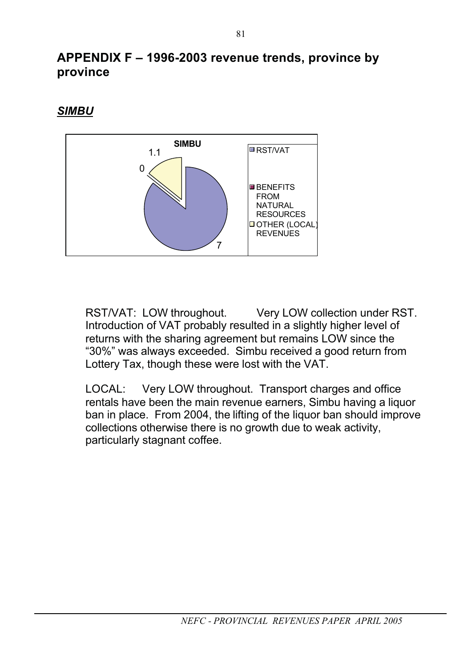#### *SIMBU*



RST/VAT: LOW throughout. Very LOW collection under RST. Introduction of VAT probably resulted in a slightly higher level of returns with the sharing agreement but remains LOW since the "30%" was always exceeded. Simbu received a good return from Lottery Tax, though these were lost with the VAT.

LOCAL: Very LOW throughout. Transport charges and office rentals have been the main revenue earners, Simbu having a liquor ban in place. From 2004, the lifting of the liquor ban should improve collections otherwise there is no growth due to weak activity, particularly stagnant coffee.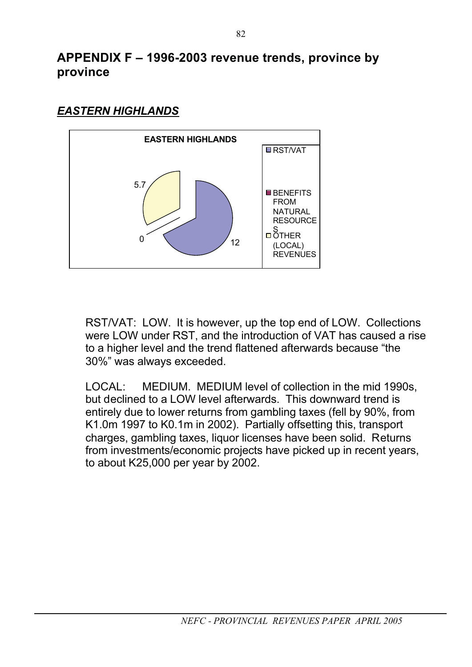

#### *EASTERN HIGHLANDS*

RST/VAT: LOW. It is however, up the top end of LOW. Collections were LOW under RST, and the introduction of VAT has caused a rise to a higher level and the trend flattened afterwards because "the 30%" was always exceeded.

LOCAL: MEDIUM. MEDIUM level of collection in the mid 1990s, but declined to a LOW level afterwards. This downward trend is entirely due to lower returns from gambling taxes (fell by 90%, from K1.0m 1997 to K0.1m in 2002). Partially offsetting this, transport charges, gambling taxes, liquor licenses have been solid. Returns from investments/economic projects have picked up in recent years, to about K25,000 per year by 2002.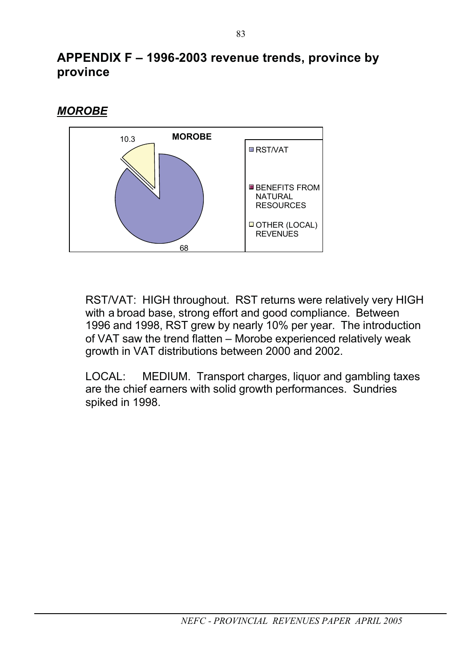#### *MOROBE*



RST/VAT: HIGH throughout. RST returns were relatively very HIGH with a broad base, strong effort and good compliance. Between 1996 and 1998, RST grew by nearly 10% per year. The introduction of VAT saw the trend flatten – Morobe experienced relatively weak growth in VAT distributions between 2000 and 2002.

LOCAL: MEDIUM. Transport charges, liquor and gambling taxes are the chief earners with solid growth performances. Sundries spiked in 1998.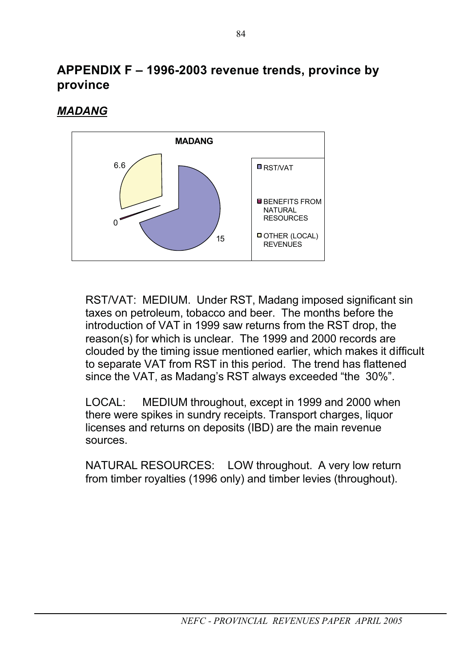#### *MADANG*



RST/VAT: MEDIUM. Under RST, Madang imposed significant sin taxes on petroleum, tobacco and beer. The months before the introduction of VAT in 1999 saw returns from the RST drop, the reason(s) for which is unclear. The 1999 and 2000 records are clouded by the timing issue mentioned earlier, which makes it difficult to separate VAT from RST in this period. The trend has flattened since the VAT, as Madang's RST always exceeded "the 30%".

LOCAL: MEDIUM throughout, except in 1999 and 2000 when there were spikes in sundry receipts. Transport charges, liquor licenses and returns on deposits (IBD) are the main revenue sources.

NATURAL RESOURCES: LOW throughout. A very low return from timber royalties (1996 only) and timber levies (throughout).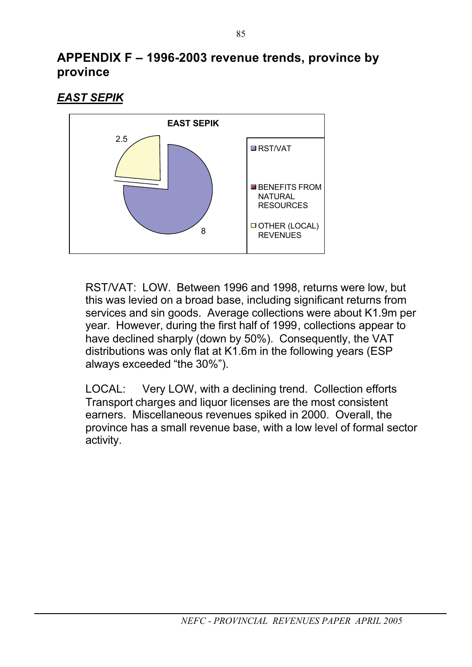*EAST SEPIK* 



RST/VAT: LOW. Between 1996 and 1998, returns were low, but this was levied on a broad base, including significant returns from services and sin goods. Average collections were about K1.9m per year. However, during the first half of 1999, collections appear to have declined sharply (down by 50%). Consequently, the VAT distributions was only flat at K1.6m in the following years (ESP always exceeded "the 30%").

LOCAL: Very LOW, with a declining trend. Collection efforts Transport charges and liquor licenses are the most consistent earners. Miscellaneous revenues spiked in 2000. Overall, the province has a small revenue base, with a low level of formal sector activity.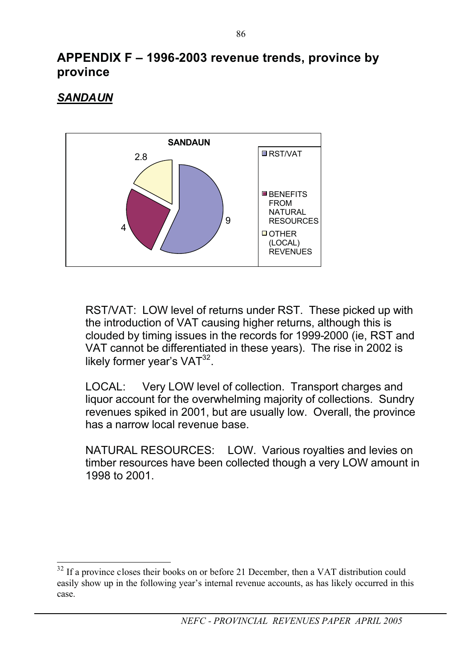#### *SANDAUN*



RST/VAT: LOW level of returns under RST. These picked up with the introduction of VAT causing higher returns, although this is clouded by timing issues in the records for 1999-2000 (ie, RST and VAT cannot be differentiated in these years). The rise in 2002 is likely former year's  $VAT^{32}$ .

LOCAL: Very LOW level of collection. Transport charges and liquor account for the overwhelming majority of collections. Sundry revenues spiked in 2001, but are usually low. Overall, the province has a narrow local revenue base.

NATURAL RESOURCES: LOW. Various royalties and levies on timber resources have been collected though a very LOW amount in 1998 to 2001.

<sup>&</sup>lt;sup>32</sup> If a province closes their books on or before 21 December, then a VAT distribution could easily show up in the following year's internal revenue accounts, as has likely occurred in this case.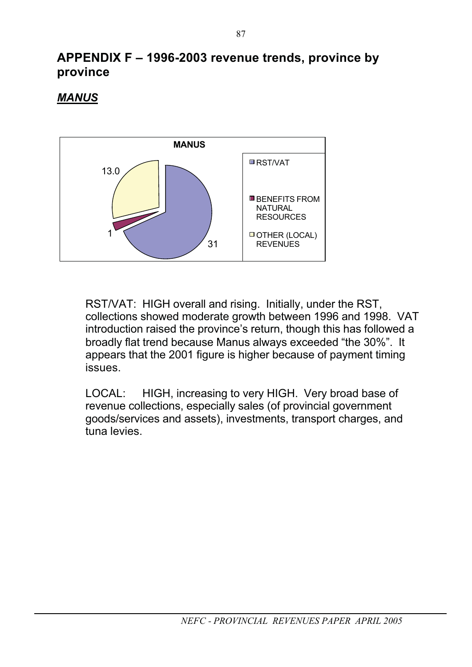#### *MANUS*



RST/VAT: HIGH overall and rising. Initially, under the RST, collections showed moderate growth between 1996 and 1998. VAT introduction raised the province's return, though this has followed a broadly flat trend because Manus always exceeded "the 30%". It appears that the 2001 figure is higher because of payment timing issues.

LOCAL: HIGH, increasing to very HIGH. Very broad base of revenue collections, especially sales (of provincial government goods/services and assets), investments, transport charges, and tuna levies.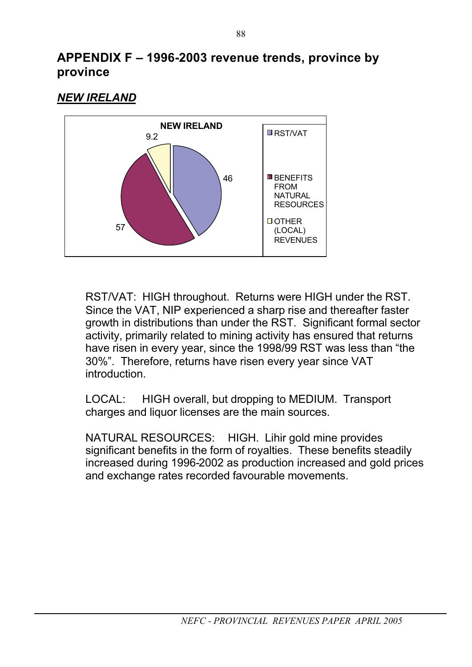#### *NEW IRELAND*



RST/VAT: HIGH throughout. Returns were HIGH under the RST. Since the VAT, NIP experienced a sharp rise and thereafter faster growth in distributions than under the RST. Significant formal sector activity, primarily related to mining activity has ensured that returns have risen in every year, since the 1998/99 RST was less than "the 30%". Therefore, returns have risen every year since VAT introduction.

LOCAL: HIGH overall, but dropping to MEDIUM. Transport charges and liquor licenses are the main sources.

NATURAL RESOURCES: HIGH. Lihir gold mine provides significant benefits in the form of rovalties. These benefits steadily increased during 1996-2002 as production increased and gold prices and exchange rates recorded favourable movements.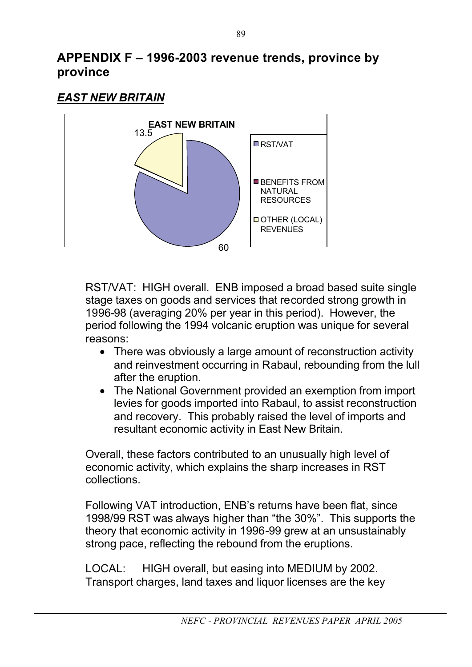#### *EAST NEW BRITAIN*



RST/VAT: HIGH overall. ENB imposed a broad based suite single stage taxes on goods and services that recorded strong growth in 1996-98 (averaging 20% per year in this period). However, the period following the 1994 volcanic eruption was unique for several reasons:

- There was obviously a large amount of reconstruction activity and reinvestment occurring in Rabaul, rebounding from the lull after the eruption.
- The National Government provided an exemption from import levies for goods imported into Rabaul, to assist reconstruction and recovery. This probably raised the level of imports and resultant economic activity in East New Britain.

Overall, these factors contributed to an unusually high level of economic activity, which explains the sharp increases in RST collections.

Following VAT introduction, ENB's returns have been flat, since 1998/99 RST was always higher than "the 30%". This supports the theory that economic activity in 1996-99 grew at an unsustainably strong pace, reflecting the rebound from the eruptions.

LOCAL: HIGH overall, but easing into MEDIUM by 2002. Transport charges, land taxes and liquor licenses are the key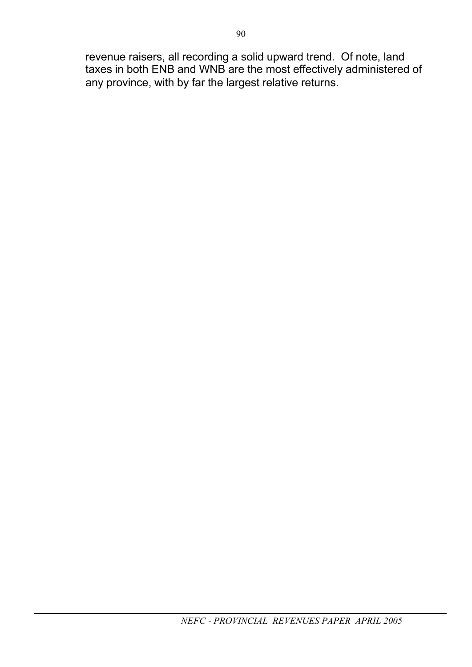revenue raisers, all recording a solid upward trend. Of note, land taxes in both ENB and WNB are the most effectively administered of any province, with by far the largest relative returns.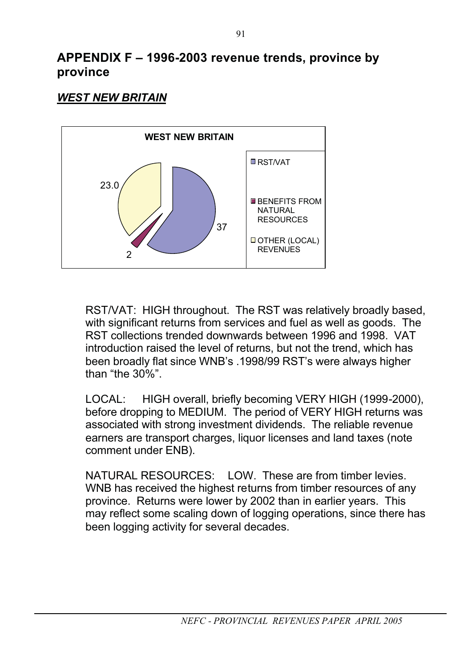#### *WEST NEW BRITAIN*



RST/VAT: HIGH throughout. The RST was relatively broadly based, with significant returns from services and fuel as well as goods. The RST collections trended downwards between 1996 and 1998. VAT introduction raised the level of returns, but not the trend, which has been broadly flat since WNB's .1998/99 RST's were always higher than "the 30%".

LOCAL: HIGH overall, briefly becoming VERY HIGH (1999-2000), before dropping to MEDIUM. The period of VERY HIGH returns was associated with strong investment dividends. The reliable revenue earners are transport charges, liquor licenses and land taxes (note comment under ENB).

NATURAL RESOURCES: LOW. These are from timber levies. WNB has received the highest returns from timber resources of any province. Returns were lower by 2002 than in earlier years. This may reflect some scaling down of logging operations, since there has been logging activity for several decades.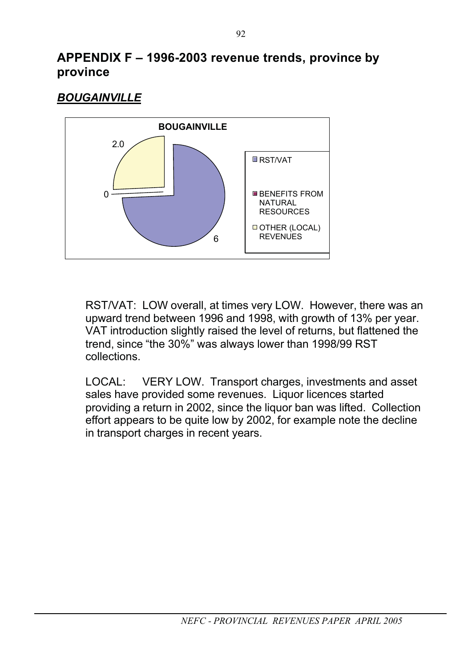#### *BOUGAINVILLE*



RST/VAT: LOW overall, at times very LOW. However, there was an upward trend between 1996 and 1998, with growth of 13% per year. VAT introduction slightly raised the level of returns, but flattened the trend, since "the 30%" was always lower than 1998/99 RST collections.

LOCAL: VERY LOW. Transport charges, investments and asset sales have provided some revenues. Liquor licences started providing a return in 2002, since the liquor ban was lifted. Collection effort appears to be quite low by 2002, for example note the decline in transport charges in recent years.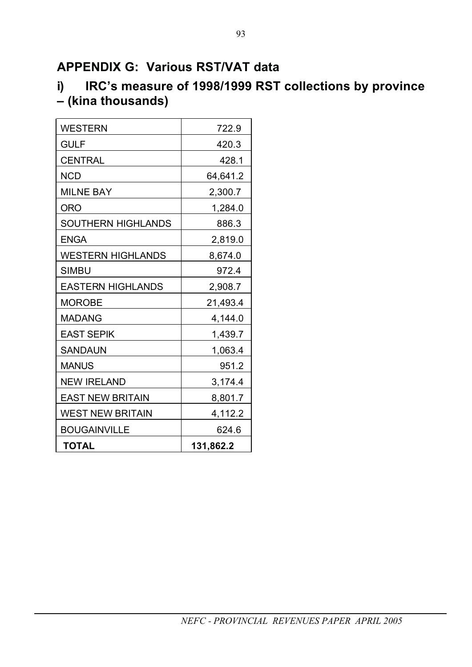## **APPENDIX G: Various RST/VAT data**

# **i) IRC's measure of 1998/1999 RST collections by province – (kina thousands)**

| <b>WESTERN</b>            | 722.9     |
|---------------------------|-----------|
| <b>GULF</b>               | 420.3     |
| <b>CENTRAL</b>            | 428.1     |
| <b>NCD</b>                | 64,641.2  |
| <b>MILNE BAY</b>          | 2,300.7   |
| <b>ORO</b>                | 1,284.0   |
| <b>SOUTHERN HIGHLANDS</b> | 886.3     |
| <b>ENGA</b>               | 2,819.0   |
| <b>WESTERN HIGHLANDS</b>  | 8,674.0   |
| <b>SIMBU</b>              | 972.4     |
| <b>EASTERN HIGHLANDS</b>  | 2,908.7   |
| <b>MOROBE</b>             | 21,493.4  |
| <b>MADANG</b>             | 4,144.0   |
| <b>EAST SEPIK</b>         | 1,439.7   |
| <b>SANDAUN</b>            | 1,063.4   |
| <b>MANUS</b>              | 951.2     |
| <b>NEW IRELAND</b>        | 3,174.4   |
| <b>EAST NEW BRITAIN</b>   | 8,801.7   |
| <b>WEST NEW BRITAIN</b>   | 4,112.2   |
| <b>BOUGAINVILLE</b>       | 624.6     |
| <b>TOTAL</b>              | 131,862.2 |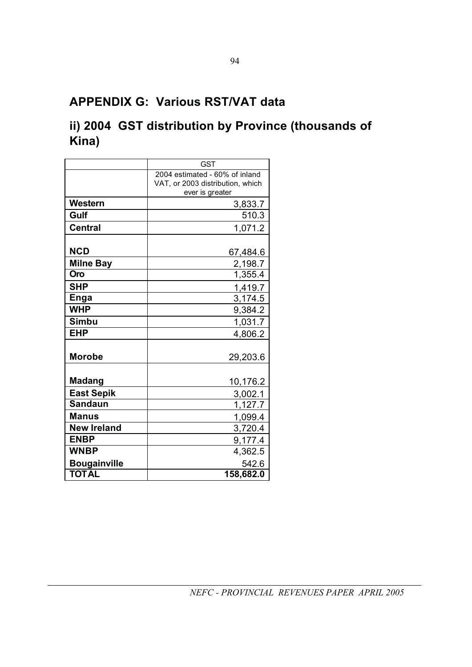## **APPENDIX G: Various RST/VAT data**

## **ii) 2004 GST distribution by Province (thousands of Kina)**

|                     | <b>GST</b>                                          |
|---------------------|-----------------------------------------------------|
|                     | 2004 estimated - 60% of inland                      |
|                     | VAT, or 2003 distribution, which<br>ever is greater |
| Western             | 3,833.7                                             |
| Gulf                | 510.3                                               |
| <b>Central</b>      | 1,071.2                                             |
|                     |                                                     |
| <b>NCD</b>          | 67,484.6                                            |
| <b>Milne Bay</b>    | 2,198.7                                             |
| Oro                 | 1,355.4                                             |
| <b>SHP</b>          | 1,419.7                                             |
| <b>Enga</b>         | 3,174.5                                             |
| <b>WHP</b>          | 9,384.2                                             |
| <b>Simbu</b>        | 1,031.7                                             |
| <b>EHP</b>          | 4,806.2                                             |
|                     |                                                     |
| <b>Morobe</b>       | 29,203.6                                            |
|                     |                                                     |
| <b>Madang</b>       | 10,176.2                                            |
| <b>East Sepik</b>   | 3,002.1                                             |
| <b>Sandaun</b>      | 1,127.7                                             |
| Manus               | 1,099.4                                             |
| <b>New Ireland</b>  | 3,720.4                                             |
| <b>ENBP</b>         | 9,177.4                                             |
| <b>WNBP</b>         | 4,362.5                                             |
| <b>Bougainville</b> | 542.6                                               |
| <b>TOTAL</b>        | 158,682.0                                           |